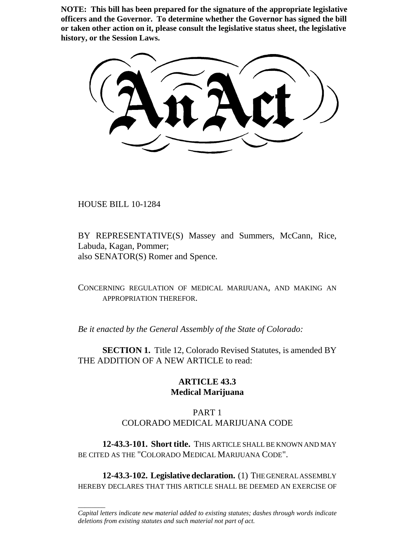**NOTE: This bill has been prepared for the signature of the appropriate legislative officers and the Governor. To determine whether the Governor has signed the bill or taken other action on it, please consult the legislative status sheet, the legislative history, or the Session Laws.**

HOUSE BILL 10-1284

\_\_\_\_\_\_\_\_

BY REPRESENTATIVE(S) Massey and Summers, McCann, Rice, Labuda, Kagan, Pommer; also SENATOR(S) Romer and Spence.

CONCERNING REGULATION OF MEDICAL MARIJUANA, AND MAKING AN APPROPRIATION THEREFOR.

*Be it enacted by the General Assembly of the State of Colorado:*

**SECTION 1.** Title 12, Colorado Revised Statutes, is amended BY THE ADDITION OF A NEW ARTICLE to read:

# **ARTICLE 43.3 Medical Marijuana**

# PART 1 COLORADO MEDICAL MARIJUANA CODE

**12-43.3-101. Short title.** THIS ARTICLE SHALL BE KNOWN AND MAY BE CITED AS THE "COLORADO MEDICAL MARIJUANA CODE".

**12-43.3-102. Legislative declaration.** (1) THE GENERAL ASSEMBLY HEREBY DECLARES THAT THIS ARTICLE SHALL BE DEEMED AN EXERCISE OF

*Capital letters indicate new material added to existing statutes; dashes through words indicate deletions from existing statutes and such material not part of act.*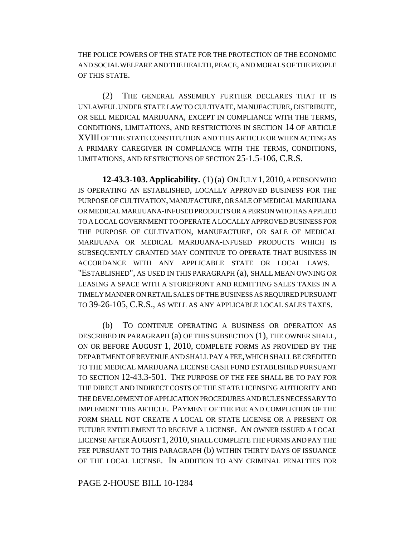THE POLICE POWERS OF THE STATE FOR THE PROTECTION OF THE ECONOMIC AND SOCIAL WELFARE AND THE HEALTH, PEACE, AND MORALS OF THE PEOPLE OF THIS STATE.

(2) THE GENERAL ASSEMBLY FURTHER DECLARES THAT IT IS UNLAWFUL UNDER STATE LAW TO CULTIVATE, MANUFACTURE, DISTRIBUTE, OR SELL MEDICAL MARIJUANA, EXCEPT IN COMPLIANCE WITH THE TERMS, CONDITIONS, LIMITATIONS, AND RESTRICTIONS IN SECTION 14 OF ARTICLE XVIII OF THE STATE CONSTITUTION AND THIS ARTICLE OR WHEN ACTING AS A PRIMARY CAREGIVER IN COMPLIANCE WITH THE TERMS, CONDITIONS, LIMITATIONS, AND RESTRICTIONS OF SECTION 25-1.5-106, C.R.S.

**12-43.3-103. Applicability.** (1) (a) ON JULY 1,2010, A PERSON WHO IS OPERATING AN ESTABLISHED, LOCALLY APPROVED BUSINESS FOR THE PURPOSE OF CULTIVATION, MANUFACTURE, OR SALE OF MEDICAL MARIJUANA OR MEDICAL MARIJUANA-INFUSED PRODUCTS OR A PERSON WHO HAS APPLIED TO A LOCAL GOVERNMENT TO OPERATE A LOCALLY APPROVED BUSINESS FOR THE PURPOSE OF CULTIVATION, MANUFACTURE, OR SALE OF MEDICAL MARIJUANA OR MEDICAL MARIJUANA-INFUSED PRODUCTS WHICH IS SUBSEQUENTLY GRANTED MAY CONTINUE TO OPERATE THAT BUSINESS IN ACCORDANCE WITH ANY APPLICABLE STATE OR LOCAL LAWS. "ESTABLISHED", AS USED IN THIS PARAGRAPH (a), SHALL MEAN OWNING OR LEASING A SPACE WITH A STOREFRONT AND REMITTING SALES TAXES IN A TIMELY MANNER ON RETAIL SALES OF THE BUSINESS AS REQUIRED PURSUANT TO 39-26-105, C.R.S., AS WELL AS ANY APPLICABLE LOCAL SALES TAXES.

(b) TO CONTINUE OPERATING A BUSINESS OR OPERATION AS DESCRIBED IN PARAGRAPH (a) OF THIS SUBSECTION (1), THE OWNER SHALL, ON OR BEFORE AUGUST 1, 2010, COMPLETE FORMS AS PROVIDED BY THE DEPARTMENT OF REVENUE AND SHALL PAY A FEE, WHICH SHALL BE CREDITED TO THE MEDICAL MARIJUANA LICENSE CASH FUND ESTABLISHED PURSUANT TO SECTION 12-43.3-501. THE PURPOSE OF THE FEE SHALL BE TO PAY FOR THE DIRECT AND INDIRECT COSTS OF THE STATE LICENSING AUTHORITY AND THE DEVELOPMENT OF APPLICATION PROCEDURES AND RULES NECESSARY TO IMPLEMENT THIS ARTICLE. PAYMENT OF THE FEE AND COMPLETION OF THE FORM SHALL NOT CREATE A LOCAL OR STATE LICENSE OR A PRESENT OR FUTURE ENTITLEMENT TO RECEIVE A LICENSE. AN OWNER ISSUED A LOCAL LICENSE AFTER AUGUST 1, 2010, SHALL COMPLETE THE FORMS AND PAY THE FEE PURSUANT TO THIS PARAGRAPH (b) WITHIN THIRTY DAYS OF ISSUANCE OF THE LOCAL LICENSE. IN ADDITION TO ANY CRIMINAL PENALTIES FOR

PAGE 2-HOUSE BILL 10-1284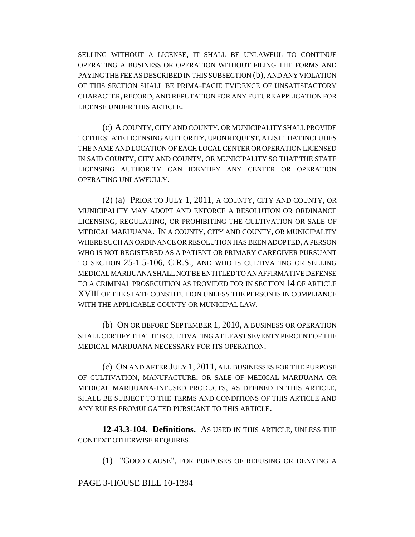SELLING WITHOUT A LICENSE, IT SHALL BE UNLAWFUL TO CONTINUE OPERATING A BUSINESS OR OPERATION WITHOUT FILING THE FORMS AND PAYING THE FEE AS DESCRIBED IN THIS SUBSECTION (b), AND ANY VIOLATION OF THIS SECTION SHALL BE PRIMA-FACIE EVIDENCE OF UNSATISFACTORY CHARACTER, RECORD, AND REPUTATION FOR ANY FUTURE APPLICATION FOR LICENSE UNDER THIS ARTICLE.

(c) A COUNTY, CITY AND COUNTY, OR MUNICIPALITY SHALL PROVIDE TO THE STATE LICENSING AUTHORITY, UPON REQUEST, A LIST THAT INCLUDES THE NAME AND LOCATION OF EACH LOCAL CENTER OR OPERATION LICENSED IN SAID COUNTY, CITY AND COUNTY, OR MUNICIPALITY SO THAT THE STATE LICENSING AUTHORITY CAN IDENTIFY ANY CENTER OR OPERATION OPERATING UNLAWFULLY.

(2) (a) PRIOR TO JULY 1, 2011, A COUNTY, CITY AND COUNTY, OR MUNICIPALITY MAY ADOPT AND ENFORCE A RESOLUTION OR ORDINANCE LICENSING, REGULATING, OR PROHIBITING THE CULTIVATION OR SALE OF MEDICAL MARIJUANA. IN A COUNTY, CITY AND COUNTY, OR MUNICIPALITY WHERE SUCH AN ORDINANCE OR RESOLUTION HAS BEEN ADOPTED, A PERSON WHO IS NOT REGISTERED AS A PATIENT OR PRIMARY CAREGIVER PURSUANT TO SECTION 25-1.5-106, C.R.S., AND WHO IS CULTIVATING OR SELLING MEDICAL MARIJUANA SHALL NOT BE ENTITLED TO AN AFFIRMATIVE DEFENSE TO A CRIMINAL PROSECUTION AS PROVIDED FOR IN SECTION 14 OF ARTICLE XVIII OF THE STATE CONSTITUTION UNLESS THE PERSON IS IN COMPLIANCE WITH THE APPLICABLE COUNTY OR MUNICIPAL LAW.

(b) ON OR BEFORE SEPTEMBER 1, 2010, A BUSINESS OR OPERATION SHALL CERTIFY THAT IT IS CULTIVATING AT LEAST SEVENTY PERCENT OF THE MEDICAL MARIJUANA NECESSARY FOR ITS OPERATION.

(c) ON AND AFTER JULY 1, 2011, ALL BUSINESSES FOR THE PURPOSE OF CULTIVATION, MANUFACTURE, OR SALE OF MEDICAL MARIJUANA OR MEDICAL MARIJUANA-INFUSED PRODUCTS, AS DEFINED IN THIS ARTICLE, SHALL BE SUBJECT TO THE TERMS AND CONDITIONS OF THIS ARTICLE AND ANY RULES PROMULGATED PURSUANT TO THIS ARTICLE.

**12-43.3-104. Definitions.** AS USED IN THIS ARTICLE, UNLESS THE CONTEXT OTHERWISE REQUIRES:

(1) "GOOD CAUSE", FOR PURPOSES OF REFUSING OR DENYING A

#### PAGE 3-HOUSE BILL 10-1284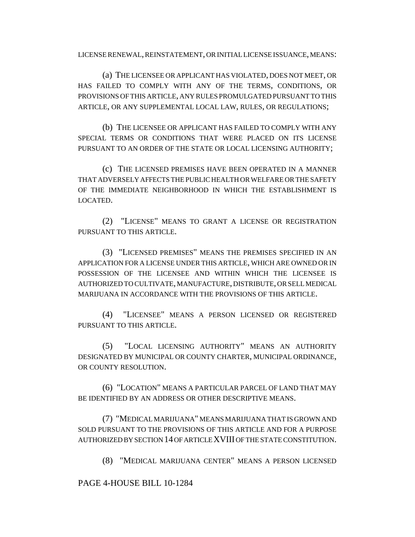LICENSE RENEWAL, REINSTATEMENT, OR INITIAL LICENSE ISSUANCE, MEANS:

(a) THE LICENSEE OR APPLICANT HAS VIOLATED, DOES NOT MEET, OR HAS FAILED TO COMPLY WITH ANY OF THE TERMS, CONDITIONS, OR PROVISIONS OF THIS ARTICLE, ANY RULES PROMULGATED PURSUANT TO THIS ARTICLE, OR ANY SUPPLEMENTAL LOCAL LAW, RULES, OR REGULATIONS;

(b) THE LICENSEE OR APPLICANT HAS FAILED TO COMPLY WITH ANY SPECIAL TERMS OR CONDITIONS THAT WERE PLACED ON ITS LICENSE PURSUANT TO AN ORDER OF THE STATE OR LOCAL LICENSING AUTHORITY;

(c) THE LICENSED PREMISES HAVE BEEN OPERATED IN A MANNER THAT ADVERSELY AFFECTS THE PUBLIC HEALTH OR WELFARE OR THE SAFETY OF THE IMMEDIATE NEIGHBORHOOD IN WHICH THE ESTABLISHMENT IS LOCATED.

(2) "LICENSE" MEANS TO GRANT A LICENSE OR REGISTRATION PURSUANT TO THIS ARTICLE.

(3) "LICENSED PREMISES" MEANS THE PREMISES SPECIFIED IN AN APPLICATION FOR A LICENSE UNDER THIS ARTICLE, WHICH ARE OWNED OR IN POSSESSION OF THE LICENSEE AND WITHIN WHICH THE LICENSEE IS AUTHORIZED TO CULTIVATE, MANUFACTURE, DISTRIBUTE, OR SELL MEDICAL MARIJUANA IN ACCORDANCE WITH THE PROVISIONS OF THIS ARTICLE.

(4) "LICENSEE" MEANS A PERSON LICENSED OR REGISTERED PURSUANT TO THIS ARTICLE.

(5) "LOCAL LICENSING AUTHORITY" MEANS AN AUTHORITY DESIGNATED BY MUNICIPAL OR COUNTY CHARTER, MUNICIPAL ORDINANCE, OR COUNTY RESOLUTION.

(6) "LOCATION" MEANS A PARTICULAR PARCEL OF LAND THAT MAY BE IDENTIFIED BY AN ADDRESS OR OTHER DESCRIPTIVE MEANS.

(7) "MEDICAL MARIJUANA" MEANS MARIJUANA THAT IS GROWN AND SOLD PURSUANT TO THE PROVISIONS OF THIS ARTICLE AND FOR A PURPOSE AUTHORIZED BY SECTION 14 OF ARTICLE XVIII OF THE STATE CONSTITUTION.

(8) "MEDICAL MARIJUANA CENTER" MEANS A PERSON LICENSED

PAGE 4-HOUSE BILL 10-1284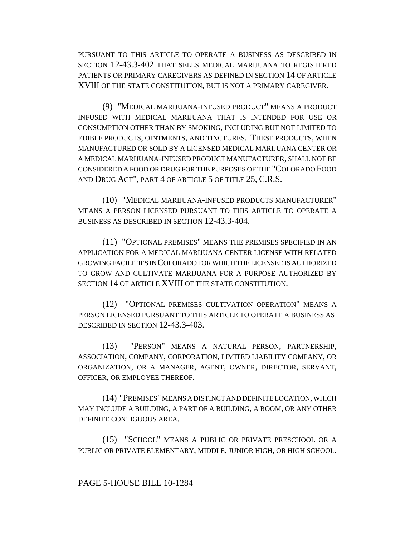PURSUANT TO THIS ARTICLE TO OPERATE A BUSINESS AS DESCRIBED IN SECTION 12-43.3-402 THAT SELLS MEDICAL MARIJUANA TO REGISTERED PATIENTS OR PRIMARY CAREGIVERS AS DEFINED IN SECTION 14 OF ARTICLE XVIII OF THE STATE CONSTITUTION, BUT IS NOT A PRIMARY CAREGIVER.

(9) "MEDICAL MARIJUANA-INFUSED PRODUCT" MEANS A PRODUCT INFUSED WITH MEDICAL MARIJUANA THAT IS INTENDED FOR USE OR CONSUMPTION OTHER THAN BY SMOKING, INCLUDING BUT NOT LIMITED TO EDIBLE PRODUCTS, OINTMENTS, AND TINCTURES. THESE PRODUCTS, WHEN MANUFACTURED OR SOLD BY A LICENSED MEDICAL MARIJUANA CENTER OR A MEDICAL MARIJUANA-INFUSED PRODUCT MANUFACTURER, SHALL NOT BE CONSIDERED A FOOD OR DRUG FOR THE PURPOSES OF THE "COLORADO FOOD AND DRUG ACT", PART 4 OF ARTICLE 5 OF TITLE 25, C.R.S.

(10) "MEDICAL MARIJUANA-INFUSED PRODUCTS MANUFACTURER" MEANS A PERSON LICENSED PURSUANT TO THIS ARTICLE TO OPERATE A BUSINESS AS DESCRIBED IN SECTION 12-43.3-404.

(11) "OPTIONAL PREMISES" MEANS THE PREMISES SPECIFIED IN AN APPLICATION FOR A MEDICAL MARIJUANA CENTER LICENSE WITH RELATED GROWING FACILITIES IN COLORADO FOR WHICH THE LICENSEE IS AUTHORIZED TO GROW AND CULTIVATE MARIJUANA FOR A PURPOSE AUTHORIZED BY SECTION 14 OF ARTICLE XVIII OF THE STATE CONSTITUTION.

(12) "OPTIONAL PREMISES CULTIVATION OPERATION" MEANS A PERSON LICENSED PURSUANT TO THIS ARTICLE TO OPERATE A BUSINESS AS DESCRIBED IN SECTION 12-43.3-403.

(13) "PERSON" MEANS A NATURAL PERSON, PARTNERSHIP, ASSOCIATION, COMPANY, CORPORATION, LIMITED LIABILITY COMPANY, OR ORGANIZATION, OR A MANAGER, AGENT, OWNER, DIRECTOR, SERVANT, OFFICER, OR EMPLOYEE THEREOF.

(14) "PREMISES" MEANS A DISTINCT AND DEFINITE LOCATION, WHICH MAY INCLUDE A BUILDING, A PART OF A BUILDING, A ROOM, OR ANY OTHER DEFINITE CONTIGUOUS AREA.

(15) "SCHOOL" MEANS A PUBLIC OR PRIVATE PRESCHOOL OR A PUBLIC OR PRIVATE ELEMENTARY, MIDDLE, JUNIOR HIGH, OR HIGH SCHOOL.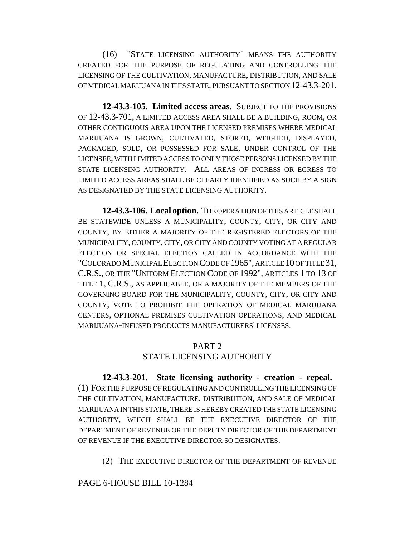(16) "STATE LICENSING AUTHORITY" MEANS THE AUTHORITY CREATED FOR THE PURPOSE OF REGULATING AND CONTROLLING THE LICENSING OF THE CULTIVATION, MANUFACTURE, DISTRIBUTION, AND SALE OF MEDICAL MARIJUANA IN THIS STATE, PURSUANT TO SECTION 12-43.3-201.

**12-43.3-105. Limited access areas.** SUBJECT TO THE PROVISIONS OF 12-43.3-701, A LIMITED ACCESS AREA SHALL BE A BUILDING, ROOM, OR OTHER CONTIGUOUS AREA UPON THE LICENSED PREMISES WHERE MEDICAL MARIJUANA IS GROWN, CULTIVATED, STORED, WEIGHED, DISPLAYED, PACKAGED, SOLD, OR POSSESSED FOR SALE, UNDER CONTROL OF THE LICENSEE, WITH LIMITED ACCESS TO ONLY THOSE PERSONS LICENSED BY THE STATE LICENSING AUTHORITY. ALL AREAS OF INGRESS OR EGRESS TO LIMITED ACCESS AREAS SHALL BE CLEARLY IDENTIFIED AS SUCH BY A SIGN AS DESIGNATED BY THE STATE LICENSING AUTHORITY.

**12-43.3-106. Local option.** THE OPERATION OF THIS ARTICLE SHALL BE STATEWIDE UNLESS A MUNICIPALITY, COUNTY, CITY, OR CITY AND COUNTY, BY EITHER A MAJORITY OF THE REGISTERED ELECTORS OF THE MUNICIPALITY, COUNTY, CITY, OR CITY AND COUNTY VOTING AT A REGULAR ELECTION OR SPECIAL ELECTION CALLED IN ACCORDANCE WITH THE "COLORADO MUNICIPAL ELECTION CODE OF 1965", ARTICLE 10 OF TITLE 31, C.R.S., OR THE "UNIFORM ELECTION CODE OF 1992", ARTICLES 1 TO 13 OF TITLE 1, C.R.S., AS APPLICABLE, OR A MAJORITY OF THE MEMBERS OF THE GOVERNING BOARD FOR THE MUNICIPALITY, COUNTY, CITY, OR CITY AND COUNTY, VOTE TO PROHIBIT THE OPERATION OF MEDICAL MARIJUANA CENTERS, OPTIONAL PREMISES CULTIVATION OPERATIONS, AND MEDICAL MARIJUANA-INFUSED PRODUCTS MANUFACTURERS' LICENSES.

#### PART<sub>2</sub> STATE LICENSING AUTHORITY

**12-43.3-201. State licensing authority - creation - repeal.** (1) FOR THE PURPOSE OF REGULATING AND CONTROLLING THE LICENSING OF THE CULTIVATION, MANUFACTURE, DISTRIBUTION, AND SALE OF MEDICAL MARIJUANA IN THIS STATE, THERE IS HEREBY CREATED THE STATE LICENSING AUTHORITY, WHICH SHALL BE THE EXECUTIVE DIRECTOR OF THE DEPARTMENT OF REVENUE OR THE DEPUTY DIRECTOR OF THE DEPARTMENT OF REVENUE IF THE EXECUTIVE DIRECTOR SO DESIGNATES.

(2) THE EXECUTIVE DIRECTOR OF THE DEPARTMENT OF REVENUE

# PAGE 6-HOUSE BILL 10-1284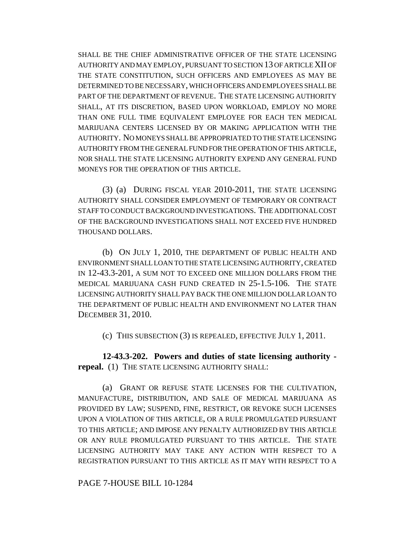SHALL BE THE CHIEF ADMINISTRATIVE OFFICER OF THE STATE LICENSING AUTHORITY AND MAY EMPLOY, PURSUANT TO SECTION 13 OF ARTICLE XII OF THE STATE CONSTITUTION, SUCH OFFICERS AND EMPLOYEES AS MAY BE DETERMINED TO BE NECESSARY, WHICH OFFICERS AND EMPLOYEES SHALL BE PART OF THE DEPARTMENT OF REVENUE. THE STATE LICENSING AUTHORITY SHALL, AT ITS DISCRETION, BASED UPON WORKLOAD, EMPLOY NO MORE THAN ONE FULL TIME EQUIVALENT EMPLOYEE FOR EACH TEN MEDICAL MARIJUANA CENTERS LICENSED BY OR MAKING APPLICATION WITH THE AUTHORITY. NO MONEYS SHALL BE APPROPRIATED TO THE STATE LICENSING AUTHORITY FROM THE GENERAL FUND FOR THE OPERATION OF THIS ARTICLE, NOR SHALL THE STATE LICENSING AUTHORITY EXPEND ANY GENERAL FUND MONEYS FOR THE OPERATION OF THIS ARTICLE.

(3) (a) DURING FISCAL YEAR 2010-2011, THE STATE LICENSING AUTHORITY SHALL CONSIDER EMPLOYMENT OF TEMPORARY OR CONTRACT STAFF TO CONDUCT BACKGROUND INVESTIGATIONS. THE ADDITIONAL COST OF THE BACKGROUND INVESTIGATIONS SHALL NOT EXCEED FIVE HUNDRED THOUSAND DOLLARS.

(b) ON JULY 1, 2010, THE DEPARTMENT OF PUBLIC HEALTH AND ENVIRONMENT SHALL LOAN TO THE STATE LICENSING AUTHORITY, CREATED IN 12-43.3-201, A SUM NOT TO EXCEED ONE MILLION DOLLARS FROM THE MEDICAL MARIJUANA CASH FUND CREATED IN 25-1.5-106. THE STATE LICENSING AUTHORITY SHALL PAY BACK THE ONE MILLION DOLLAR LOAN TO THE DEPARTMENT OF PUBLIC HEALTH AND ENVIRONMENT NO LATER THAN DECEMBER 31, 2010.

(c) THIS SUBSECTION (3) IS REPEALED, EFFECTIVE JULY 1, 2011.

**12-43.3-202. Powers and duties of state licensing authority repeal.** (1) THE STATE LICENSING AUTHORITY SHALL:

(a) GRANT OR REFUSE STATE LICENSES FOR THE CULTIVATION, MANUFACTURE, DISTRIBUTION, AND SALE OF MEDICAL MARIJUANA AS PROVIDED BY LAW; SUSPEND, FINE, RESTRICT, OR REVOKE SUCH LICENSES UPON A VIOLATION OF THIS ARTICLE, OR A RULE PROMULGATED PURSUANT TO THIS ARTICLE; AND IMPOSE ANY PENALTY AUTHORIZED BY THIS ARTICLE OR ANY RULE PROMULGATED PURSUANT TO THIS ARTICLE. THE STATE LICENSING AUTHORITY MAY TAKE ANY ACTION WITH RESPECT TO A REGISTRATION PURSUANT TO THIS ARTICLE AS IT MAY WITH RESPECT TO A

PAGE 7-HOUSE BILL 10-1284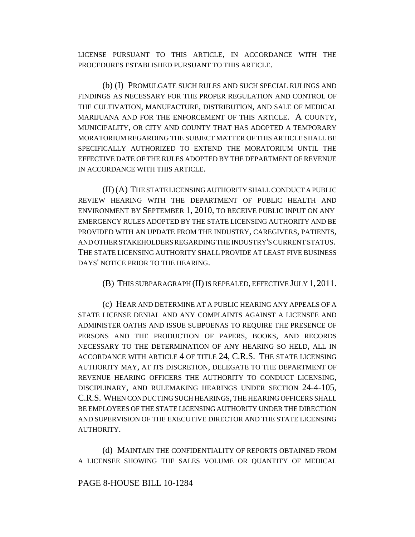LICENSE PURSUANT TO THIS ARTICLE, IN ACCORDANCE WITH THE PROCEDURES ESTABLISHED PURSUANT TO THIS ARTICLE.

(b) (I) PROMULGATE SUCH RULES AND SUCH SPECIAL RULINGS AND FINDINGS AS NECESSARY FOR THE PROPER REGULATION AND CONTROL OF THE CULTIVATION, MANUFACTURE, DISTRIBUTION, AND SALE OF MEDICAL MARIJUANA AND FOR THE ENFORCEMENT OF THIS ARTICLE. A COUNTY, MUNICIPALITY, OR CITY AND COUNTY THAT HAS ADOPTED A TEMPORARY MORATORIUM REGARDING THE SUBJECT MATTER OF THIS ARTICLE SHALL BE SPECIFICALLY AUTHORIZED TO EXTEND THE MORATORIUM UNTIL THE EFFECTIVE DATE OF THE RULES ADOPTED BY THE DEPARTMENT OF REVENUE IN ACCORDANCE WITH THIS ARTICLE.

(II) (A) THE STATE LICENSING AUTHORITY SHALL CONDUCT A PUBLIC REVIEW HEARING WITH THE DEPARTMENT OF PUBLIC HEALTH AND ENVIRONMENT BY SEPTEMBER 1, 2010, TO RECEIVE PUBLIC INPUT ON ANY EMERGENCY RULES ADOPTED BY THE STATE LICENSING AUTHORITY AND BE PROVIDED WITH AN UPDATE FROM THE INDUSTRY, CAREGIVERS, PATIENTS, AND OTHER STAKEHOLDERS REGARDING THE INDUSTRY'S CURRENT STATUS. THE STATE LICENSING AUTHORITY SHALL PROVIDE AT LEAST FIVE BUSINESS DAYS' NOTICE PRIOR TO THE HEARING.

(B) THIS SUBPARAGRAPH (II) IS REPEALED, EFFECTIVE JULY 1, 2011.

(c) HEAR AND DETERMINE AT A PUBLIC HEARING ANY APPEALS OF A STATE LICENSE DENIAL AND ANY COMPLAINTS AGAINST A LICENSEE AND ADMINISTER OATHS AND ISSUE SUBPOENAS TO REQUIRE THE PRESENCE OF PERSONS AND THE PRODUCTION OF PAPERS, BOOKS, AND RECORDS NECESSARY TO THE DETERMINATION OF ANY HEARING SO HELD, ALL IN ACCORDANCE WITH ARTICLE 4 OF TITLE 24, C.R.S. THE STATE LICENSING AUTHORITY MAY, AT ITS DISCRETION, DELEGATE TO THE DEPARTMENT OF REVENUE HEARING OFFICERS THE AUTHORITY TO CONDUCT LICENSING, DISCIPLINARY, AND RULEMAKING HEARINGS UNDER SECTION 24-4-105, C.R.S. WHEN CONDUCTING SUCH HEARINGS, THE HEARING OFFICERS SHALL BE EMPLOYEES OF THE STATE LICENSING AUTHORITY UNDER THE DIRECTION AND SUPERVISION OF THE EXECUTIVE DIRECTOR AND THE STATE LICENSING AUTHORITY.

(d) MAINTAIN THE CONFIDENTIALITY OF REPORTS OBTAINED FROM A LICENSEE SHOWING THE SALES VOLUME OR QUANTITY OF MEDICAL

#### PAGE 8-HOUSE BILL 10-1284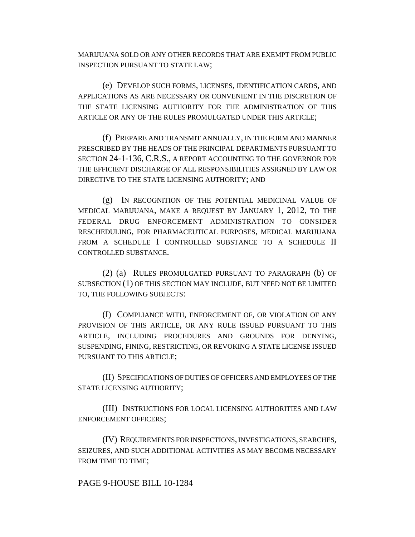MARIJUANA SOLD OR ANY OTHER RECORDS THAT ARE EXEMPT FROM PUBLIC INSPECTION PURSUANT TO STATE LAW;

(e) DEVELOP SUCH FORMS, LICENSES, IDENTIFICATION CARDS, AND APPLICATIONS AS ARE NECESSARY OR CONVENIENT IN THE DISCRETION OF THE STATE LICENSING AUTHORITY FOR THE ADMINISTRATION OF THIS ARTICLE OR ANY OF THE RULES PROMULGATED UNDER THIS ARTICLE;

(f) PREPARE AND TRANSMIT ANNUALLY, IN THE FORM AND MANNER PRESCRIBED BY THE HEADS OF THE PRINCIPAL DEPARTMENTS PURSUANT TO SECTION 24-1-136, C.R.S., A REPORT ACCOUNTING TO THE GOVERNOR FOR THE EFFICIENT DISCHARGE OF ALL RESPONSIBILITIES ASSIGNED BY LAW OR DIRECTIVE TO THE STATE LICENSING AUTHORITY; AND

(g) IN RECOGNITION OF THE POTENTIAL MEDICINAL VALUE OF MEDICAL MARIJUANA, MAKE A REQUEST BY JANUARY 1, 2012, TO THE FEDERAL DRUG ENFORCEMENT ADMINISTRATION TO CONSIDER RESCHEDULING, FOR PHARMACEUTICAL PURPOSES, MEDICAL MARIJUANA FROM A SCHEDULE I CONTROLLED SUBSTANCE TO A SCHEDULE II CONTROLLED SUBSTANCE.

(2) (a) RULES PROMULGATED PURSUANT TO PARAGRAPH (b) OF SUBSECTION (1) OF THIS SECTION MAY INCLUDE, BUT NEED NOT BE LIMITED TO, THE FOLLOWING SUBJECTS:

(I) COMPLIANCE WITH, ENFORCEMENT OF, OR VIOLATION OF ANY PROVISION OF THIS ARTICLE, OR ANY RULE ISSUED PURSUANT TO THIS ARTICLE, INCLUDING PROCEDURES AND GROUNDS FOR DENYING, SUSPENDING, FINING, RESTRICTING, OR REVOKING A STATE LICENSE ISSUED PURSUANT TO THIS ARTICLE;

(II) SPECIFICATIONS OF DUTIES OF OFFICERS AND EMPLOYEES OF THE STATE LICENSING AUTHORITY;

(III) INSTRUCTIONS FOR LOCAL LICENSING AUTHORITIES AND LAW ENFORCEMENT OFFICERS;

(IV) REQUIREMENTS FOR INSPECTIONS, INVESTIGATIONS, SEARCHES, SEIZURES, AND SUCH ADDITIONAL ACTIVITIES AS MAY BECOME NECESSARY FROM TIME TO TIME;

#### PAGE 9-HOUSE BILL 10-1284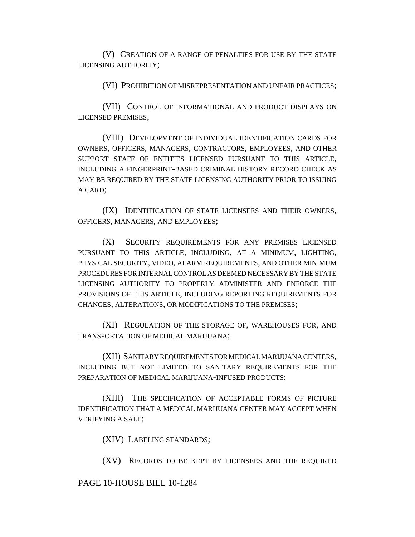(V) CREATION OF A RANGE OF PENALTIES FOR USE BY THE STATE LICENSING AUTHORITY;

(VI) PROHIBITION OF MISREPRESENTATION AND UNFAIR PRACTICES;

(VII) CONTROL OF INFORMATIONAL AND PRODUCT DISPLAYS ON LICENSED PREMISES;

(VIII) DEVELOPMENT OF INDIVIDUAL IDENTIFICATION CARDS FOR OWNERS, OFFICERS, MANAGERS, CONTRACTORS, EMPLOYEES, AND OTHER SUPPORT STAFF OF ENTITIES LICENSED PURSUANT TO THIS ARTICLE, INCLUDING A FINGERPRINT-BASED CRIMINAL HISTORY RECORD CHECK AS MAY BE REQUIRED BY THE STATE LICENSING AUTHORITY PRIOR TO ISSUING A CARD;

(IX) IDENTIFICATION OF STATE LICENSEES AND THEIR OWNERS, OFFICERS, MANAGERS, AND EMPLOYEES;

(X) SECURITY REQUIREMENTS FOR ANY PREMISES LICENSED PURSUANT TO THIS ARTICLE, INCLUDING, AT A MINIMUM, LIGHTING, PHYSICAL SECURITY, VIDEO, ALARM REQUIREMENTS, AND OTHER MINIMUM PROCEDURES FOR INTERNAL CONTROL AS DEEMED NECESSARY BY THE STATE LICENSING AUTHORITY TO PROPERLY ADMINISTER AND ENFORCE THE PROVISIONS OF THIS ARTICLE, INCLUDING REPORTING REQUIREMENTS FOR CHANGES, ALTERATIONS, OR MODIFICATIONS TO THE PREMISES;

(XI) REGULATION OF THE STORAGE OF, WAREHOUSES FOR, AND TRANSPORTATION OF MEDICAL MARIJUANA;

(XII) SANITARY REQUIREMENTS FOR MEDICAL MARIJUANA CENTERS, INCLUDING BUT NOT LIMITED TO SANITARY REQUIREMENTS FOR THE PREPARATION OF MEDICAL MARIJUANA-INFUSED PRODUCTS;

(XIII) THE SPECIFICATION OF ACCEPTABLE FORMS OF PICTURE IDENTIFICATION THAT A MEDICAL MARIJUANA CENTER MAY ACCEPT WHEN VERIFYING A SALE;

(XIV) LABELING STANDARDS;

(XV) RECORDS TO BE KEPT BY LICENSEES AND THE REQUIRED

#### PAGE 10-HOUSE BILL 10-1284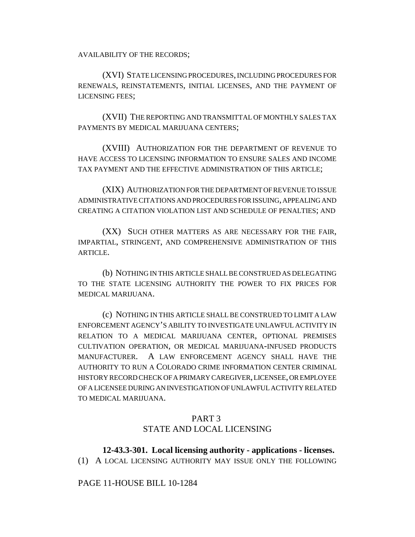AVAILABILITY OF THE RECORDS;

(XVI) STATE LICENSING PROCEDURES, INCLUDING PROCEDURES FOR RENEWALS, REINSTATEMENTS, INITIAL LICENSES, AND THE PAYMENT OF LICENSING FEES;

(XVII) THE REPORTING AND TRANSMITTAL OF MONTHLY SALES TAX PAYMENTS BY MEDICAL MARIJUANA CENTERS;

(XVIII) AUTHORIZATION FOR THE DEPARTMENT OF REVENUE TO HAVE ACCESS TO LICENSING INFORMATION TO ENSURE SALES AND INCOME TAX PAYMENT AND THE EFFECTIVE ADMINISTRATION OF THIS ARTICLE;

(XIX) AUTHORIZATION FOR THE DEPARTMENT OF REVENUE TO ISSUE ADMINISTRATIVE CITATIONS AND PROCEDURES FOR ISSUING, APPEALING AND CREATING A CITATION VIOLATION LIST AND SCHEDULE OF PENALTIES; AND

(XX) SUCH OTHER MATTERS AS ARE NECESSARY FOR THE FAIR, IMPARTIAL, STRINGENT, AND COMPREHENSIVE ADMINISTRATION OF THIS **ARTICLE.** 

(b) NOTHING IN THIS ARTICLE SHALL BE CONSTRUED AS DELEGATING TO THE STATE LICENSING AUTHORITY THE POWER TO FIX PRICES FOR MEDICAL MARIJUANA.

(c) NOTHING IN THIS ARTICLE SHALL BE CONSTRUED TO LIMIT A LAW ENFORCEMENT AGENCY'S ABILITY TO INVESTIGATE UNLAWFUL ACTIVITY IN RELATION TO A MEDICAL MARIJUANA CENTER, OPTIONAL PREMISES CULTIVATION OPERATION, OR MEDICAL MARIJUANA-INFUSED PRODUCTS MANUFACTURER. A LAW ENFORCEMENT AGENCY SHALL HAVE THE AUTHORITY TO RUN A COLORADO CRIME INFORMATION CENTER CRIMINAL HISTORY RECORD CHECK OF A PRIMARY CAREGIVER, LICENSEE, OR EMPLOYEE OF A LICENSEE DURING AN INVESTIGATION OF UNLAWFUL ACTIVITY RELATED TO MEDICAL MARIJUANA.

## PART 3

# STATE AND LOCAL LICENSING

# **12-43.3-301. Local licensing authority - applications - licenses.**

(1) A LOCAL LICENSING AUTHORITY MAY ISSUE ONLY THE FOLLOWING

### PAGE 11-HOUSE BILL 10-1284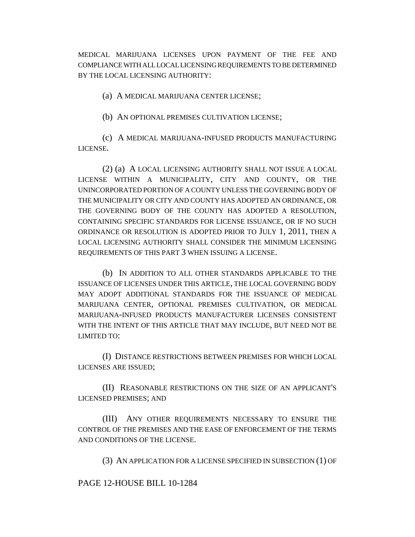MEDICAL MARIJUANA LICENSES UPON PAYMENT OF THE FEE AND COMPLIANCE WITH ALL LOCAL LICENSING REQUIREMENTS TO BE DETERMINED BY THE LOCAL LICENSING AUTHORITY:

(a) A MEDICAL MARIJUANA CENTER LICENSE;

(b) AN OPTIONAL PREMISES CULTIVATION LICENSE;

(c) A MEDICAL MARIJUANA-INFUSED PRODUCTS MANUFACTURING LICENSE.

(2) (a) A LOCAL LICENSING AUTHORITY SHALL NOT ISSUE A LOCAL LICENSE WITHIN A MUNICIPALITY, CITY AND COUNTY, OR THE UNINCORPORATED PORTION OF A COUNTY UNLESS THE GOVERNING BODY OF THE MUNICIPALITY OR CITY AND COUNTY HAS ADOPTED AN ORDINANCE, OR THE GOVERNING BODY OF THE COUNTY HAS ADOPTED A RESOLUTION, CONTAINING SPECIFIC STANDARDS FOR LICENSE ISSUANCE, OR IF NO SUCH ORDINANCE OR RESOLUTION IS ADOPTED PRIOR TO JULY 1, 2011, THEN A LOCAL LICENSING AUTHORITY SHALL CONSIDER THE MINIMUM LICENSING REQUIREMENTS OF THIS PART 3 WHEN ISSUING A LICENSE.

(b) IN ADDITION TO ALL OTHER STANDARDS APPLICABLE TO THE ISSUANCE OF LICENSES UNDER THIS ARTICLE, THE LOCAL GOVERNING BODY MAY ADOPT ADDITIONAL STANDARDS FOR THE ISSUANCE OF MEDICAL MARIJUANA CENTER, OPTIONAL PREMISES CULTIVATION, OR MEDICAL MARIJUANA-INFUSED PRODUCTS MANUFACTURER LICENSES CONSISTENT WITH THE INTENT OF THIS ARTICLE THAT MAY INCLUDE, BUT NEED NOT BE LIMITED TO:

(I) DISTANCE RESTRICTIONS BETWEEN PREMISES FOR WHICH LOCAL LICENSES ARE ISSUED;

(II) REASONABLE RESTRICTIONS ON THE SIZE OF AN APPLICANT'S LICENSED PREMISES; AND

(III) ANY OTHER REQUIREMENTS NECESSARY TO ENSURE THE CONTROL OF THE PREMISES AND THE EASE OF ENFORCEMENT OF THE TERMS AND CONDITIONS OF THE LICENSE.

(3) AN APPLICATION FOR A LICENSE SPECIFIED IN SUBSECTION (1) OF

PAGE 12-HOUSE BILL 10-1284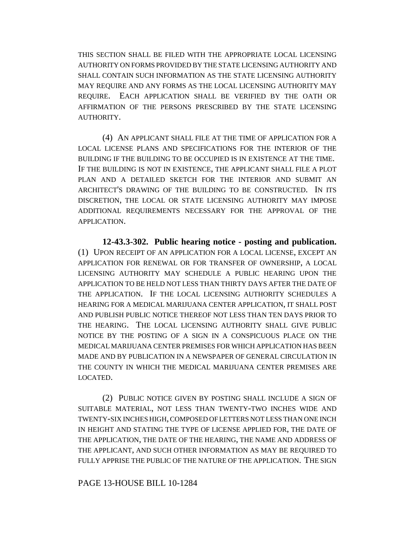THIS SECTION SHALL BE FILED WITH THE APPROPRIATE LOCAL LICENSING AUTHORITY ON FORMS PROVIDED BY THE STATE LICENSING AUTHORITY AND SHALL CONTAIN SUCH INFORMATION AS THE STATE LICENSING AUTHORITY MAY REQUIRE AND ANY FORMS AS THE LOCAL LICENSING AUTHORITY MAY REQUIRE. EACH APPLICATION SHALL BE VERIFIED BY THE OATH OR AFFIRMATION OF THE PERSONS PRESCRIBED BY THE STATE LICENSING AUTHORITY.

(4) AN APPLICANT SHALL FILE AT THE TIME OF APPLICATION FOR A LOCAL LICENSE PLANS AND SPECIFICATIONS FOR THE INTERIOR OF THE BUILDING IF THE BUILDING TO BE OCCUPIED IS IN EXISTENCE AT THE TIME. IF THE BUILDING IS NOT IN EXISTENCE, THE APPLICANT SHALL FILE A PLOT PLAN AND A DETAILED SKETCH FOR THE INTERIOR AND SUBMIT AN ARCHITECT'S DRAWING OF THE BUILDING TO BE CONSTRUCTED. IN ITS DISCRETION, THE LOCAL OR STATE LICENSING AUTHORITY MAY IMPOSE ADDITIONAL REQUIREMENTS NECESSARY FOR THE APPROVAL OF THE APPLICATION.

**12-43.3-302. Public hearing notice - posting and publication.** (1) UPON RECEIPT OF AN APPLICATION FOR A LOCAL LICENSE, EXCEPT AN APPLICATION FOR RENEWAL OR FOR TRANSFER OF OWNERSHIP, A LOCAL LICENSING AUTHORITY MAY SCHEDULE A PUBLIC HEARING UPON THE APPLICATION TO BE HELD NOT LESS THAN THIRTY DAYS AFTER THE DATE OF THE APPLICATION. IF THE LOCAL LICENSING AUTHORITY SCHEDULES A HEARING FOR A MEDICAL MARIJUANA CENTER APPLICATION, IT SHALL POST AND PUBLISH PUBLIC NOTICE THEREOF NOT LESS THAN TEN DAYS PRIOR TO THE HEARING. THE LOCAL LICENSING AUTHORITY SHALL GIVE PUBLIC NOTICE BY THE POSTING OF A SIGN IN A CONSPICUOUS PLACE ON THE MEDICAL MARIJUANA CENTER PREMISES FOR WHICH APPLICATION HAS BEEN MADE AND BY PUBLICATION IN A NEWSPAPER OF GENERAL CIRCULATION IN THE COUNTY IN WHICH THE MEDICAL MARIJUANA CENTER PREMISES ARE LOCATED.

(2) PUBLIC NOTICE GIVEN BY POSTING SHALL INCLUDE A SIGN OF SUITABLE MATERIAL, NOT LESS THAN TWENTY-TWO INCHES WIDE AND TWENTY-SIX INCHES HIGH, COMPOSED OF LETTERS NOT LESS THAN ONE INCH IN HEIGHT AND STATING THE TYPE OF LICENSE APPLIED FOR, THE DATE OF THE APPLICATION, THE DATE OF THE HEARING, THE NAME AND ADDRESS OF THE APPLICANT, AND SUCH OTHER INFORMATION AS MAY BE REQUIRED TO FULLY APPRISE THE PUBLIC OF THE NATURE OF THE APPLICATION. THE SIGN

PAGE 13-HOUSE BILL 10-1284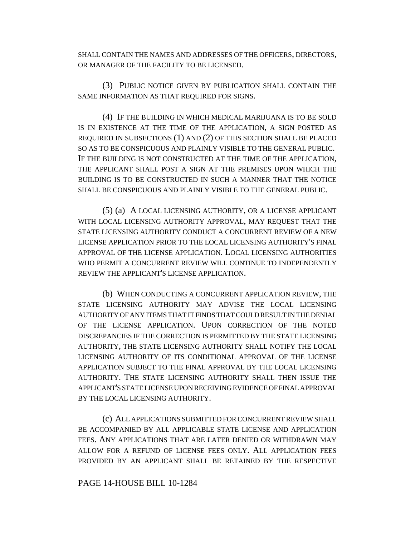SHALL CONTAIN THE NAMES AND ADDRESSES OF THE OFFICERS, DIRECTORS, OR MANAGER OF THE FACILITY TO BE LICENSED.

(3) PUBLIC NOTICE GIVEN BY PUBLICATION SHALL CONTAIN THE SAME INFORMATION AS THAT REQUIRED FOR SIGNS.

(4) IF THE BUILDING IN WHICH MEDICAL MARIJUANA IS TO BE SOLD IS IN EXISTENCE AT THE TIME OF THE APPLICATION, A SIGN POSTED AS REQUIRED IN SUBSECTIONS (1) AND (2) OF THIS SECTION SHALL BE PLACED SO AS TO BE CONSPICUOUS AND PLAINLY VISIBLE TO THE GENERAL PUBLIC. IF THE BUILDING IS NOT CONSTRUCTED AT THE TIME OF THE APPLICATION, THE APPLICANT SHALL POST A SIGN AT THE PREMISES UPON WHICH THE BUILDING IS TO BE CONSTRUCTED IN SUCH A MANNER THAT THE NOTICE SHALL BE CONSPICUOUS AND PLAINLY VISIBLE TO THE GENERAL PUBLIC.

(5) (a) A LOCAL LICENSING AUTHORITY, OR A LICENSE APPLICANT WITH LOCAL LICENSING AUTHORITY APPROVAL, MAY REQUEST THAT THE STATE LICENSING AUTHORITY CONDUCT A CONCURRENT REVIEW OF A NEW LICENSE APPLICATION PRIOR TO THE LOCAL LICENSING AUTHORITY'S FINAL APPROVAL OF THE LICENSE APPLICATION. LOCAL LICENSING AUTHORITIES WHO PERMIT A CONCURRENT REVIEW WILL CONTINUE TO INDEPENDENTLY REVIEW THE APPLICANT'S LICENSE APPLICATION.

(b) WHEN CONDUCTING A CONCURRENT APPLICATION REVIEW, THE STATE LICENSING AUTHORITY MAY ADVISE THE LOCAL LICENSING AUTHORITY OF ANY ITEMS THAT IT FINDS THAT COULD RESULT IN THE DENIAL OF THE LICENSE APPLICATION. UPON CORRECTION OF THE NOTED DISCREPANCIES IF THE CORRECTION IS PERMITTED BY THE STATE LICENSING AUTHORITY, THE STATE LICENSING AUTHORITY SHALL NOTIFY THE LOCAL LICENSING AUTHORITY OF ITS CONDITIONAL APPROVAL OF THE LICENSE APPLICATION SUBJECT TO THE FINAL APPROVAL BY THE LOCAL LICENSING AUTHORITY. THE STATE LICENSING AUTHORITY SHALL THEN ISSUE THE APPLICANT'S STATE LICENSE UPON RECEIVING EVIDENCE OF FINAL APPROVAL BY THE LOCAL LICENSING AUTHORITY.

(c) ALL APPLICATIONS SUBMITTED FOR CONCURRENT REVIEW SHALL BE ACCOMPANIED BY ALL APPLICABLE STATE LICENSE AND APPLICATION FEES. ANY APPLICATIONS THAT ARE LATER DENIED OR WITHDRAWN MAY ALLOW FOR A REFUND OF LICENSE FEES ONLY. ALL APPLICATION FEES PROVIDED BY AN APPLICANT SHALL BE RETAINED BY THE RESPECTIVE

#### PAGE 14-HOUSE BILL 10-1284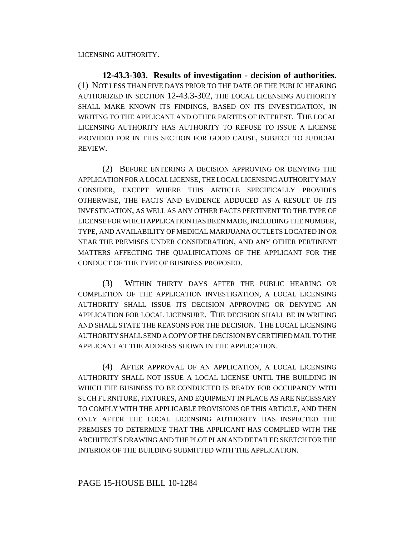LICENSING AUTHORITY.

**12-43.3-303. Results of investigation - decision of authorities.** (1) NOT LESS THAN FIVE DAYS PRIOR TO THE DATE OF THE PUBLIC HEARING AUTHORIZED IN SECTION 12-43.3-302, THE LOCAL LICENSING AUTHORITY SHALL MAKE KNOWN ITS FINDINGS, BASED ON ITS INVESTIGATION, IN WRITING TO THE APPLICANT AND OTHER PARTIES OF INTEREST. THE LOCAL LICENSING AUTHORITY HAS AUTHORITY TO REFUSE TO ISSUE A LICENSE PROVIDED FOR IN THIS SECTION FOR GOOD CAUSE, SUBJECT TO JUDICIAL REVIEW.

(2) BEFORE ENTERING A DECISION APPROVING OR DENYING THE APPLICATION FOR A LOCAL LICENSE, THE LOCAL LICENSING AUTHORITY MAY CONSIDER, EXCEPT WHERE THIS ARTICLE SPECIFICALLY PROVIDES OTHERWISE, THE FACTS AND EVIDENCE ADDUCED AS A RESULT OF ITS INVESTIGATION, AS WELL AS ANY OTHER FACTS PERTINENT TO THE TYPE OF LICENSE FOR WHICH APPLICATION HAS BEEN MADE, INCLUDING THE NUMBER, TYPE, AND AVAILABILITY OF MEDICAL MARIJUANA OUTLETS LOCATED IN OR NEAR THE PREMISES UNDER CONSIDERATION, AND ANY OTHER PERTINENT MATTERS AFFECTING THE QUALIFICATIONS OF THE APPLICANT FOR THE CONDUCT OF THE TYPE OF BUSINESS PROPOSED.

(3) WITHIN THIRTY DAYS AFTER THE PUBLIC HEARING OR COMPLETION OF THE APPLICATION INVESTIGATION, A LOCAL LICENSING AUTHORITY SHALL ISSUE ITS DECISION APPROVING OR DENYING AN APPLICATION FOR LOCAL LICENSURE. THE DECISION SHALL BE IN WRITING AND SHALL STATE THE REASONS FOR THE DECISION. THE LOCAL LICENSING AUTHORITY SHALL SEND A COPY OF THE DECISION BY CERTIFIED MAIL TO THE APPLICANT AT THE ADDRESS SHOWN IN THE APPLICATION.

(4) AFTER APPROVAL OF AN APPLICATION, A LOCAL LICENSING AUTHORITY SHALL NOT ISSUE A LOCAL LICENSE UNTIL THE BUILDING IN WHICH THE BUSINESS TO BE CONDUCTED IS READY FOR OCCUPANCY WITH SUCH FURNITURE, FIXTURES, AND EQUIPMENT IN PLACE AS ARE NECESSARY TO COMPLY WITH THE APPLICABLE PROVISIONS OF THIS ARTICLE, AND THEN ONLY AFTER THE LOCAL LICENSING AUTHORITY HAS INSPECTED THE PREMISES TO DETERMINE THAT THE APPLICANT HAS COMPLIED WITH THE ARCHITECT'S DRAWING AND THE PLOT PLAN AND DETAILED SKETCH FOR THE INTERIOR OF THE BUILDING SUBMITTED WITH THE APPLICATION.

# PAGE 15-HOUSE BILL 10-1284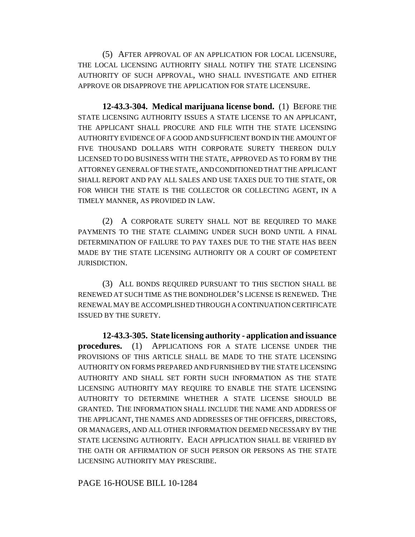(5) AFTER APPROVAL OF AN APPLICATION FOR LOCAL LICENSURE, THE LOCAL LICENSING AUTHORITY SHALL NOTIFY THE STATE LICENSING AUTHORITY OF SUCH APPROVAL, WHO SHALL INVESTIGATE AND EITHER APPROVE OR DISAPPROVE THE APPLICATION FOR STATE LICENSURE.

**12-43.3-304. Medical marijuana license bond.** (1) BEFORE THE STATE LICENSING AUTHORITY ISSUES A STATE LICENSE TO AN APPLICANT, THE APPLICANT SHALL PROCURE AND FILE WITH THE STATE LICENSING AUTHORITY EVIDENCE OF A GOOD AND SUFFICIENT BOND IN THE AMOUNT OF FIVE THOUSAND DOLLARS WITH CORPORATE SURETY THEREON DULY LICENSED TO DO BUSINESS WITH THE STATE, APPROVED AS TO FORM BY THE ATTORNEY GENERAL OF THE STATE, AND CONDITIONED THAT THE APPLICANT SHALL REPORT AND PAY ALL SALES AND USE TAXES DUE TO THE STATE, OR FOR WHICH THE STATE IS THE COLLECTOR OR COLLECTING AGENT, IN A TIMELY MANNER, AS PROVIDED IN LAW.

(2) A CORPORATE SURETY SHALL NOT BE REQUIRED TO MAKE PAYMENTS TO THE STATE CLAIMING UNDER SUCH BOND UNTIL A FINAL DETERMINATION OF FAILURE TO PAY TAXES DUE TO THE STATE HAS BEEN MADE BY THE STATE LICENSING AUTHORITY OR A COURT OF COMPETENT JURISDICTION.

(3) ALL BONDS REQUIRED PURSUANT TO THIS SECTION SHALL BE RENEWED AT SUCH TIME AS THE BONDHOLDER'S LICENSE IS RENEWED. THE RENEWAL MAY BE ACCOMPLISHED THROUGH A CONTINUATION CERTIFICATE ISSUED BY THE SURETY.

**12-43.3-305. State licensing authority - application and issuance procedures.** (1) APPLICATIONS FOR A STATE LICENSE UNDER THE PROVISIONS OF THIS ARTICLE SHALL BE MADE TO THE STATE LICENSING AUTHORITY ON FORMS PREPARED AND FURNISHED BY THE STATE LICENSING AUTHORITY AND SHALL SET FORTH SUCH INFORMATION AS THE STATE LICENSING AUTHORITY MAY REQUIRE TO ENABLE THE STATE LICENSING AUTHORITY TO DETERMINE WHETHER A STATE LICENSE SHOULD BE GRANTED. THE INFORMATION SHALL INCLUDE THE NAME AND ADDRESS OF THE APPLICANT, THE NAMES AND ADDRESSES OF THE OFFICERS, DIRECTORS, OR MANAGERS, AND ALL OTHER INFORMATION DEEMED NECESSARY BY THE STATE LICENSING AUTHORITY. EACH APPLICATION SHALL BE VERIFIED BY THE OATH OR AFFIRMATION OF SUCH PERSON OR PERSONS AS THE STATE LICENSING AUTHORITY MAY PRESCRIBE.

PAGE 16-HOUSE BILL 10-1284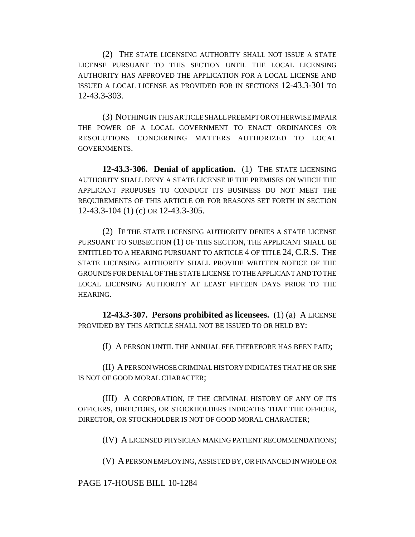(2) THE STATE LICENSING AUTHORITY SHALL NOT ISSUE A STATE LICENSE PURSUANT TO THIS SECTION UNTIL THE LOCAL LICENSING AUTHORITY HAS APPROVED THE APPLICATION FOR A LOCAL LICENSE AND ISSUED A LOCAL LICENSE AS PROVIDED FOR IN SECTIONS 12-43.3-301 TO 12-43.3-303.

(3) NOTHING IN THIS ARTICLE SHALL PREEMPT OR OTHERWISE IMPAIR THE POWER OF A LOCAL GOVERNMENT TO ENACT ORDINANCES OR RESOLUTIONS CONCERNING MATTERS AUTHORIZED TO LOCAL GOVERNMENTS.

**12-43.3-306. Denial of application.** (1) THE STATE LICENSING AUTHORITY SHALL DENY A STATE LICENSE IF THE PREMISES ON WHICH THE APPLICANT PROPOSES TO CONDUCT ITS BUSINESS DO NOT MEET THE REQUIREMENTS OF THIS ARTICLE OR FOR REASONS SET FORTH IN SECTION 12-43.3-104 (1) (c) OR 12-43.3-305.

(2) IF THE STATE LICENSING AUTHORITY DENIES A STATE LICENSE PURSUANT TO SUBSECTION (1) OF THIS SECTION, THE APPLICANT SHALL BE ENTITLED TO A HEARING PURSUANT TO ARTICLE 4 OF TITLE 24, C.R.S. THE STATE LICENSING AUTHORITY SHALL PROVIDE WRITTEN NOTICE OF THE GROUNDS FOR DENIAL OF THE STATE LICENSE TO THE APPLICANT AND TO THE LOCAL LICENSING AUTHORITY AT LEAST FIFTEEN DAYS PRIOR TO THE HEARING.

**12-43.3-307. Persons prohibited as licensees.** (1) (a) A LICENSE PROVIDED BY THIS ARTICLE SHALL NOT BE ISSUED TO OR HELD BY:

(I) A PERSON UNTIL THE ANNUAL FEE THEREFORE HAS BEEN PAID;

(II) A PERSON WHOSE CRIMINAL HISTORY INDICATES THAT HE OR SHE IS NOT OF GOOD MORAL CHARACTER;

(III) A CORPORATION, IF THE CRIMINAL HISTORY OF ANY OF ITS OFFICERS, DIRECTORS, OR STOCKHOLDERS INDICATES THAT THE OFFICER, DIRECTOR, OR STOCKHOLDER IS NOT OF GOOD MORAL CHARACTER;

(IV) A LICENSED PHYSICIAN MAKING PATIENT RECOMMENDATIONS;

(V) A PERSON EMPLOYING, ASSISTED BY, OR FINANCED IN WHOLE OR

### PAGE 17-HOUSE BILL 10-1284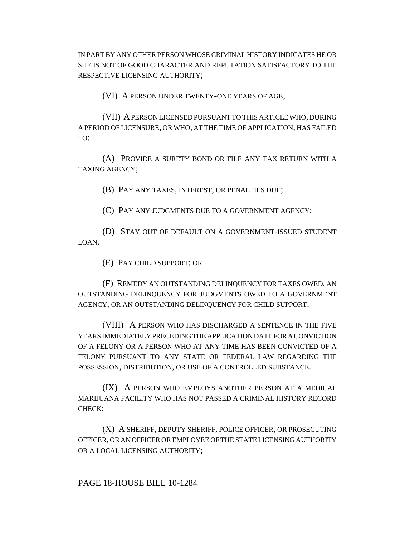IN PART BY ANY OTHER PERSON WHOSE CRIMINAL HISTORY INDICATES HE OR SHE IS NOT OF GOOD CHARACTER AND REPUTATION SATISFACTORY TO THE RESPECTIVE LICENSING AUTHORITY;

(VI) A PERSON UNDER TWENTY-ONE YEARS OF AGE;

(VII) A PERSON LICENSED PURSUANT TO THIS ARTICLE WHO, DURING A PERIOD OF LICENSURE, OR WHO, AT THE TIME OF APPLICATION, HAS FAILED TO:

(A) PROVIDE A SURETY BOND OR FILE ANY TAX RETURN WITH A TAXING AGENCY;

(B) PAY ANY TAXES, INTEREST, OR PENALTIES DUE;

(C) PAY ANY JUDGMENTS DUE TO A GOVERNMENT AGENCY;

(D) STAY OUT OF DEFAULT ON A GOVERNMENT-ISSUED STUDENT LOAN.

(E) PAY CHILD SUPPORT; OR

(F) REMEDY AN OUTSTANDING DELINQUENCY FOR TAXES OWED, AN OUTSTANDING DELINQUENCY FOR JUDGMENTS OWED TO A GOVERNMENT AGENCY, OR AN OUTSTANDING DELINQUENCY FOR CHILD SUPPORT.

(VIII) A PERSON WHO HAS DISCHARGED A SENTENCE IN THE FIVE YEARS IMMEDIATELY PRECEDING THE APPLICATION DATE FOR A CONVICTION OF A FELONY OR A PERSON WHO AT ANY TIME HAS BEEN CONVICTED OF A FELONY PURSUANT TO ANY STATE OR FEDERAL LAW REGARDING THE POSSESSION, DISTRIBUTION, OR USE OF A CONTROLLED SUBSTANCE.

(IX) A PERSON WHO EMPLOYS ANOTHER PERSON AT A MEDICAL MARIJUANA FACILITY WHO HAS NOT PASSED A CRIMINAL HISTORY RECORD CHECK;

(X) A SHERIFF, DEPUTY SHERIFF, POLICE OFFICER, OR PROSECUTING OFFICER, OR AN OFFICER OR EMPLOYEE OF THE STATE LICENSING AUTHORITY OR A LOCAL LICENSING AUTHORITY;

PAGE 18-HOUSE BILL 10-1284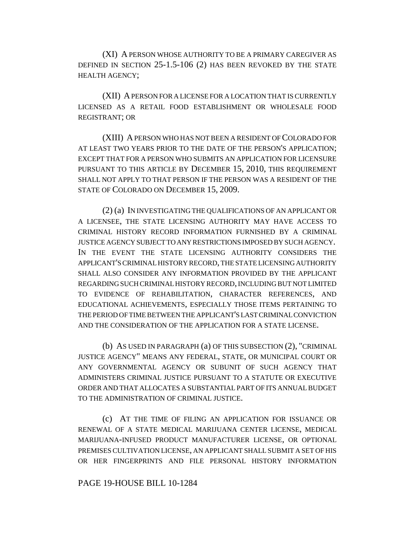(XI) A PERSON WHOSE AUTHORITY TO BE A PRIMARY CAREGIVER AS DEFINED IN SECTION 25-1.5-106 (2) HAS BEEN REVOKED BY THE STATE HEALTH AGENCY;

(XII) A PERSON FOR A LICENSE FOR A LOCATION THAT IS CURRENTLY LICENSED AS A RETAIL FOOD ESTABLISHMENT OR WHOLESALE FOOD REGISTRANT; OR

(XIII) A PERSON WHO HAS NOT BEEN A RESIDENT OF COLORADO FOR AT LEAST TWO YEARS PRIOR TO THE DATE OF THE PERSON'S APPLICATION; EXCEPT THAT FOR A PERSON WHO SUBMITS AN APPLICATION FOR LICENSURE PURSUANT TO THIS ARTICLE BY DECEMBER 15, 2010, THIS REQUIREMENT SHALL NOT APPLY TO THAT PERSON IF THE PERSON WAS A RESIDENT OF THE STATE OF COLORADO ON DECEMBER 15, 2009.

(2) (a) IN INVESTIGATING THE QUALIFICATIONS OF AN APPLICANT OR A LICENSEE, THE STATE LICENSING AUTHORITY MAY HAVE ACCESS TO CRIMINAL HISTORY RECORD INFORMATION FURNISHED BY A CRIMINAL JUSTICE AGENCY SUBJECT TO ANY RESTRICTIONS IMPOSED BY SUCH AGENCY. IN THE EVENT THE STATE LICENSING AUTHORITY CONSIDERS THE APPLICANT'S CRIMINAL HISTORY RECORD, THE STATE LICENSING AUTHORITY SHALL ALSO CONSIDER ANY INFORMATION PROVIDED BY THE APPLICANT REGARDING SUCH CRIMINAL HISTORY RECORD, INCLUDING BUT NOT LIMITED TO EVIDENCE OF REHABILITATION, CHARACTER REFERENCES, AND EDUCATIONAL ACHIEVEMENTS, ESPECIALLY THOSE ITEMS PERTAINING TO THE PERIOD OF TIME BETWEEN THE APPLICANT'S LAST CRIMINAL CONVICTION AND THE CONSIDERATION OF THE APPLICATION FOR A STATE LICENSE.

(b) AS USED IN PARAGRAPH (a) OF THIS SUBSECTION (2), "CRIMINAL JUSTICE AGENCY" MEANS ANY FEDERAL, STATE, OR MUNICIPAL COURT OR ANY GOVERNMENTAL AGENCY OR SUBUNIT OF SUCH AGENCY THAT ADMINISTERS CRIMINAL JUSTICE PURSUANT TO A STATUTE OR EXECUTIVE ORDER AND THAT ALLOCATES A SUBSTANTIAL PART OF ITS ANNUAL BUDGET TO THE ADMINISTRATION OF CRIMINAL JUSTICE.

(c) AT THE TIME OF FILING AN APPLICATION FOR ISSUANCE OR RENEWAL OF A STATE MEDICAL MARIJUANA CENTER LICENSE, MEDICAL MARIJUANA-INFUSED PRODUCT MANUFACTURER LICENSE, OR OPTIONAL PREMISES CULTIVATION LICENSE, AN APPLICANT SHALL SUBMIT A SET OF HIS OR HER FINGERPRINTS AND FILE PERSONAL HISTORY INFORMATION

#### PAGE 19-HOUSE BILL 10-1284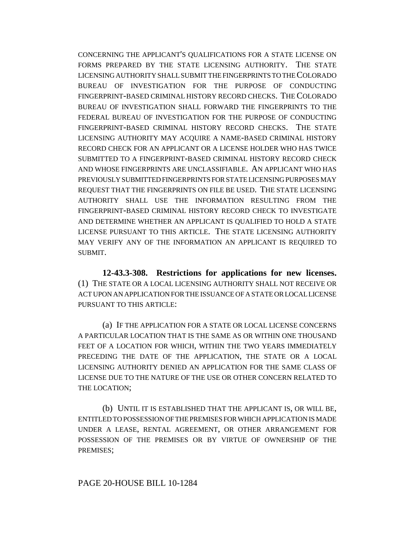CONCERNING THE APPLICANT'S QUALIFICATIONS FOR A STATE LICENSE ON FORMS PREPARED BY THE STATE LICENSING AUTHORITY. THE STATE LICENSING AUTHORITY SHALL SUBMIT THE FINGERPRINTS TO THE COLORADO BUREAU OF INVESTIGATION FOR THE PURPOSE OF CONDUCTING FINGERPRINT-BASED CRIMINAL HISTORY RECORD CHECKS. THE COLORADO BUREAU OF INVESTIGATION SHALL FORWARD THE FINGERPRINTS TO THE FEDERAL BUREAU OF INVESTIGATION FOR THE PURPOSE OF CONDUCTING FINGERPRINT-BASED CRIMINAL HISTORY RECORD CHECKS. THE STATE LICENSING AUTHORITY MAY ACQUIRE A NAME-BASED CRIMINAL HISTORY RECORD CHECK FOR AN APPLICANT OR A LICENSE HOLDER WHO HAS TWICE SUBMITTED TO A FINGERPRINT-BASED CRIMINAL HISTORY RECORD CHECK AND WHOSE FINGERPRINTS ARE UNCLASSIFIABLE. AN APPLICANT WHO HAS PREVIOUSLY SUBMITTED FINGERPRINTS FOR STATE LICENSING PURPOSES MAY REQUEST THAT THE FINGERPRINTS ON FILE BE USED. THE STATE LICENSING AUTHORITY SHALL USE THE INFORMATION RESULTING FROM THE FINGERPRINT-BASED CRIMINAL HISTORY RECORD CHECK TO INVESTIGATE AND DETERMINE WHETHER AN APPLICANT IS QUALIFIED TO HOLD A STATE LICENSE PURSUANT TO THIS ARTICLE. THE STATE LICENSING AUTHORITY MAY VERIFY ANY OF THE INFORMATION AN APPLICANT IS REQUIRED TO SUBMIT.

**12-43.3-308. Restrictions for applications for new licenses.** (1) THE STATE OR A LOCAL LICENSING AUTHORITY SHALL NOT RECEIVE OR ACT UPON AN APPLICATION FOR THE ISSUANCE OF A STATE OR LOCAL LICENSE PURSUANT TO THIS ARTICLE:

(a) IF THE APPLICATION FOR A STATE OR LOCAL LICENSE CONCERNS A PARTICULAR LOCATION THAT IS THE SAME AS OR WITHIN ONE THOUSAND FEET OF A LOCATION FOR WHICH, WITHIN THE TWO YEARS IMMEDIATELY PRECEDING THE DATE OF THE APPLICATION, THE STATE OR A LOCAL LICENSING AUTHORITY DENIED AN APPLICATION FOR THE SAME CLASS OF LICENSE DUE TO THE NATURE OF THE USE OR OTHER CONCERN RELATED TO THE LOCATION;

(b) UNTIL IT IS ESTABLISHED THAT THE APPLICANT IS, OR WILL BE, ENTITLED TO POSSESSION OF THE PREMISES FOR WHICH APPLICATION IS MADE UNDER A LEASE, RENTAL AGREEMENT, OR OTHER ARRANGEMENT FOR POSSESSION OF THE PREMISES OR BY VIRTUE OF OWNERSHIP OF THE PREMISES;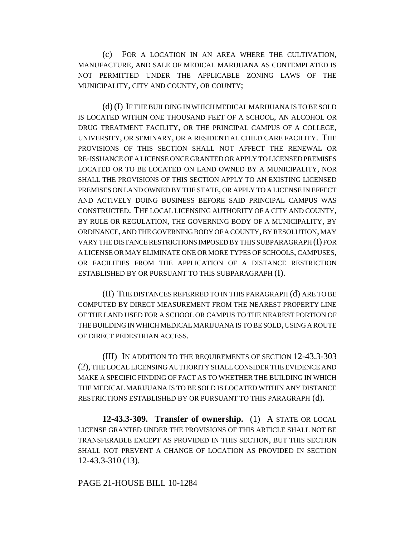(c) FOR A LOCATION IN AN AREA WHERE THE CULTIVATION, MANUFACTURE, AND SALE OF MEDICAL MARIJUANA AS CONTEMPLATED IS NOT PERMITTED UNDER THE APPLICABLE ZONING LAWS OF THE MUNICIPALITY, CITY AND COUNTY, OR COUNTY;

(d) (I) IF THE BUILDING IN WHICH MEDICAL MARIJUANA IS TO BE SOLD IS LOCATED WITHIN ONE THOUSAND FEET OF A SCHOOL, AN ALCOHOL OR DRUG TREATMENT FACILITY, OR THE PRINCIPAL CAMPUS OF A COLLEGE, UNIVERSITY, OR SEMINARY, OR A RESIDENTIAL CHILD CARE FACILITY. THE PROVISIONS OF THIS SECTION SHALL NOT AFFECT THE RENEWAL OR RE-ISSUANCE OF A LICENSE ONCE GRANTED OR APPLY TO LICENSED PREMISES LOCATED OR TO BE LOCATED ON LAND OWNED BY A MUNICIPALITY, NOR SHALL THE PROVISIONS OF THIS SECTION APPLY TO AN EXISTING LICENSED PREMISES ON LAND OWNED BY THE STATE, OR APPLY TO A LICENSE IN EFFECT AND ACTIVELY DOING BUSINESS BEFORE SAID PRINCIPAL CAMPUS WAS CONSTRUCTED. THE LOCAL LICENSING AUTHORITY OF A CITY AND COUNTY, BY RULE OR REGULATION, THE GOVERNING BODY OF A MUNICIPALITY, BY ORDINANCE, AND THE GOVERNING BODY OF A COUNTY, BY RESOLUTION, MAY VARY THE DISTANCE RESTRICTIONS IMPOSED BY THIS SUBPARAGRAPH (I) FOR A LICENSE OR MAY ELIMINATE ONE OR MORE TYPES OF SCHOOLS, CAMPUSES, OR FACILITIES FROM THE APPLICATION OF A DISTANCE RESTRICTION ESTABLISHED BY OR PURSUANT TO THIS SUBPARAGRAPH (I).

(II) THE DISTANCES REFERRED TO IN THIS PARAGRAPH (d) ARE TO BE COMPUTED BY DIRECT MEASUREMENT FROM THE NEAREST PROPERTY LINE OF THE LAND USED FOR A SCHOOL OR CAMPUS TO THE NEAREST PORTION OF THE BUILDING IN WHICH MEDICAL MARIJUANA IS TO BE SOLD, USING A ROUTE OF DIRECT PEDESTRIAN ACCESS.

(III) IN ADDITION TO THE REQUIREMENTS OF SECTION 12-43.3-303 (2), THE LOCAL LICENSING AUTHORITY SHALL CONSIDER THE EVIDENCE AND MAKE A SPECIFIC FINDING OF FACT AS TO WHETHER THE BUILDING IN WHICH THE MEDICAL MARIJUANA IS TO BE SOLD IS LOCATED WITHIN ANY DISTANCE RESTRICTIONS ESTABLISHED BY OR PURSUANT TO THIS PARAGRAPH (d).

**12-43.3-309. Transfer of ownership.** (1) A STATE OR LOCAL LICENSE GRANTED UNDER THE PROVISIONS OF THIS ARTICLE SHALL NOT BE TRANSFERABLE EXCEPT AS PROVIDED IN THIS SECTION, BUT THIS SECTION SHALL NOT PREVENT A CHANGE OF LOCATION AS PROVIDED IN SECTION 12-43.3-310 (13).

#### PAGE 21-HOUSE BILL 10-1284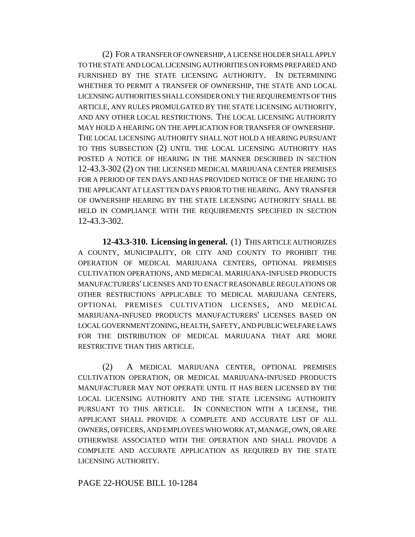(2) FOR A TRANSFER OF OWNERSHIP, A LICENSE HOLDER SHALL APPLY TO THE STATE AND LOCAL LICENSING AUTHORITIES ON FORMS PREPARED AND FURNISHED BY THE STATE LICENSING AUTHORITY. IN DETERMINING WHETHER TO PERMIT A TRANSFER OF OWNERSHIP, THE STATE AND LOCAL LICENSING AUTHORITIES SHALL CONSIDER ONLY THE REQUIREMENTS OF THIS ARTICLE, ANY RULES PROMULGATED BY THE STATE LICENSING AUTHORITY, AND ANY OTHER LOCAL RESTRICTIONS. THE LOCAL LICENSING AUTHORITY MAY HOLD A HEARING ON THE APPLICATION FOR TRANSFER OF OWNERSHIP. THE LOCAL LICENSING AUTHORITY SHALL NOT HOLD A HEARING PURSUANT TO THIS SUBSECTION (2) UNTIL THE LOCAL LICENSING AUTHORITY HAS POSTED A NOTICE OF HEARING IN THE MANNER DESCRIBED IN SECTION 12-43.3-302 (2) ON THE LICENSED MEDICAL MARIJUANA CENTER PREMISES FOR A PERIOD OF TEN DAYS AND HAS PROVIDED NOTICE OF THE HEARING TO THE APPLICANT AT LEAST TEN DAYS PRIOR TO THE HEARING. ANY TRANSFER OF OWNERSHIP HEARING BY THE STATE LICENSING AUTHORITY SHALL BE HELD IN COMPLIANCE WITH THE REQUIREMENTS SPECIFIED IN SECTION 12-43.3-302.

**12-43.3-310. Licensing in general.** (1) THIS ARTICLE AUTHORIZES A COUNTY, MUNICIPALITY, OR CITY AND COUNTY TO PROHIBIT THE OPERATION OF MEDICAL MARIJUANA CENTERS, OPTIONAL PREMISES CULTIVATION OPERATIONS, AND MEDICAL MARIJUANA-INFUSED PRODUCTS MANUFACTURERS' LICENSES AND TO ENACT REASONABLE REGULATIONS OR OTHER RESTRICTIONS APPLICABLE TO MEDICAL MARIJUANA CENTERS, OPTIONAL PREMISES CULTIVATION LICENSES, AND MEDICAL MARIJUANA-INFUSED PRODUCTS MANUFACTURERS' LICENSES BASED ON LOCAL GOVERNMENT ZONING, HEALTH, SAFETY, AND PUBLIC WELFARE LAWS FOR THE DISTRIBUTION OF MEDICAL MARIJUANA THAT ARE MORE RESTRICTIVE THAN THIS ARTICLE.

(2) A MEDICAL MARIJUANA CENTER, OPTIONAL PREMISES CULTIVATION OPERATION, OR MEDICAL MARIJUANA-INFUSED PRODUCTS MANUFACTURER MAY NOT OPERATE UNTIL IT HAS BEEN LICENSED BY THE LOCAL LICENSING AUTHORITY AND THE STATE LICENSING AUTHORITY PURSUANT TO THIS ARTICLE. IN CONNECTION WITH A LICENSE, THE APPLICANT SHALL PROVIDE A COMPLETE AND ACCURATE LIST OF ALL OWNERS, OFFICERS, AND EMPLOYEES WHO WORK AT, MANAGE, OWN, OR ARE OTHERWISE ASSOCIATED WITH THE OPERATION AND SHALL PROVIDE A COMPLETE AND ACCURATE APPLICATION AS REQUIRED BY THE STATE LICENSING AUTHORITY.

### PAGE 22-HOUSE BILL 10-1284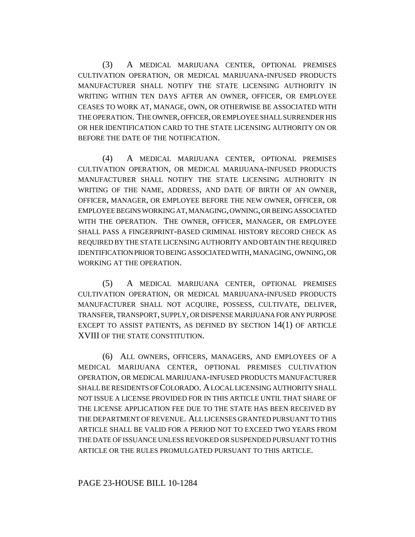(3) A MEDICAL MARIJUANA CENTER, OPTIONAL PREMISES CULTIVATION OPERATION, OR MEDICAL MARIJUANA-INFUSED PRODUCTS MANUFACTURER SHALL NOTIFY THE STATE LICENSING AUTHORITY IN WRITING WITHIN TEN DAYS AFTER AN OWNER, OFFICER, OR EMPLOYEE CEASES TO WORK AT, MANAGE, OWN, OR OTHERWISE BE ASSOCIATED WITH THE OPERATION. THE OWNER, OFFICER, OR EMPLOYEE SHALL SURRENDER HIS OR HER IDENTIFICATION CARD TO THE STATE LICENSING AUTHORITY ON OR BEFORE THE DATE OF THE NOTIFICATION.

(4) A MEDICAL MARIJUANA CENTER, OPTIONAL PREMISES CULTIVATION OPERATION, OR MEDICAL MARIJUANA-INFUSED PRODUCTS MANUFACTURER SHALL NOTIFY THE STATE LICENSING AUTHORITY IN WRITING OF THE NAME, ADDRESS, AND DATE OF BIRTH OF AN OWNER, OFFICER, MANAGER, OR EMPLOYEE BEFORE THE NEW OWNER, OFFICER, OR EMPLOYEE BEGINS WORKING AT, MANAGING, OWNING, OR BEING ASSOCIATED WITH THE OPERATION. THE OWNER, OFFICER, MANAGER, OR EMPLOYEE SHALL PASS A FINGERPRINT-BASED CRIMINAL HISTORY RECORD CHECK AS REQUIRED BY THE STATE LICENSING AUTHORITY AND OBTAIN THE REQUIRED IDENTIFICATION PRIOR TO BEING ASSOCIATED WITH, MANAGING, OWNING, OR WORKING AT THE OPERATION.

(5) A MEDICAL MARIJUANA CENTER, OPTIONAL PREMISES CULTIVATION OPERATION, OR MEDICAL MARIJUANA-INFUSED PRODUCTS MANUFACTURER SHALL NOT ACQUIRE, POSSESS, CULTIVATE, DELIVER, TRANSFER, TRANSPORT, SUPPLY, OR DISPENSE MARIJUANA FOR ANY PURPOSE EXCEPT TO ASSIST PATIENTS, AS DEFINED BY SECTION 14(1) OF ARTICLE XVIII OF THE STATE CONSTITUTION.

(6) ALL OWNERS, OFFICERS, MANAGERS, AND EMPLOYEES OF A MEDICAL MARIJUANA CENTER, OPTIONAL PREMISES CULTIVATION OPERATION, OR MEDICAL MARIJUANA-INFUSED PRODUCTS MANUFACTURER SHALL BE RESIDENTS OF COLORADO. A LOCAL LICENSING AUTHORITY SHALL NOT ISSUE A LICENSE PROVIDED FOR IN THIS ARTICLE UNTIL THAT SHARE OF THE LICENSE APPLICATION FEE DUE TO THE STATE HAS BEEN RECEIVED BY THE DEPARTMENT OF REVENUE. ALL LICENSES GRANTED PURSUANT TO THIS ARTICLE SHALL BE VALID FOR A PERIOD NOT TO EXCEED TWO YEARS FROM THE DATE OF ISSUANCE UNLESS REVOKED OR SUSPENDED PURSUANT TO THIS ARTICLE OR THE RULES PROMULGATED PURSUANT TO THIS ARTICLE.

### PAGE 23-HOUSE BILL 10-1284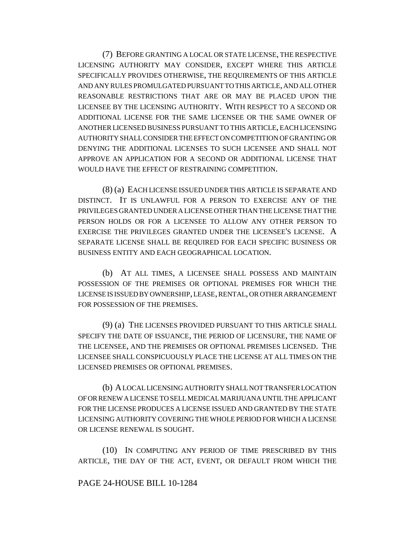(7) BEFORE GRANTING A LOCAL OR STATE LICENSE, THE RESPECTIVE LICENSING AUTHORITY MAY CONSIDER, EXCEPT WHERE THIS ARTICLE SPECIFICALLY PROVIDES OTHERWISE, THE REQUIREMENTS OF THIS ARTICLE AND ANY RULES PROMULGATED PURSUANT TO THIS ARTICLE, AND ALL OTHER REASONABLE RESTRICTIONS THAT ARE OR MAY BE PLACED UPON THE LICENSEE BY THE LICENSING AUTHORITY. WITH RESPECT TO A SECOND OR ADDITIONAL LICENSE FOR THE SAME LICENSEE OR THE SAME OWNER OF ANOTHER LICENSED BUSINESS PURSUANT TO THIS ARTICLE, EACH LICENSING AUTHORITY SHALL CONSIDER THE EFFECT ON COMPETITION OF GRANTING OR DENYING THE ADDITIONAL LICENSES TO SUCH LICENSEE AND SHALL NOT APPROVE AN APPLICATION FOR A SECOND OR ADDITIONAL LICENSE THAT WOULD HAVE THE EFFECT OF RESTRAINING COMPETITION.

(8) (a) EACH LICENSE ISSUED UNDER THIS ARTICLE IS SEPARATE AND DISTINCT. IT IS UNLAWFUL FOR A PERSON TO EXERCISE ANY OF THE PRIVILEGES GRANTED UNDER A LICENSE OTHER THAN THE LICENSE THAT THE PERSON HOLDS OR FOR A LICENSEE TO ALLOW ANY OTHER PERSON TO EXERCISE THE PRIVILEGES GRANTED UNDER THE LICENSEE'S LICENSE. A SEPARATE LICENSE SHALL BE REQUIRED FOR EACH SPECIFIC BUSINESS OR BUSINESS ENTITY AND EACH GEOGRAPHICAL LOCATION.

(b) AT ALL TIMES, A LICENSEE SHALL POSSESS AND MAINTAIN POSSESSION OF THE PREMISES OR OPTIONAL PREMISES FOR WHICH THE LICENSE IS ISSUED BY OWNERSHIP, LEASE, RENTAL, OR OTHER ARRANGEMENT FOR POSSESSION OF THE PREMISES.

(9) (a) THE LICENSES PROVIDED PURSUANT TO THIS ARTICLE SHALL SPECIFY THE DATE OF ISSUANCE, THE PERIOD OF LICENSURE, THE NAME OF THE LICENSEE, AND THE PREMISES OR OPTIONAL PREMISES LICENSED. THE LICENSEE SHALL CONSPICUOUSLY PLACE THE LICENSE AT ALL TIMES ON THE LICENSED PREMISES OR OPTIONAL PREMISES.

(b) A LOCAL LICENSING AUTHORITY SHALL NOT TRANSFER LOCATION OF OR RENEW A LICENSE TO SELL MEDICAL MARIJUANA UNTIL THE APPLICANT FOR THE LICENSE PRODUCES A LICENSE ISSUED AND GRANTED BY THE STATE LICENSING AUTHORITY COVERING THE WHOLE PERIOD FOR WHICH A LICENSE OR LICENSE RENEWAL IS SOUGHT.

(10) IN COMPUTING ANY PERIOD OF TIME PRESCRIBED BY THIS ARTICLE, THE DAY OF THE ACT, EVENT, OR DEFAULT FROM WHICH THE

### PAGE 24-HOUSE BILL 10-1284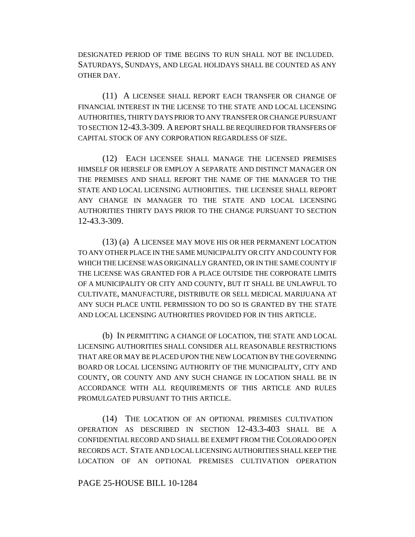DESIGNATED PERIOD OF TIME BEGINS TO RUN SHALL NOT BE INCLUDED. SATURDAYS, SUNDAYS, AND LEGAL HOLIDAYS SHALL BE COUNTED AS ANY OTHER DAY.

(11) A LICENSEE SHALL REPORT EACH TRANSFER OR CHANGE OF FINANCIAL INTEREST IN THE LICENSE TO THE STATE AND LOCAL LICENSING AUTHORITIES, THIRTY DAYS PRIOR TO ANY TRANSFER OR CHANGE PURSUANT TO SECTION 12-43.3-309. A REPORT SHALL BE REQUIRED FOR TRANSFERS OF CAPITAL STOCK OF ANY CORPORATION REGARDLESS OF SIZE.

(12) EACH LICENSEE SHALL MANAGE THE LICENSED PREMISES HIMSELF OR HERSELF OR EMPLOY A SEPARATE AND DISTINCT MANAGER ON THE PREMISES AND SHALL REPORT THE NAME OF THE MANAGER TO THE STATE AND LOCAL LICENSING AUTHORITIES. THE LICENSEE SHALL REPORT ANY CHANGE IN MANAGER TO THE STATE AND LOCAL LICENSING AUTHORITIES THIRTY DAYS PRIOR TO THE CHANGE PURSUANT TO SECTION 12-43.3-309.

(13) (a) A LICENSEE MAY MOVE HIS OR HER PERMANENT LOCATION TO ANY OTHER PLACE IN THE SAME MUNICIPALITY OR CITY AND COUNTY FOR WHICH THE LICENSE WAS ORIGINALLY GRANTED, OR IN THE SAME COUNTY IF THE LICENSE WAS GRANTED FOR A PLACE OUTSIDE THE CORPORATE LIMITS OF A MUNICIPALITY OR CITY AND COUNTY, BUT IT SHALL BE UNLAWFUL TO CULTIVATE, MANUFACTURE, DISTRIBUTE OR SELL MEDICAL MARIJUANA AT ANY SUCH PLACE UNTIL PERMISSION TO DO SO IS GRANTED BY THE STATE AND LOCAL LICENSING AUTHORITIES PROVIDED FOR IN THIS ARTICLE.

(b) IN PERMITTING A CHANGE OF LOCATION, THE STATE AND LOCAL LICENSING AUTHORITIES SHALL CONSIDER ALL REASONABLE RESTRICTIONS THAT ARE OR MAY BE PLACED UPON THE NEW LOCATION BY THE GOVERNING BOARD OR LOCAL LICENSING AUTHORITY OF THE MUNICIPALITY, CITY AND COUNTY, OR COUNTY AND ANY SUCH CHANGE IN LOCATION SHALL BE IN ACCORDANCE WITH ALL REQUIREMENTS OF THIS ARTICLE AND RULES PROMULGATED PURSUANT TO THIS ARTICLE.

(14) THE LOCATION OF AN OPTIONAL PREMISES CULTIVATION OPERATION AS DESCRIBED IN SECTION 12-43.3-403 SHALL BE A CONFIDENTIAL RECORD AND SHALL BE EXEMPT FROM THE COLORADO OPEN RECORDS ACT. STATE AND LOCAL LICENSING AUTHORITIES SHALL KEEP THE LOCATION OF AN OPTIONAL PREMISES CULTIVATION OPERATION

#### PAGE 25-HOUSE BILL 10-1284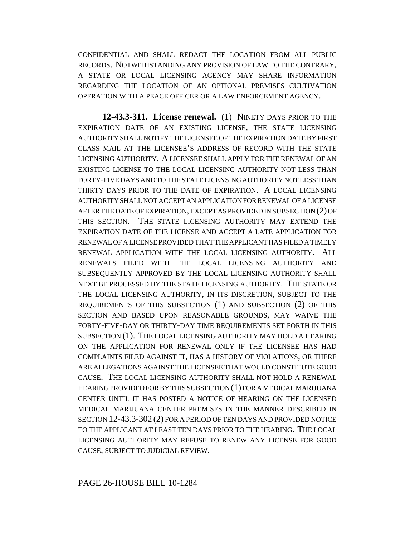CONFIDENTIAL AND SHALL REDACT THE LOCATION FROM ALL PUBLIC RECORDS. NOTWITHSTANDING ANY PROVISION OF LAW TO THE CONTRARY, A STATE OR LOCAL LICENSING AGENCY MAY SHARE INFORMATION REGARDING THE LOCATION OF AN OPTIONAL PREMISES CULTIVATION OPERATION WITH A PEACE OFFICER OR A LAW ENFORCEMENT AGENCY.

**12-43.3-311. License renewal.** (1) NINETY DAYS PRIOR TO THE EXPIRATION DATE OF AN EXISTING LICENSE, THE STATE LICENSING AUTHORITY SHALL NOTIFY THE LICENSEE OF THE EXPIRATION DATE BY FIRST CLASS MAIL AT THE LICENSEE'S ADDRESS OF RECORD WITH THE STATE LICENSING AUTHORITY. A LICENSEE SHALL APPLY FOR THE RENEWAL OF AN EXISTING LICENSE TO THE LOCAL LICENSING AUTHORITY NOT LESS THAN FORTY-FIVE DAYS AND TO THE STATE LICENSING AUTHORITY NOT LESS THAN THIRTY DAYS PRIOR TO THE DATE OF EXPIRATION. A LOCAL LICENSING AUTHORITY SHALL NOT ACCEPT AN APPLICATION FOR RENEWAL OF A LICENSE AFTER THE DATE OF EXPIRATION, EXCEPT AS PROVIDED IN SUBSECTION (2) OF THIS SECTION. THE STATE LICENSING AUTHORITY MAY EXTEND THE EXPIRATION DATE OF THE LICENSE AND ACCEPT A LATE APPLICATION FOR RENEWAL OF A LICENSE PROVIDED THAT THE APPLICANT HAS FILED A TIMELY RENEWAL APPLICATION WITH THE LOCAL LICENSING AUTHORITY. ALL RENEWALS FILED WITH THE LOCAL LICENSING AUTHORITY AND SUBSEQUENTLY APPROVED BY THE LOCAL LICENSING AUTHORITY SHALL NEXT BE PROCESSED BY THE STATE LICENSING AUTHORITY. THE STATE OR THE LOCAL LICENSING AUTHORITY, IN ITS DISCRETION, SUBJECT TO THE REQUIREMENTS OF THIS SUBSECTION (1) AND SUBSECTION (2) OF THIS SECTION AND BASED UPON REASONABLE GROUNDS, MAY WAIVE THE FORTY-FIVE-DAY OR THIRTY-DAY TIME REQUIREMENTS SET FORTH IN THIS SUBSECTION (1). THE LOCAL LICENSING AUTHORITY MAY HOLD A HEARING ON THE APPLICATION FOR RENEWAL ONLY IF THE LICENSEE HAS HAD COMPLAINTS FILED AGAINST IT, HAS A HISTORY OF VIOLATIONS, OR THERE ARE ALLEGATIONS AGAINST THE LICENSEE THAT WOULD CONSTITUTE GOOD CAUSE. THE LOCAL LICENSING AUTHORITY SHALL NOT HOLD A RENEWAL HEARING PROVIDED FOR BY THIS SUBSECTION (1) FOR A MEDICAL MARIJUANA CENTER UNTIL IT HAS POSTED A NOTICE OF HEARING ON THE LICENSED MEDICAL MARIJUANA CENTER PREMISES IN THE MANNER DESCRIBED IN SECTION 12-43.3-302 (2) FOR A PERIOD OF TEN DAYS AND PROVIDED NOTICE TO THE APPLICANT AT LEAST TEN DAYS PRIOR TO THE HEARING. THE LOCAL LICENSING AUTHORITY MAY REFUSE TO RENEW ANY LICENSE FOR GOOD CAUSE, SUBJECT TO JUDICIAL REVIEW.

#### PAGE 26-HOUSE BILL 10-1284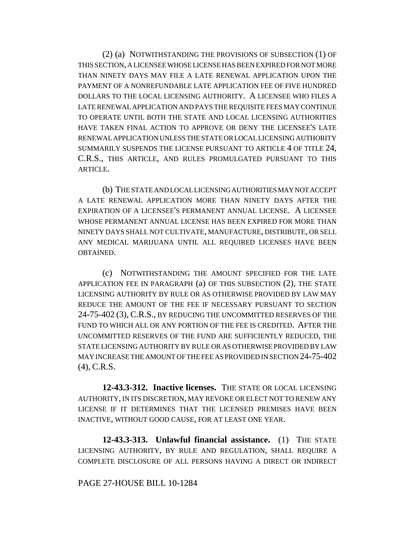(2) (a) NOTWITHSTANDING THE PROVISIONS OF SUBSECTION (1) OF THIS SECTION, A LICENSEE WHOSE LICENSE HAS BEEN EXPIRED FOR NOT MORE THAN NINETY DAYS MAY FILE A LATE RENEWAL APPLICATION UPON THE PAYMENT OF A NONREFUNDABLE LATE APPLICATION FEE OF FIVE HUNDRED DOLLARS TO THE LOCAL LICENSING AUTHORITY. A LICENSEE WHO FILES A LATE RENEWAL APPLICATION AND PAYS THE REQUISITE FEES MAY CONTINUE TO OPERATE UNTIL BOTH THE STATE AND LOCAL LICENSING AUTHORITIES HAVE TAKEN FINAL ACTION TO APPROVE OR DENY THE LICENSEE'S LATE RENEWAL APPLICATION UNLESS THE STATE OR LOCAL LICENSING AUTHORITY SUMMARILY SUSPENDS THE LICENSE PURSUANT TO ARTICLE 4 OF TITLE 24, C.R.S., THIS ARTICLE, AND RULES PROMULGATED PURSUANT TO THIS ARTICLE.

(b) THE STATE AND LOCAL LICENSING AUTHORITIES MAY NOT ACCEPT A LATE RENEWAL APPLICATION MORE THAN NINETY DAYS AFTER THE EXPIRATION OF A LICENSEE'S PERMANENT ANNUAL LICENSE. A LICENSEE WHOSE PERMANENT ANNUAL LICENSE HAS BEEN EXPIRED FOR MORE THAN NINETY DAYS SHALL NOT CULTIVATE, MANUFACTURE, DISTRIBUTE, OR SELL ANY MEDICAL MARIJUANA UNTIL ALL REQUIRED LICENSES HAVE BEEN OBTAINED.

(c) NOTWITHSTANDING THE AMOUNT SPECIFIED FOR THE LATE APPLICATION FEE IN PARAGRAPH (a) OF THIS SUBSECTION (2), THE STATE LICENSING AUTHORITY BY RULE OR AS OTHERWISE PROVIDED BY LAW MAY REDUCE THE AMOUNT OF THE FEE IF NECESSARY PURSUANT TO SECTION 24-75-402 (3), C.R.S., BY REDUCING THE UNCOMMITTED RESERVES OF THE FUND TO WHICH ALL OR ANY PORTION OF THE FEE IS CREDITED. AFTER THE UNCOMMITTED RESERVES OF THE FUND ARE SUFFICIENTLY REDUCED, THE STATE LICENSING AUTHORITY BY RULE OR AS OTHERWISE PROVIDED BY LAW MAY INCREASE THE AMOUNT OF THE FEE AS PROVIDED IN SECTION 24-75-402 (4), C.R.S.

**12-43.3-312. Inactive licenses.** THE STATE OR LOCAL LICENSING AUTHORITY, IN ITS DISCRETION, MAY REVOKE OR ELECT NOT TO RENEW ANY LICENSE IF IT DETERMINES THAT THE LICENSED PREMISES HAVE BEEN INACTIVE, WITHOUT GOOD CAUSE, FOR AT LEAST ONE YEAR.

**12-43.3-313. Unlawful financial assistance.** (1) THE STATE LICENSING AUTHORITY, BY RULE AND REGULATION, SHALL REQUIRE A COMPLETE DISCLOSURE OF ALL PERSONS HAVING A DIRECT OR INDIRECT

#### PAGE 27-HOUSE BILL 10-1284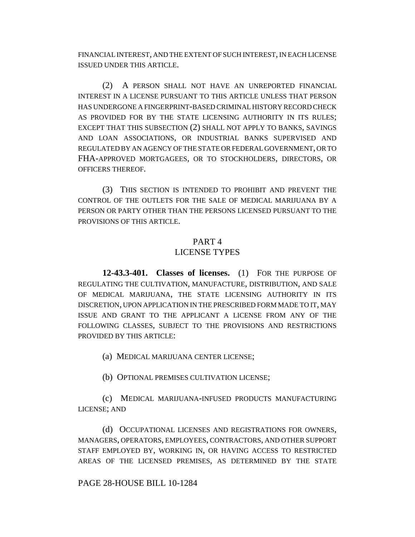FINANCIAL INTEREST, AND THE EXTENT OF SUCH INTEREST, IN EACH LICENSE ISSUED UNDER THIS ARTICLE.

(2) A PERSON SHALL NOT HAVE AN UNREPORTED FINANCIAL INTEREST IN A LICENSE PURSUANT TO THIS ARTICLE UNLESS THAT PERSON HAS UNDERGONE A FINGERPRINT-BASED CRIMINAL HISTORY RECORD CHECK AS PROVIDED FOR BY THE STATE LICENSING AUTHORITY IN ITS RULES; EXCEPT THAT THIS SUBSECTION (2) SHALL NOT APPLY TO BANKS, SAVINGS AND LOAN ASSOCIATIONS, OR INDUSTRIAL BANKS SUPERVISED AND REGULATED BY AN AGENCY OF THE STATE OR FEDERAL GOVERNMENT, OR TO FHA-APPROVED MORTGAGEES, OR TO STOCKHOLDERS, DIRECTORS, OR OFFICERS THEREOF.

(3) THIS SECTION IS INTENDED TO PROHIBIT AND PREVENT THE CONTROL OF THE OUTLETS FOR THE SALE OF MEDICAL MARIJUANA BY A PERSON OR PARTY OTHER THAN THE PERSONS LICENSED PURSUANT TO THE PROVISIONS OF THIS ARTICLE.

#### PART 4

### LICENSE TYPES

**12-43.3-401. Classes of licenses.** (1) FOR THE PURPOSE OF REGULATING THE CULTIVATION, MANUFACTURE, DISTRIBUTION, AND SALE OF MEDICAL MARIJUANA, THE STATE LICENSING AUTHORITY IN ITS DISCRETION, UPON APPLICATION IN THE PRESCRIBED FORM MADE TO IT, MAY ISSUE AND GRANT TO THE APPLICANT A LICENSE FROM ANY OF THE FOLLOWING CLASSES, SUBJECT TO THE PROVISIONS AND RESTRICTIONS PROVIDED BY THIS ARTICLE:

(a) MEDICAL MARIJUANA CENTER LICENSE;

(b) OPTIONAL PREMISES CULTIVATION LICENSE;

(c) MEDICAL MARIJUANA-INFUSED PRODUCTS MANUFACTURING LICENSE; AND

(d) OCCUPATIONAL LICENSES AND REGISTRATIONS FOR OWNERS, MANAGERS, OPERATORS, EMPLOYEES, CONTRACTORS, AND OTHER SUPPORT STAFF EMPLOYED BY, WORKING IN, OR HAVING ACCESS TO RESTRICTED AREAS OF THE LICENSED PREMISES, AS DETERMINED BY THE STATE

### PAGE 28-HOUSE BILL 10-1284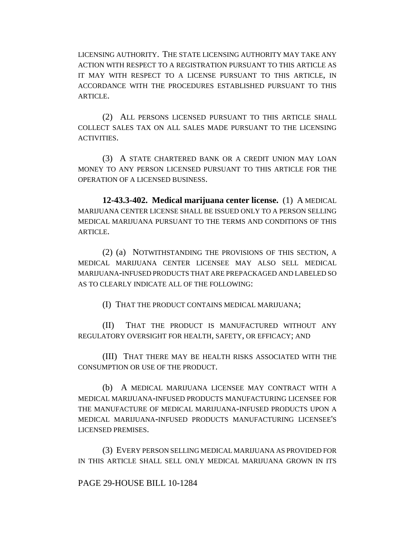LICENSING AUTHORITY. THE STATE LICENSING AUTHORITY MAY TAKE ANY ACTION WITH RESPECT TO A REGISTRATION PURSUANT TO THIS ARTICLE AS IT MAY WITH RESPECT TO A LICENSE PURSUANT TO THIS ARTICLE, IN ACCORDANCE WITH THE PROCEDURES ESTABLISHED PURSUANT TO THIS ARTICLE.

(2) ALL PERSONS LICENSED PURSUANT TO THIS ARTICLE SHALL COLLECT SALES TAX ON ALL SALES MADE PURSUANT TO THE LICENSING ACTIVITIES.

(3) A STATE CHARTERED BANK OR A CREDIT UNION MAY LOAN MONEY TO ANY PERSON LICENSED PURSUANT TO THIS ARTICLE FOR THE OPERATION OF A LICENSED BUSINESS.

**12-43.3-402. Medical marijuana center license.** (1) A MEDICAL MARIJUANA CENTER LICENSE SHALL BE ISSUED ONLY TO A PERSON SELLING MEDICAL MARIJUANA PURSUANT TO THE TERMS AND CONDITIONS OF THIS ARTICLE.

(2) (a) NOTWITHSTANDING THE PROVISIONS OF THIS SECTION, A MEDICAL MARIJUANA CENTER LICENSEE MAY ALSO SELL MEDICAL MARIJUANA-INFUSED PRODUCTS THAT ARE PREPACKAGED AND LABELED SO AS TO CLEARLY INDICATE ALL OF THE FOLLOWING:

(I) THAT THE PRODUCT CONTAINS MEDICAL MARIJUANA;

(II) THAT THE PRODUCT IS MANUFACTURED WITHOUT ANY REGULATORY OVERSIGHT FOR HEALTH, SAFETY, OR EFFICACY; AND

(III) THAT THERE MAY BE HEALTH RISKS ASSOCIATED WITH THE CONSUMPTION OR USE OF THE PRODUCT.

(b) A MEDICAL MARIJUANA LICENSEE MAY CONTRACT WITH A MEDICAL MARIJUANA-INFUSED PRODUCTS MANUFACTURING LICENSEE FOR THE MANUFACTURE OF MEDICAL MARIJUANA-INFUSED PRODUCTS UPON A MEDICAL MARIJUANA-INFUSED PRODUCTS MANUFACTURING LICENSEE'S LICENSED PREMISES.

(3) EVERY PERSON SELLING MEDICAL MARIJUANA AS PROVIDED FOR IN THIS ARTICLE SHALL SELL ONLY MEDICAL MARIJUANA GROWN IN ITS

### PAGE 29-HOUSE BILL 10-1284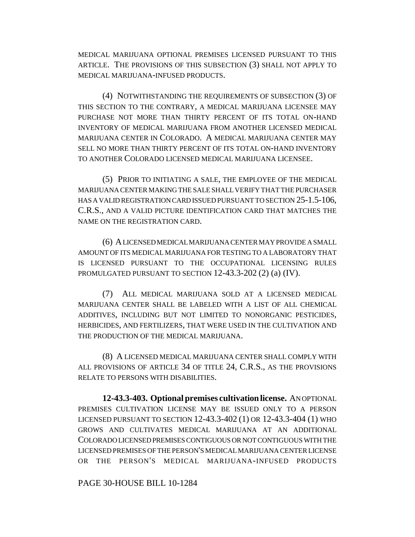MEDICAL MARIJUANA OPTIONAL PREMISES LICENSED PURSUANT TO THIS ARTICLE. THE PROVISIONS OF THIS SUBSECTION (3) SHALL NOT APPLY TO MEDICAL MARIJUANA-INFUSED PRODUCTS.

(4) NOTWITHSTANDING THE REQUIREMENTS OF SUBSECTION (3) OF THIS SECTION TO THE CONTRARY, A MEDICAL MARIJUANA LICENSEE MAY PURCHASE NOT MORE THAN THIRTY PERCENT OF ITS TOTAL ON-HAND INVENTORY OF MEDICAL MARIJUANA FROM ANOTHER LICENSED MEDICAL MARIJUANA CENTER IN COLORADO. A MEDICAL MARIJUANA CENTER MAY SELL NO MORE THAN THIRTY PERCENT OF ITS TOTAL ON-HAND INVENTORY TO ANOTHER COLORADO LICENSED MEDICAL MARIJUANA LICENSEE.

(5) PRIOR TO INITIATING A SALE, THE EMPLOYEE OF THE MEDICAL MARIJUANA CENTER MAKING THE SALE SHALL VERIFY THAT THE PURCHASER HAS A VALID REGISTRATION CARD ISSUED PURSUANT TO SECTION 25-1.5-106, C.R.S., AND A VALID PICTURE IDENTIFICATION CARD THAT MATCHES THE NAME ON THE REGISTRATION CARD.

(6) A LICENSED MEDICAL MARIJUANA CENTER MAY PROVIDE A SMALL AMOUNT OF ITS MEDICAL MARIJUANA FOR TESTING TO A LABORATORY THAT IS LICENSED PURSUANT TO THE OCCUPATIONAL LICENSING RULES PROMULGATED PURSUANT TO SECTION 12-43.3-202 (2) (a) (IV).

(7) ALL MEDICAL MARIJUANA SOLD AT A LICENSED MEDICAL MARIJUANA CENTER SHALL BE LABELED WITH A LIST OF ALL CHEMICAL ADDITIVES, INCLUDING BUT NOT LIMITED TO NONORGANIC PESTICIDES, HERBICIDES, AND FERTILIZERS, THAT WERE USED IN THE CULTIVATION AND THE PRODUCTION OF THE MEDICAL MARIJUANA.

(8) A LICENSED MEDICAL MARIJUANA CENTER SHALL COMPLY WITH ALL PROVISIONS OF ARTICLE 34 OF TITLE 24, C.R.S., AS THE PROVISIONS RELATE TO PERSONS WITH DISABILITIES.

**12-43.3-403. Optional premises cultivation license.** AN OPTIONAL PREMISES CULTIVATION LICENSE MAY BE ISSUED ONLY TO A PERSON LICENSED PURSUANT TO SECTION 12-43.3-402 (1) OR 12-43.3-404 (1) WHO GROWS AND CULTIVATES MEDICAL MARIJUANA AT AN ADDITIONAL COLORADO LICENSED PREMISES CONTIGUOUS OR NOT CONTIGUOUS WITH THE LICENSED PREMISES OF THE PERSON'S MEDICAL MARIJUANA CENTER LICENSE OR THE PERSON'S MEDICAL MARIJUANA-INFUSED PRODUCTS

PAGE 30-HOUSE BILL 10-1284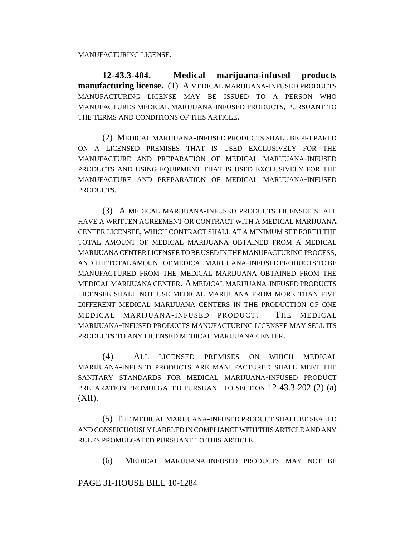MANUFACTURING LICENSE.

**12-43.3-404. Medical marijuana-infused products manufacturing license.** (1) A MEDICAL MARIJUANA-INFUSED PRODUCTS MANUFACTURING LICENSE MAY BE ISSUED TO A PERSON WHO MANUFACTURES MEDICAL MARIJUANA-INFUSED PRODUCTS, PURSUANT TO THE TERMS AND CONDITIONS OF THIS ARTICLE.

(2) MEDICAL MARIJUANA-INFUSED PRODUCTS SHALL BE PREPARED ON A LICENSED PREMISES THAT IS USED EXCLUSIVELY FOR THE MANUFACTURE AND PREPARATION OF MEDICAL MARIJUANA-INFUSED PRODUCTS AND USING EQUIPMENT THAT IS USED EXCLUSIVELY FOR THE MANUFACTURE AND PREPARATION OF MEDICAL MARIJUANA-INFUSED PRODUCTS.

(3) A MEDICAL MARIJUANA-INFUSED PRODUCTS LICENSEE SHALL HAVE A WRITTEN AGREEMENT OR CONTRACT WITH A MEDICAL MARIJUANA CENTER LICENSEE, WHICH CONTRACT SHALL AT A MINIMUM SET FORTH THE TOTAL AMOUNT OF MEDICAL MARIJUANA OBTAINED FROM A MEDICAL MARIJUANA CENTER LICENSEE TO BE USED IN THE MANUFACTURING PROCESS, AND THE TOTAL AMOUNT OF MEDICAL MARIJUANA-INFUSED PRODUCTS TO BE MANUFACTURED FROM THE MEDICAL MARIJUANA OBTAINED FROM THE MEDICAL MARIJUANA CENTER. A MEDICAL MARIJUANA-INFUSED PRODUCTS LICENSEE SHALL NOT USE MEDICAL MARIJUANA FROM MORE THAN FIVE DIFFERENT MEDICAL MARIJUANA CENTERS IN THE PRODUCTION OF ONE MEDICAL MARIJUANA-INFUSED PRODUCT. THE MEDICAL MARIJUANA-INFUSED PRODUCTS MANUFACTURING LICENSEE MAY SELL ITS PRODUCTS TO ANY LICENSED MEDICAL MARIJUANA CENTER.

(4) ALL LICENSED PREMISES ON WHICH MEDICAL MARIJUANA-INFUSED PRODUCTS ARE MANUFACTURED SHALL MEET THE SANITARY STANDARDS FOR MEDICAL MARIJUANA-INFUSED PRODUCT PREPARATION PROMULGATED PURSUANT TO SECTION 12-43.3-202 (2) (a)  $(XII)$ .

(5) THE MEDICAL MARIJUANA-INFUSED PRODUCT SHALL BE SEALED AND CONSPICUOUSLY LABELED IN COMPLIANCE WITH THIS ARTICLE AND ANY RULES PROMULGATED PURSUANT TO THIS ARTICLE.

(6) MEDICAL MARIJUANA-INFUSED PRODUCTS MAY NOT BE

PAGE 31-HOUSE BILL 10-1284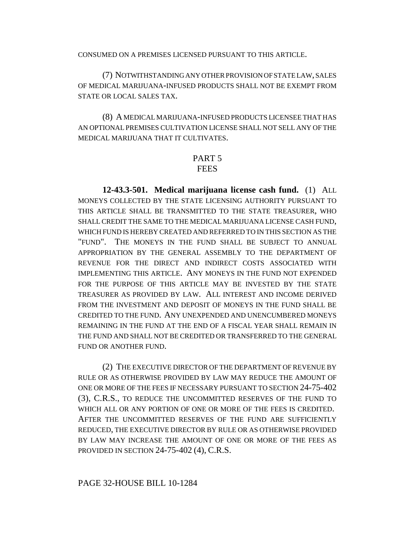CONSUMED ON A PREMISES LICENSED PURSUANT TO THIS ARTICLE.

(7) NOTWITHSTANDING ANY OTHER PROVISION OF STATE LAW, SALES OF MEDICAL MARIJUANA-INFUSED PRODUCTS SHALL NOT BE EXEMPT FROM STATE OR LOCAL SALES TAX.

(8) A MEDICAL MARIJUANA-INFUSED PRODUCTS LICENSEE THAT HAS AN OPTIONAL PREMISES CULTIVATION LICENSE SHALL NOT SELL ANY OF THE MEDICAL MARIJUANA THAT IT CULTIVATES.

### PART 5 FEES

**12-43.3-501. Medical marijuana license cash fund.** (1) ALL MONEYS COLLECTED BY THE STATE LICENSING AUTHORITY PURSUANT TO THIS ARTICLE SHALL BE TRANSMITTED TO THE STATE TREASURER, WHO SHALL CREDIT THE SAME TO THE MEDICAL MARIJUANA LICENSE CASH FUND, WHICH FUND IS HEREBY CREATED AND REFERRED TO IN THIS SECTION AS THE "FUND". THE MONEYS IN THE FUND SHALL BE SUBJECT TO ANNUAL APPROPRIATION BY THE GENERAL ASSEMBLY TO THE DEPARTMENT OF REVENUE FOR THE DIRECT AND INDIRECT COSTS ASSOCIATED WITH IMPLEMENTING THIS ARTICLE. ANY MONEYS IN THE FUND NOT EXPENDED FOR THE PURPOSE OF THIS ARTICLE MAY BE INVESTED BY THE STATE TREASURER AS PROVIDED BY LAW. ALL INTEREST AND INCOME DERIVED FROM THE INVESTMENT AND DEPOSIT OF MONEYS IN THE FUND SHALL BE CREDITED TO THE FUND. ANY UNEXPENDED AND UNENCUMBERED MONEYS REMAINING IN THE FUND AT THE END OF A FISCAL YEAR SHALL REMAIN IN THE FUND AND SHALL NOT BE CREDITED OR TRANSFERRED TO THE GENERAL FUND OR ANOTHER FUND.

(2) THE EXECUTIVE DIRECTOR OF THE DEPARTMENT OF REVENUE BY RULE OR AS OTHERWISE PROVIDED BY LAW MAY REDUCE THE AMOUNT OF ONE OR MORE OF THE FEES IF NECESSARY PURSUANT TO SECTION 24-75-402 (3), C.R.S., TO REDUCE THE UNCOMMITTED RESERVES OF THE FUND TO WHICH ALL OR ANY PORTION OF ONE OR MORE OF THE FEES IS CREDITED. AFTER THE UNCOMMITTED RESERVES OF THE FUND ARE SUFFICIENTLY REDUCED, THE EXECUTIVE DIRECTOR BY RULE OR AS OTHERWISE PROVIDED BY LAW MAY INCREASE THE AMOUNT OF ONE OR MORE OF THE FEES AS PROVIDED IN SECTION 24-75-402 (4), C.R.S.

#### PAGE 32-HOUSE BILL 10-1284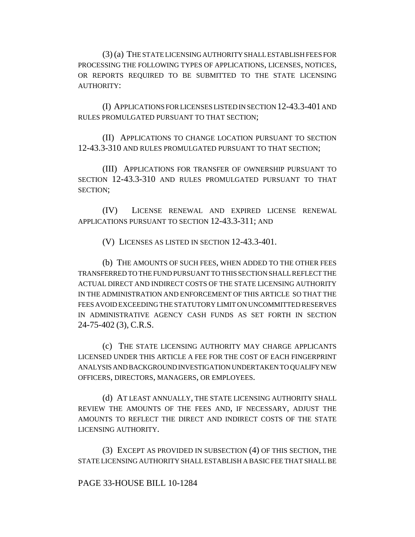(3) (a) THE STATE LICENSING AUTHORITY SHALL ESTABLISH FEES FOR PROCESSING THE FOLLOWING TYPES OF APPLICATIONS, LICENSES, NOTICES, OR REPORTS REQUIRED TO BE SUBMITTED TO THE STATE LICENSING AUTHORITY:

(I) APPLICATIONS FOR LICENSES LISTED IN SECTION 12-43.3-401 AND RULES PROMULGATED PURSUANT TO THAT SECTION;

(II) APPLICATIONS TO CHANGE LOCATION PURSUANT TO SECTION 12-43.3-310 AND RULES PROMULGATED PURSUANT TO THAT SECTION;

(III) APPLICATIONS FOR TRANSFER OF OWNERSHIP PURSUANT TO SECTION 12-43.3-310 AND RULES PROMULGATED PURSUANT TO THAT SECTION;

(IV) LICENSE RENEWAL AND EXPIRED LICENSE RENEWAL APPLICATIONS PURSUANT TO SECTION 12-43.3-311; AND

(V) LICENSES AS LISTED IN SECTION 12-43.3-401.

(b) THE AMOUNTS OF SUCH FEES, WHEN ADDED TO THE OTHER FEES TRANSFERRED TO THE FUND PURSUANT TO THIS SECTION SHALL REFLECT THE ACTUAL DIRECT AND INDIRECT COSTS OF THE STATE LICENSING AUTHORITY IN THE ADMINISTRATION AND ENFORCEMENT OF THIS ARTICLE SO THAT THE FEES AVOID EXCEEDING THE STATUTORY LIMIT ON UNCOMMITTED RESERVES IN ADMINISTRATIVE AGENCY CASH FUNDS AS SET FORTH IN SECTION 24-75-402 (3), C.R.S.

(c) THE STATE LICENSING AUTHORITY MAY CHARGE APPLICANTS LICENSED UNDER THIS ARTICLE A FEE FOR THE COST OF EACH FINGERPRINT ANALYSIS AND BACKGROUND INVESTIGATION UNDERTAKEN TO QUALIFY NEW OFFICERS, DIRECTORS, MANAGERS, OR EMPLOYEES.

(d) AT LEAST ANNUALLY, THE STATE LICENSING AUTHORITY SHALL REVIEW THE AMOUNTS OF THE FEES AND, IF NECESSARY, ADJUST THE AMOUNTS TO REFLECT THE DIRECT AND INDIRECT COSTS OF THE STATE LICENSING AUTHORITY.

(3) EXCEPT AS PROVIDED IN SUBSECTION (4) OF THIS SECTION, THE STATE LICENSING AUTHORITY SHALL ESTABLISH A BASIC FEE THAT SHALL BE

### PAGE 33-HOUSE BILL 10-1284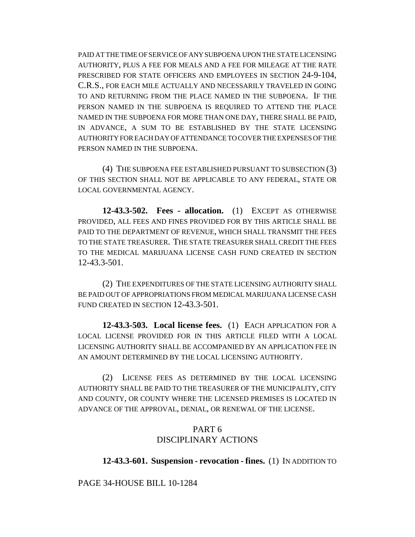PAID AT THE TIME OF SERVICE OF ANY SUBPOENA UPON THE STATE LICENSING AUTHORITY, PLUS A FEE FOR MEALS AND A FEE FOR MILEAGE AT THE RATE PRESCRIBED FOR STATE OFFICERS AND EMPLOYEES IN SECTION 24-9-104, C.R.S., FOR EACH MILE ACTUALLY AND NECESSARILY TRAVELED IN GOING TO AND RETURNING FROM THE PLACE NAMED IN THE SUBPOENA. IF THE PERSON NAMED IN THE SUBPOENA IS REQUIRED TO ATTEND THE PLACE NAMED IN THE SUBPOENA FOR MORE THAN ONE DAY, THERE SHALL BE PAID, IN ADVANCE, A SUM TO BE ESTABLISHED BY THE STATE LICENSING AUTHORITY FOR EACH DAY OF ATTENDANCE TO COVER THE EXPENSES OF THE PERSON NAMED IN THE SUBPOENA.

(4) THE SUBPOENA FEE ESTABLISHED PURSUANT TO SUBSECTION (3) OF THIS SECTION SHALL NOT BE APPLICABLE TO ANY FEDERAL, STATE OR LOCAL GOVERNMENTAL AGENCY.

**12-43.3-502. Fees - allocation.** (1) EXCEPT AS OTHERWISE PROVIDED, ALL FEES AND FINES PROVIDED FOR BY THIS ARTICLE SHALL BE PAID TO THE DEPARTMENT OF REVENUE, WHICH SHALL TRANSMIT THE FEES TO THE STATE TREASURER. THE STATE TREASURER SHALL CREDIT THE FEES TO THE MEDICAL MARIJUANA LICENSE CASH FUND CREATED IN SECTION 12-43.3-501.

(2) THE EXPENDITURES OF THE STATE LICENSING AUTHORITY SHALL BE PAID OUT OF APPROPRIATIONS FROM MEDICAL MARIJUANA LICENSE CASH FUND CREATED IN SECTION 12-43.3-501.

**12-43.3-503. Local license fees.** (1) EACH APPLICATION FOR A LOCAL LICENSE PROVIDED FOR IN THIS ARTICLE FILED WITH A LOCAL LICENSING AUTHORITY SHALL BE ACCOMPANIED BY AN APPLICATION FEE IN AN AMOUNT DETERMINED BY THE LOCAL LICENSING AUTHORITY.

(2) LICENSE FEES AS DETERMINED BY THE LOCAL LICENSING AUTHORITY SHALL BE PAID TO THE TREASURER OF THE MUNICIPALITY, CITY AND COUNTY, OR COUNTY WHERE THE LICENSED PREMISES IS LOCATED IN ADVANCE OF THE APPROVAL, DENIAL, OR RENEWAL OF THE LICENSE.

# PART 6 DISCIPLINARY ACTIONS

### **12-43.3-601. Suspension - revocation - fines.** (1) IN ADDITION TO

PAGE 34-HOUSE BILL 10-1284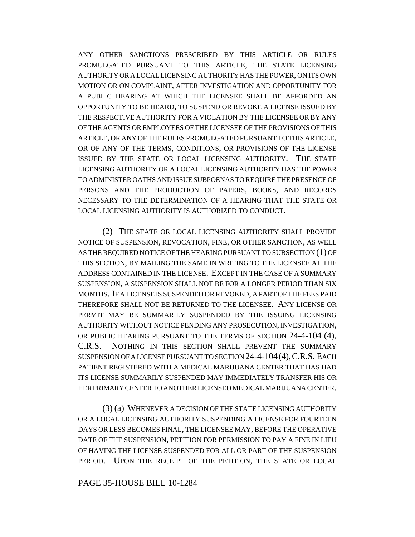ANY OTHER SANCTIONS PRESCRIBED BY THIS ARTICLE OR RULES PROMULGATED PURSUANT TO THIS ARTICLE, THE STATE LICENSING AUTHORITY OR A LOCAL LICENSING AUTHORITY HAS THE POWER, ON ITS OWN MOTION OR ON COMPLAINT, AFTER INVESTIGATION AND OPPORTUNITY FOR A PUBLIC HEARING AT WHICH THE LICENSEE SHALL BE AFFORDED AN OPPORTUNITY TO BE HEARD, TO SUSPEND OR REVOKE A LICENSE ISSUED BY THE RESPECTIVE AUTHORITY FOR A VIOLATION BY THE LICENSEE OR BY ANY OF THE AGENTS OR EMPLOYEES OF THE LICENSEE OF THE PROVISIONS OF THIS ARTICLE, OR ANY OF THE RULES PROMULGATED PURSUANT TO THIS ARTICLE, OR OF ANY OF THE TERMS, CONDITIONS, OR PROVISIONS OF THE LICENSE ISSUED BY THE STATE OR LOCAL LICENSING AUTHORITY. THE STATE LICENSING AUTHORITY OR A LOCAL LICENSING AUTHORITY HAS THE POWER TO ADMINISTER OATHS AND ISSUE SUBPOENAS TO REQUIRE THE PRESENCE OF PERSONS AND THE PRODUCTION OF PAPERS, BOOKS, AND RECORDS NECESSARY TO THE DETERMINATION OF A HEARING THAT THE STATE OR LOCAL LICENSING AUTHORITY IS AUTHORIZED TO CONDUCT.

(2) THE STATE OR LOCAL LICENSING AUTHORITY SHALL PROVIDE NOTICE OF SUSPENSION, REVOCATION, FINE, OR OTHER SANCTION, AS WELL AS THE REQUIRED NOTICE OF THE HEARING PURSUANT TO SUBSECTION (1) OF THIS SECTION, BY MAILING THE SAME IN WRITING TO THE LICENSEE AT THE ADDRESS CONTAINED IN THE LICENSE. EXCEPT IN THE CASE OF A SUMMARY SUSPENSION, A SUSPENSION SHALL NOT BE FOR A LONGER PERIOD THAN SIX MONTHS. IF A LICENSE IS SUSPENDED OR REVOKED, A PART OF THE FEES PAID THEREFORE SHALL NOT BE RETURNED TO THE LICENSEE. ANY LICENSE OR PERMIT MAY BE SUMMARILY SUSPENDED BY THE ISSUING LICENSING AUTHORITY WITHOUT NOTICE PENDING ANY PROSECUTION, INVESTIGATION, OR PUBLIC HEARING PURSUANT TO THE TERMS OF SECTION 24-4-104 (4), C.R.S. NOTHING IN THIS SECTION SHALL PREVENT THE SUMMARY SUSPENSION OF A LICENSE PURSUANT TO SECTION 24-4-104(4),C.R.S. EACH PATIENT REGISTERED WITH A MEDICAL MARIJUANA CENTER THAT HAS HAD ITS LICENSE SUMMARILY SUSPENDED MAY IMMEDIATELY TRANSFER HIS OR HER PRIMARY CENTER TO ANOTHER LICENSED MEDICAL MARIJUANA CENTER.

(3) (a) WHENEVER A DECISION OF THE STATE LICENSING AUTHORITY OR A LOCAL LICENSING AUTHORITY SUSPENDING A LICENSE FOR FOURTEEN DAYS OR LESS BECOMES FINAL, THE LICENSEE MAY, BEFORE THE OPERATIVE DATE OF THE SUSPENSION, PETITION FOR PERMISSION TO PAY A FINE IN LIEU OF HAVING THE LICENSE SUSPENDED FOR ALL OR PART OF THE SUSPENSION PERIOD. UPON THE RECEIPT OF THE PETITION, THE STATE OR LOCAL

#### PAGE 35-HOUSE BILL 10-1284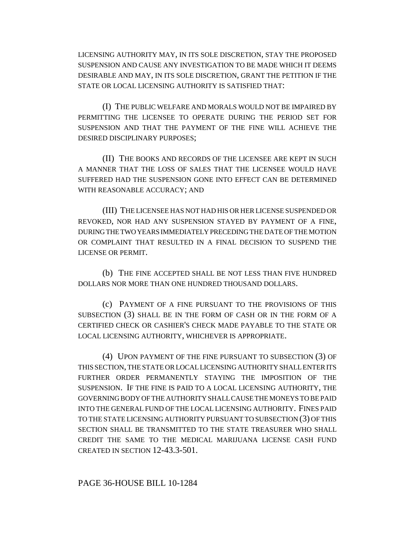LICENSING AUTHORITY MAY, IN ITS SOLE DISCRETION, STAY THE PROPOSED SUSPENSION AND CAUSE ANY INVESTIGATION TO BE MADE WHICH IT DEEMS DESIRABLE AND MAY, IN ITS SOLE DISCRETION, GRANT THE PETITION IF THE STATE OR LOCAL LICENSING AUTHORITY IS SATISFIED THAT:

(I) THE PUBLIC WELFARE AND MORALS WOULD NOT BE IMPAIRED BY PERMITTING THE LICENSEE TO OPERATE DURING THE PERIOD SET FOR SUSPENSION AND THAT THE PAYMENT OF THE FINE WILL ACHIEVE THE DESIRED DISCIPLINARY PURPOSES;

(II) THE BOOKS AND RECORDS OF THE LICENSEE ARE KEPT IN SUCH A MANNER THAT THE LOSS OF SALES THAT THE LICENSEE WOULD HAVE SUFFERED HAD THE SUSPENSION GONE INTO EFFECT CAN BE DETERMINED WITH REASONABLE ACCURACY; AND

(III) THE LICENSEE HAS NOT HAD HIS OR HER LICENSE SUSPENDED OR REVOKED, NOR HAD ANY SUSPENSION STAYED BY PAYMENT OF A FINE, DURING THE TWO YEARS IMMEDIATELY PRECEDING THE DATE OF THE MOTION OR COMPLAINT THAT RESULTED IN A FINAL DECISION TO SUSPEND THE LICENSE OR PERMIT.

(b) THE FINE ACCEPTED SHALL BE NOT LESS THAN FIVE HUNDRED DOLLARS NOR MORE THAN ONE HUNDRED THOUSAND DOLLARS.

(c) PAYMENT OF A FINE PURSUANT TO THE PROVISIONS OF THIS SUBSECTION (3) SHALL BE IN THE FORM OF CASH OR IN THE FORM OF A CERTIFIED CHECK OR CASHIER'S CHECK MADE PAYABLE TO THE STATE OR LOCAL LICENSING AUTHORITY, WHICHEVER IS APPROPRIATE.

(4) UPON PAYMENT OF THE FINE PURSUANT TO SUBSECTION (3) OF THIS SECTION, THE STATE OR LOCAL LICENSING AUTHORITY SHALL ENTER ITS FURTHER ORDER PERMANENTLY STAYING THE IMPOSITION OF THE SUSPENSION. IF THE FINE IS PAID TO A LOCAL LICENSING AUTHORITY, THE GOVERNING BODY OF THE AUTHORITY SHALL CAUSE THE MONEYS TO BE PAID INTO THE GENERAL FUND OF THE LOCAL LICENSING AUTHORITY. FINES PAID TO THE STATE LICENSING AUTHORITY PURSUANT TO SUBSECTION (3) OF THIS SECTION SHALL BE TRANSMITTED TO THE STATE TREASURER WHO SHALL CREDIT THE SAME TO THE MEDICAL MARIJUANA LICENSE CASH FUND CREATED IN SECTION 12-43.3-501.

### PAGE 36-HOUSE BILL 10-1284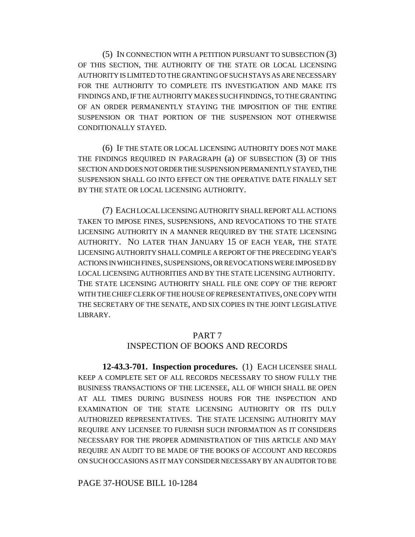(5) IN CONNECTION WITH A PETITION PURSUANT TO SUBSECTION (3) OF THIS SECTION, THE AUTHORITY OF THE STATE OR LOCAL LICENSING AUTHORITY IS LIMITED TO THE GRANTING OF SUCH STAYS AS ARE NECESSARY FOR THE AUTHORITY TO COMPLETE ITS INVESTIGATION AND MAKE ITS FINDINGS AND, IF THE AUTHORITY MAKES SUCH FINDINGS, TO THE GRANTING OF AN ORDER PERMANENTLY STAYING THE IMPOSITION OF THE ENTIRE SUSPENSION OR THAT PORTION OF THE SUSPENSION NOT OTHERWISE CONDITIONALLY STAYED.

(6) IF THE STATE OR LOCAL LICENSING AUTHORITY DOES NOT MAKE THE FINDINGS REQUIRED IN PARAGRAPH (a) OF SUBSECTION (3) OF THIS SECTION AND DOES NOT ORDER THE SUSPENSION PERMANENTLY STAYED, THE SUSPENSION SHALL GO INTO EFFECT ON THE OPERATIVE DATE FINALLY SET BY THE STATE OR LOCAL LICENSING AUTHORITY.

(7) EACH LOCAL LICENSING AUTHORITY SHALL REPORT ALL ACTIONS TAKEN TO IMPOSE FINES, SUSPENSIONS, AND REVOCATIONS TO THE STATE LICENSING AUTHORITY IN A MANNER REQUIRED BY THE STATE LICENSING AUTHORITY. NO LATER THAN JANUARY 15 OF EACH YEAR, THE STATE LICENSING AUTHORITY SHALL COMPILE A REPORT OF THE PRECEDING YEAR'S ACTIONS IN WHICH FINES, SUSPENSIONS, OR REVOCATIONS WERE IMPOSED BY LOCAL LICENSING AUTHORITIES AND BY THE STATE LICENSING AUTHORITY. THE STATE LICENSING AUTHORITY SHALL FILE ONE COPY OF THE REPORT WITH THE CHIEF CLERK OF THE HOUSE OF REPRESENTATIVES, ONE COPY WITH THE SECRETARY OF THE SENATE, AND SIX COPIES IN THE JOINT LEGISLATIVE LIBRARY.

### PART 7

### INSPECTION OF BOOKS AND RECORDS

**12-43.3-701. Inspection procedures.** (1) EACH LICENSEE SHALL KEEP A COMPLETE SET OF ALL RECORDS NECESSARY TO SHOW FULLY THE BUSINESS TRANSACTIONS OF THE LICENSEE, ALL OF WHICH SHALL BE OPEN AT ALL TIMES DURING BUSINESS HOURS FOR THE INSPECTION AND EXAMINATION OF THE STATE LICENSING AUTHORITY OR ITS DULY AUTHORIZED REPRESENTATIVES. THE STATE LICENSING AUTHORITY MAY REQUIRE ANY LICENSEE TO FURNISH SUCH INFORMATION AS IT CONSIDERS NECESSARY FOR THE PROPER ADMINISTRATION OF THIS ARTICLE AND MAY REQUIRE AN AUDIT TO BE MADE OF THE BOOKS OF ACCOUNT AND RECORDS ON SUCH OCCASIONS AS IT MAY CONSIDER NECESSARY BY AN AUDITOR TO BE

PAGE 37-HOUSE BILL 10-1284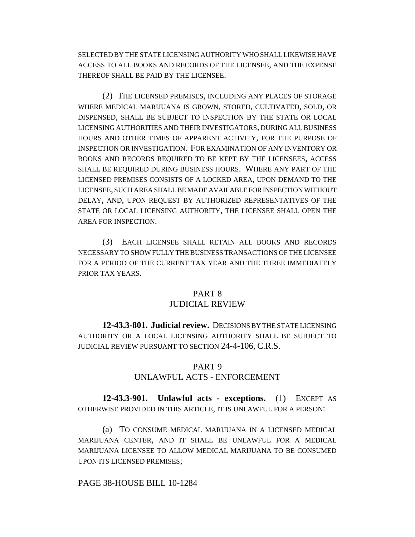SELECTED BY THE STATE LICENSING AUTHORITY WHO SHALL LIKEWISE HAVE ACCESS TO ALL BOOKS AND RECORDS OF THE LICENSEE, AND THE EXPENSE THEREOF SHALL BE PAID BY THE LICENSEE.

(2) THE LICENSED PREMISES, INCLUDING ANY PLACES OF STORAGE WHERE MEDICAL MARIJUANA IS GROWN, STORED, CULTIVATED, SOLD, OR DISPENSED, SHALL BE SUBJECT TO INSPECTION BY THE STATE OR LOCAL LICENSING AUTHORITIES AND THEIR INVESTIGATORS, DURING ALL BUSINESS HOURS AND OTHER TIMES OF APPARENT ACTIVITY, FOR THE PURPOSE OF INSPECTION OR INVESTIGATION. FOR EXAMINATION OF ANY INVENTORY OR BOOKS AND RECORDS REQUIRED TO BE KEPT BY THE LICENSEES, ACCESS SHALL BE REQUIRED DURING BUSINESS HOURS. WHERE ANY PART OF THE LICENSED PREMISES CONSISTS OF A LOCKED AREA, UPON DEMAND TO THE LICENSEE, SUCH AREA SHALL BE MADE AVAILABLE FOR INSPECTION WITHOUT DELAY, AND, UPON REQUEST BY AUTHORIZED REPRESENTATIVES OF THE STATE OR LOCAL LICENSING AUTHORITY, THE LICENSEE SHALL OPEN THE AREA FOR INSPECTION.

(3) EACH LICENSEE SHALL RETAIN ALL BOOKS AND RECORDS NECESSARY TO SHOW FULLY THE BUSINESS TRANSACTIONS OF THE LICENSEE FOR A PERIOD OF THE CURRENT TAX YEAR AND THE THREE IMMEDIATELY PRIOR TAX YEARS.

# PART 8

# JUDICIAL REVIEW

**12-43.3-801. Judicial review.** DECISIONS BY THE STATE LICENSING AUTHORITY OR A LOCAL LICENSING AUTHORITY SHALL BE SUBJECT TO JUDICIAL REVIEW PURSUANT TO SECTION 24-4-106, C.R.S.

# PART 9

# UNLAWFUL ACTS - ENFORCEMENT

**12-43.3-901. Unlawful acts - exceptions.** (1) EXCEPT AS OTHERWISE PROVIDED IN THIS ARTICLE, IT IS UNLAWFUL FOR A PERSON:

(a) TO CONSUME MEDICAL MARIJUANA IN A LICENSED MEDICAL MARIJUANA CENTER, AND IT SHALL BE UNLAWFUL FOR A MEDICAL MARIJUANA LICENSEE TO ALLOW MEDICAL MARIJUANA TO BE CONSUMED UPON ITS LICENSED PREMISES;

# PAGE 38-HOUSE BILL 10-1284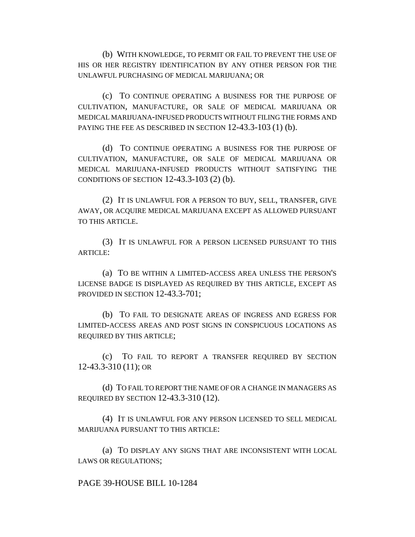(b) WITH KNOWLEDGE, TO PERMIT OR FAIL TO PREVENT THE USE OF HIS OR HER REGISTRY IDENTIFICATION BY ANY OTHER PERSON FOR THE UNLAWFUL PURCHASING OF MEDICAL MARIJUANA; OR

(c) TO CONTINUE OPERATING A BUSINESS FOR THE PURPOSE OF CULTIVATION, MANUFACTURE, OR SALE OF MEDICAL MARIJUANA OR MEDICAL MARIJUANA-INFUSED PRODUCTS WITHOUT FILING THE FORMS AND PAYING THE FEE AS DESCRIBED IN SECTION 12-43.3-103 (1) (b).

(d) TO CONTINUE OPERATING A BUSINESS FOR THE PURPOSE OF CULTIVATION, MANUFACTURE, OR SALE OF MEDICAL MARIJUANA OR MEDICAL MARIJUANA-INFUSED PRODUCTS WITHOUT SATISFYING THE CONDITIONS OF SECTION 12-43.3-103 (2) (b).

(2) IT IS UNLAWFUL FOR A PERSON TO BUY, SELL, TRANSFER, GIVE AWAY, OR ACQUIRE MEDICAL MARIJUANA EXCEPT AS ALLOWED PURSUANT TO THIS ARTICLE.

(3) IT IS UNLAWFUL FOR A PERSON LICENSED PURSUANT TO THIS ARTICLE:

(a) TO BE WITHIN A LIMITED-ACCESS AREA UNLESS THE PERSON'S LICENSE BADGE IS DISPLAYED AS REQUIRED BY THIS ARTICLE, EXCEPT AS PROVIDED IN SECTION 12-43.3-701;

(b) TO FAIL TO DESIGNATE AREAS OF INGRESS AND EGRESS FOR LIMITED-ACCESS AREAS AND POST SIGNS IN CONSPICUOUS LOCATIONS AS REQUIRED BY THIS ARTICLE;

(c) TO FAIL TO REPORT A TRANSFER REQUIRED BY SECTION 12-43.3-310 (11); OR

(d) TO FAIL TO REPORT THE NAME OF OR A CHANGE IN MANAGERS AS REQUIRED BY SECTION 12-43.3-310 (12).

(4) IT IS UNLAWFUL FOR ANY PERSON LICENSED TO SELL MEDICAL MARIJUANA PURSUANT TO THIS ARTICLE:

(a) TO DISPLAY ANY SIGNS THAT ARE INCONSISTENT WITH LOCAL LAWS OR REGULATIONS;

PAGE 39-HOUSE BILL 10-1284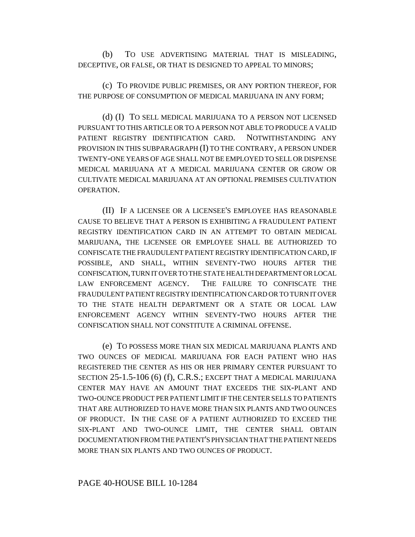(b) TO USE ADVERTISING MATERIAL THAT IS MISLEADING, DECEPTIVE, OR FALSE, OR THAT IS DESIGNED TO APPEAL TO MINORS;

(c) TO PROVIDE PUBLIC PREMISES, OR ANY PORTION THEREOF, FOR THE PURPOSE OF CONSUMPTION OF MEDICAL MARIJUANA IN ANY FORM;

(d) (I) TO SELL MEDICAL MARIJUANA TO A PERSON NOT LICENSED PURSUANT TO THIS ARTICLE OR TO A PERSON NOT ABLE TO PRODUCE A VALID PATIENT REGISTRY IDENTIFICATION CARD. NOTWITHSTANDING ANY PROVISION IN THIS SUBPARAGRAPH (I) TO THE CONTRARY, A PERSON UNDER TWENTY-ONE YEARS OF AGE SHALL NOT BE EMPLOYED TO SELL OR DISPENSE MEDICAL MARIJUANA AT A MEDICAL MARIJUANA CENTER OR GROW OR CULTIVATE MEDICAL MARIJUANA AT AN OPTIONAL PREMISES CULTIVATION OPERATION.

(II) IF A LICENSEE OR A LICENSEE'S EMPLOYEE HAS REASONABLE CAUSE TO BELIEVE THAT A PERSON IS EXHIBITING A FRAUDULENT PATIENT REGISTRY IDENTIFICATION CARD IN AN ATTEMPT TO OBTAIN MEDICAL MARIJUANA, THE LICENSEE OR EMPLOYEE SHALL BE AUTHORIZED TO CONFISCATE THE FRAUDULENT PATIENT REGISTRY IDENTIFICATION CARD, IF POSSIBLE, AND SHALL, WITHIN SEVENTY-TWO HOURS AFTER THE CONFISCATION, TURN IT OVER TO THE STATE HEALTH DEPARTMENT OR LOCAL LAW ENFORCEMENT AGENCY. THE FAILURE TO CONFISCATE THE FRAUDULENT PATIENT REGISTRY IDENTIFICATION CARD OR TO TURN IT OVER TO THE STATE HEALTH DEPARTMENT OR A STATE OR LOCAL LAW ENFORCEMENT AGENCY WITHIN SEVENTY-TWO HOURS AFTER THE CONFISCATION SHALL NOT CONSTITUTE A CRIMINAL OFFENSE.

(e) TO POSSESS MORE THAN SIX MEDICAL MARIJUANA PLANTS AND TWO OUNCES OF MEDICAL MARIJUANA FOR EACH PATIENT WHO HAS REGISTERED THE CENTER AS HIS OR HER PRIMARY CENTER PURSUANT TO SECTION 25-1.5-106 (6) (f), C.R.S.; EXCEPT THAT A MEDICAL MARIJUANA CENTER MAY HAVE AN AMOUNT THAT EXCEEDS THE SIX-PLANT AND TWO-OUNCE PRODUCT PER PATIENT LIMIT IF THE CENTER SELLS TO PATIENTS THAT ARE AUTHORIZED TO HAVE MORE THAN SIX PLANTS AND TWO OUNCES OF PRODUCT. IN THE CASE OF A PATIENT AUTHORIZED TO EXCEED THE SIX-PLANT AND TWO-OUNCE LIMIT, THE CENTER SHALL OBTAIN DOCUMENTATION FROM THE PATIENT'S PHYSICIAN THAT THE PATIENT NEEDS MORE THAN SIX PLANTS AND TWO OUNCES OF PRODUCT.

#### PAGE 40-HOUSE BILL 10-1284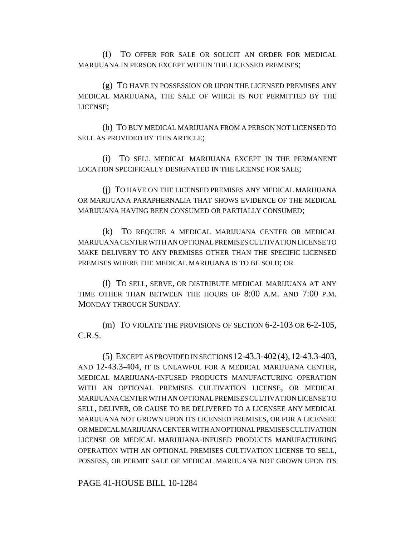(f) TO OFFER FOR SALE OR SOLICIT AN ORDER FOR MEDICAL MARIJUANA IN PERSON EXCEPT WITHIN THE LICENSED PREMISES;

(g) TO HAVE IN POSSESSION OR UPON THE LICENSED PREMISES ANY MEDICAL MARIJUANA, THE SALE OF WHICH IS NOT PERMITTED BY THE LICENSE;

(h) TO BUY MEDICAL MARIJUANA FROM A PERSON NOT LICENSED TO SELL AS PROVIDED BY THIS ARTICLE;

(i) TO SELL MEDICAL MARIJUANA EXCEPT IN THE PERMANENT LOCATION SPECIFICALLY DESIGNATED IN THE LICENSE FOR SALE;

(j) TO HAVE ON THE LICENSED PREMISES ANY MEDICAL MARIJUANA OR MARIJUANA PARAPHERNALIA THAT SHOWS EVIDENCE OF THE MEDICAL MARIJUANA HAVING BEEN CONSUMED OR PARTIALLY CONSUMED;

(k) TO REQUIRE A MEDICAL MARIJUANA CENTER OR MEDICAL MARIJUANA CENTER WITH AN OPTIONAL PREMISES CULTIVATION LICENSE TO MAKE DELIVERY TO ANY PREMISES OTHER THAN THE SPECIFIC LICENSED PREMISES WHERE THE MEDICAL MARIJUANA IS TO BE SOLD; OR

(l) TO SELL, SERVE, OR DISTRIBUTE MEDICAL MARIJUANA AT ANY TIME OTHER THAN BETWEEN THE HOURS OF 8:00 A.M. AND 7:00 P.M. MONDAY THROUGH SUNDAY.

(m) TO VIOLATE THE PROVISIONS OF SECTION 6-2-103 OR 6-2-105, C.R.S.

(5) EXCEPT AS PROVIDED IN SECTIONS 12-43.3-402(4),12-43.3-403, AND 12-43.3-404, IT IS UNLAWFUL FOR A MEDICAL MARIJUANA CENTER, MEDICAL MARIJUANA-INFUSED PRODUCTS MANUFACTURING OPERATION WITH AN OPTIONAL PREMISES CULTIVATION LICENSE, OR MEDICAL MARIJUANA CENTER WITH AN OPTIONAL PREMISES CULTIVATION LICENSE TO SELL, DELIVER, OR CAUSE TO BE DELIVERED TO A LICENSEE ANY MEDICAL MARIJUANA NOT GROWN UPON ITS LICENSED PREMISES, OR FOR A LICENSEE OR MEDICAL MARIJUANA CENTER WITH AN OPTIONAL PREMISES CULTIVATION LICENSE OR MEDICAL MARIJUANA-INFUSED PRODUCTS MANUFACTURING OPERATION WITH AN OPTIONAL PREMISES CULTIVATION LICENSE TO SELL, POSSESS, OR PERMIT SALE OF MEDICAL MARIJUANA NOT GROWN UPON ITS

PAGE 41-HOUSE BILL 10-1284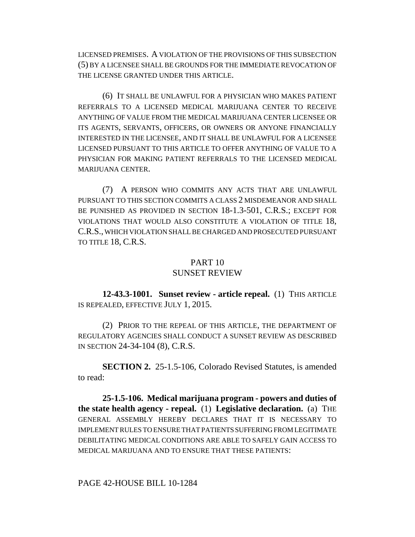LICENSED PREMISES. A VIOLATION OF THE PROVISIONS OF THIS SUBSECTION (5) BY A LICENSEE SHALL BE GROUNDS FOR THE IMMEDIATE REVOCATION OF THE LICENSE GRANTED UNDER THIS ARTICLE.

(6) IT SHALL BE UNLAWFUL FOR A PHYSICIAN WHO MAKES PATIENT REFERRALS TO A LICENSED MEDICAL MARIJUANA CENTER TO RECEIVE ANYTHING OF VALUE FROM THE MEDICAL MARIJUANA CENTER LICENSEE OR ITS AGENTS, SERVANTS, OFFICERS, OR OWNERS OR ANYONE FINANCIALLY INTERESTED IN THE LICENSEE, AND IT SHALL BE UNLAWFUL FOR A LICENSEE LICENSED PURSUANT TO THIS ARTICLE TO OFFER ANYTHING OF VALUE TO A PHYSICIAN FOR MAKING PATIENT REFERRALS TO THE LICENSED MEDICAL MARIJUANA CENTER.

(7) A PERSON WHO COMMITS ANY ACTS THAT ARE UNLAWFUL PURSUANT TO THIS SECTION COMMITS A CLASS 2 MISDEMEANOR AND SHALL BE PUNISHED AS PROVIDED IN SECTION 18-1.3-501, C.R.S.; EXCEPT FOR VIOLATIONS THAT WOULD ALSO CONSTITUTE A VIOLATION OF TITLE 18, C.R.S., WHICH VIOLATION SHALL BE CHARGED AND PROSECUTED PURSUANT TO TITLE 18, C.R.S.

### PART 10

### SUNSET REVIEW

**12-43.3-1001. Sunset review - article repeal.** (1) THIS ARTICLE IS REPEALED, EFFECTIVE JULY 1, 2015.

(2) PRIOR TO THE REPEAL OF THIS ARTICLE, THE DEPARTMENT OF REGULATORY AGENCIES SHALL CONDUCT A SUNSET REVIEW AS DESCRIBED IN SECTION 24-34-104 (8), C.R.S.

**SECTION 2.** 25-1.5-106, Colorado Revised Statutes, is amended to read:

**25-1.5-106. Medical marijuana program - powers and duties of the state health agency - repeal.** (1) **Legislative declaration.** (a) THE GENERAL ASSEMBLY HEREBY DECLARES THAT IT IS NECESSARY TO IMPLEMENT RULES TO ENSURE THAT PATIENTS SUFFERING FROM LEGITIMATE DEBILITATING MEDICAL CONDITIONS ARE ABLE TO SAFELY GAIN ACCESS TO MEDICAL MARIJUANA AND TO ENSURE THAT THESE PATIENTS:

#### PAGE 42-HOUSE BILL 10-1284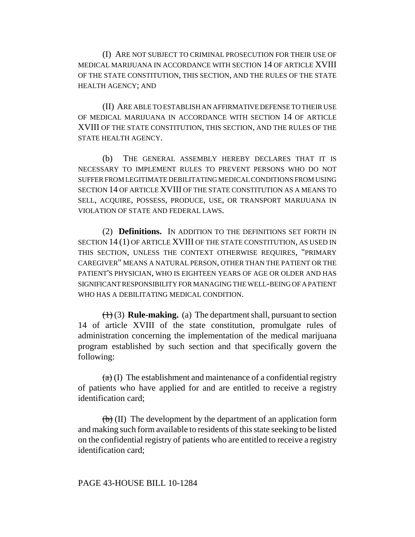(I) ARE NOT SUBJECT TO CRIMINAL PROSECUTION FOR THEIR USE OF MEDICAL MARIJUANA IN ACCORDANCE WITH SECTION 14 OF ARTICLE XVIII OF THE STATE CONSTITUTION, THIS SECTION, AND THE RULES OF THE STATE HEALTH AGENCY; AND

(II) ARE ABLE TO ESTABLISH AN AFFIRMATIVE DEFENSE TO THEIR USE OF MEDICAL MARIJUANA IN ACCORDANCE WITH SECTION 14 OF ARTICLE XVIII OF THE STATE CONSTITUTION, THIS SECTION, AND THE RULES OF THE STATE HEALTH AGENCY.

(b) THE GENERAL ASSEMBLY HEREBY DECLARES THAT IT IS NECESSARY TO IMPLEMENT RULES TO PREVENT PERSONS WHO DO NOT SUFFER FROM LEGITIMATE DEBILITATING MEDICAL CONDITIONS FROM USING SECTION 14 OF ARTICLE XVIII OF THE STATE CONSTITUTION AS A MEANS TO SELL, ACQUIRE, POSSESS, PRODUCE, USE, OR TRANSPORT MARIJUANA IN VIOLATION OF STATE AND FEDERAL LAWS.

(2) **Definitions.** IN ADDITION TO THE DEFINITIONS SET FORTH IN SECTION 14 (1) OF ARTICLE XVIII OF THE STATE CONSTITUTION, AS USED IN THIS SECTION, UNLESS THE CONTEXT OTHERWISE REQUIRES, "PRIMARY CAREGIVER" MEANS A NATURAL PERSON, OTHER THAN THE PATIENT OR THE PATIENT'S PHYSICIAN, WHO IS EIGHTEEN YEARS OF AGE OR OLDER AND HAS SIGNIFICANT RESPONSIBILITY FOR MANAGING THE WELL-BEING OF A PATIENT WHO HAS A DEBILITATING MEDICAL CONDITION.

(1) (3) **Rule-making.** (a) The department shall, pursuant to section 14 of article XVIII of the state constitution, promulgate rules of administration concerning the implementation of the medical marijuana program established by such section and that specifically govern the following:

 $(a)$  (I) The establishment and maintenance of a confidential registry of patients who have applied for and are entitled to receive a registry identification card;

 $(b)$  (II) The development by the department of an application form and making such form available to residents of this state seeking to be listed on the confidential registry of patients who are entitled to receive a registry identification card;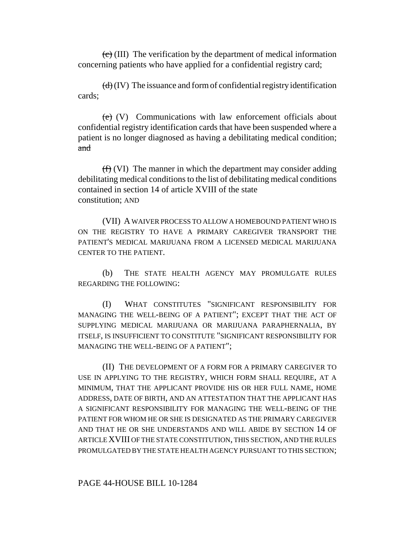$\langle \overline{\mathbf{c}} \rangle$  (III) The verification by the department of medical information concerning patients who have applied for a confidential registry card;

 $(d)(IV)$  The issuance and form of confidential registry identification cards;

 $(e)$  (V) Communications with law enforcement officials about confidential registry identification cards that have been suspended where a patient is no longer diagnosed as having a debilitating medical condition; and

 $(f)$  (VI) The manner in which the department may consider adding debilitating medical conditions to the list of debilitating medical conditions contained in section 14 of article XVIII of the state constitution; AND

(VII) A WAIVER PROCESS TO ALLOW A HOMEBOUND PATIENT WHO IS ON THE REGISTRY TO HAVE A PRIMARY CAREGIVER TRANSPORT THE PATIENT'S MEDICAL MARIJUANA FROM A LICENSED MEDICAL MARIJUANA CENTER TO THE PATIENT.

(b) THE STATE HEALTH AGENCY MAY PROMULGATE RULES REGARDING THE FOLLOWING:

(I) WHAT CONSTITUTES "SIGNIFICANT RESPONSIBILITY FOR MANAGING THE WELL-BEING OF A PATIENT"; EXCEPT THAT THE ACT OF SUPPLYING MEDICAL MARIJUANA OR MARIJUANA PARAPHERNALIA, BY ITSELF, IS INSUFFICIENT TO CONSTITUTE "SIGNIFICANT RESPONSIBILITY FOR MANAGING THE WELL-BEING OF A PATIENT";

(II) THE DEVELOPMENT OF A FORM FOR A PRIMARY CAREGIVER TO USE IN APPLYING TO THE REGISTRY, WHICH FORM SHALL REQUIRE, AT A MINIMUM, THAT THE APPLICANT PROVIDE HIS OR HER FULL NAME, HOME ADDRESS, DATE OF BIRTH, AND AN ATTESTATION THAT THE APPLICANT HAS A SIGNIFICANT RESPONSIBILITY FOR MANAGING THE WELL-BEING OF THE PATIENT FOR WHOM HE OR SHE IS DESIGNATED AS THE PRIMARY CAREGIVER AND THAT HE OR SHE UNDERSTANDS AND WILL ABIDE BY SECTION 14 OF ARTICLE XVIII OF THE STATE CONSTITUTION, THIS SECTION, AND THE RULES PROMULGATED BY THE STATE HEALTH AGENCY PURSUANT TO THIS SECTION;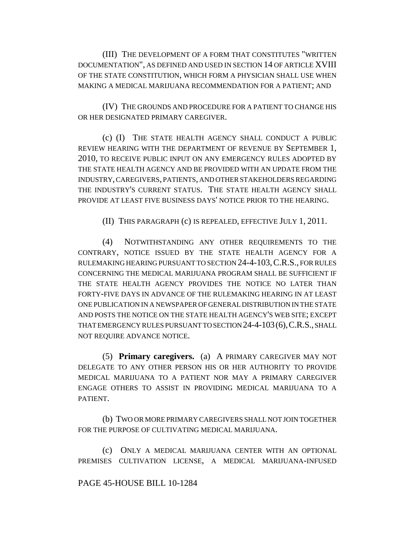(III) THE DEVELOPMENT OF A FORM THAT CONSTITUTES "WRITTEN DOCUMENTATION", AS DEFINED AND USED IN SECTION 14 OF ARTICLE XVIII OF THE STATE CONSTITUTION, WHICH FORM A PHYSICIAN SHALL USE WHEN MAKING A MEDICAL MARIJUANA RECOMMENDATION FOR A PATIENT; AND

(IV) THE GROUNDS AND PROCEDURE FOR A PATIENT TO CHANGE HIS OR HER DESIGNATED PRIMARY CAREGIVER.

(c) (I) THE STATE HEALTH AGENCY SHALL CONDUCT A PUBLIC REVIEW HEARING WITH THE DEPARTMENT OF REVENUE BY SEPTEMBER 1, 2010, TO RECEIVE PUBLIC INPUT ON ANY EMERGENCY RULES ADOPTED BY THE STATE HEALTH AGENCY AND BE PROVIDED WITH AN UPDATE FROM THE INDUSTRY, CAREGIVERS, PATIENTS, AND OTHER STAKEHOLDERS REGARDING THE INDUSTRY'S CURRENT STATUS. THE STATE HEALTH AGENCY SHALL PROVIDE AT LEAST FIVE BUSINESS DAYS' NOTICE PRIOR TO THE HEARING.

(II) THIS PARAGRAPH (c) IS REPEALED, EFFECTIVE JULY 1, 2011.

(4) NOTWITHSTANDING ANY OTHER REQUIREMENTS TO THE CONTRARY, NOTICE ISSUED BY THE STATE HEALTH AGENCY FOR A RULEMAKING HEARING PURSUANT TO SECTION 24-4-103,C.R.S., FOR RULES CONCERNING THE MEDICAL MARIJUANA PROGRAM SHALL BE SUFFICIENT IF THE STATE HEALTH AGENCY PROVIDES THE NOTICE NO LATER THAN FORTY-FIVE DAYS IN ADVANCE OF THE RULEMAKING HEARING IN AT LEAST ONE PUBLICATION IN A NEWSPAPER OF GENERAL DISTRIBUTION IN THE STATE AND POSTS THE NOTICE ON THE STATE HEALTH AGENCY'S WEB SITE; EXCEPT THAT EMERGENCY RULES PURSUANT TO SECTION 24-4-103(6),C.R.S., SHALL NOT REQUIRE ADVANCE NOTICE.

(5) **Primary caregivers.** (a) A PRIMARY CAREGIVER MAY NOT DELEGATE TO ANY OTHER PERSON HIS OR HER AUTHORITY TO PROVIDE MEDICAL MARIJUANA TO A PATIENT NOR MAY A PRIMARY CAREGIVER ENGAGE OTHERS TO ASSIST IN PROVIDING MEDICAL MARIJUANA TO A PATIENT.

(b) TWO OR MORE PRIMARY CAREGIVERS SHALL NOT JOIN TOGETHER FOR THE PURPOSE OF CULTIVATING MEDICAL MARIJUANA.

(c) ONLY A MEDICAL MARIJUANA CENTER WITH AN OPTIONAL PREMISES CULTIVATION LICENSE, A MEDICAL MARIJUANA-INFUSED

### PAGE 45-HOUSE BILL 10-1284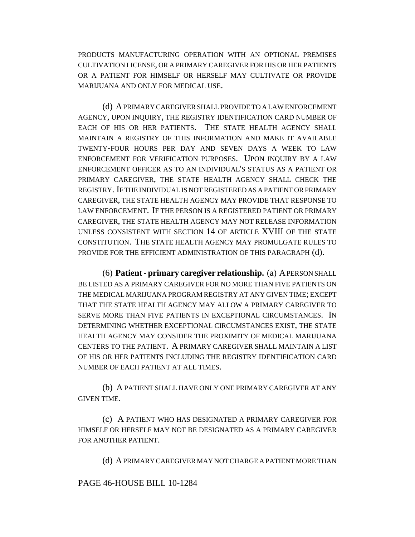PRODUCTS MANUFACTURING OPERATION WITH AN OPTIONAL PREMISES CULTIVATION LICENSE, OR A PRIMARY CAREGIVER FOR HIS OR HER PATIENTS OR A PATIENT FOR HIMSELF OR HERSELF MAY CULTIVATE OR PROVIDE MARIJUANA AND ONLY FOR MEDICAL USE.

(d) A PRIMARY CAREGIVER SHALL PROVIDE TO A LAW ENFORCEMENT AGENCY, UPON INQUIRY, THE REGISTRY IDENTIFICATION CARD NUMBER OF EACH OF HIS OR HER PATIENTS. THE STATE HEALTH AGENCY SHALL MAINTAIN A REGISTRY OF THIS INFORMATION AND MAKE IT AVAILABLE TWENTY-FOUR HOURS PER DAY AND SEVEN DAYS A WEEK TO LAW ENFORCEMENT FOR VERIFICATION PURPOSES. UPON INQUIRY BY A LAW ENFORCEMENT OFFICER AS TO AN INDIVIDUAL'S STATUS AS A PATIENT OR PRIMARY CAREGIVER, THE STATE HEALTH AGENCY SHALL CHECK THE REGISTRY. IF THE INDIVIDUAL IS NOT REGISTERED AS A PATIENT OR PRIMARY CAREGIVER, THE STATE HEALTH AGENCY MAY PROVIDE THAT RESPONSE TO LAW ENFORCEMENT. IF THE PERSON IS A REGISTERED PATIENT OR PRIMARY CAREGIVER, THE STATE HEALTH AGENCY MAY NOT RELEASE INFORMATION UNLESS CONSISTENT WITH SECTION 14 OF ARTICLE XVIII OF THE STATE CONSTITUTION. THE STATE HEALTH AGENCY MAY PROMULGATE RULES TO PROVIDE FOR THE EFFICIENT ADMINISTRATION OF THIS PARAGRAPH (d).

(6) **Patient - primary caregiver relationship.** (a) A PERSON SHALL BE LISTED AS A PRIMARY CAREGIVER FOR NO MORE THAN FIVE PATIENTS ON THE MEDICAL MARIJUANA PROGRAM REGISTRY AT ANY GIVEN TIME; EXCEPT THAT THE STATE HEALTH AGENCY MAY ALLOW A PRIMARY CAREGIVER TO SERVE MORE THAN FIVE PATIENTS IN EXCEPTIONAL CIRCUMSTANCES. IN DETERMINING WHETHER EXCEPTIONAL CIRCUMSTANCES EXIST, THE STATE HEALTH AGENCY MAY CONSIDER THE PROXIMITY OF MEDICAL MARIJUANA CENTERS TO THE PATIENT. A PRIMARY CAREGIVER SHALL MAINTAIN A LIST OF HIS OR HER PATIENTS INCLUDING THE REGISTRY IDENTIFICATION CARD NUMBER OF EACH PATIENT AT ALL TIMES.

(b) A PATIENT SHALL HAVE ONLY ONE PRIMARY CAREGIVER AT ANY GIVEN TIME.

(c) A PATIENT WHO HAS DESIGNATED A PRIMARY CAREGIVER FOR HIMSELF OR HERSELF MAY NOT BE DESIGNATED AS A PRIMARY CAREGIVER FOR ANOTHER PATIENT.

(d) A PRIMARY CAREGIVER MAY NOT CHARGE A PATIENT MORE THAN

### PAGE 46-HOUSE BILL 10-1284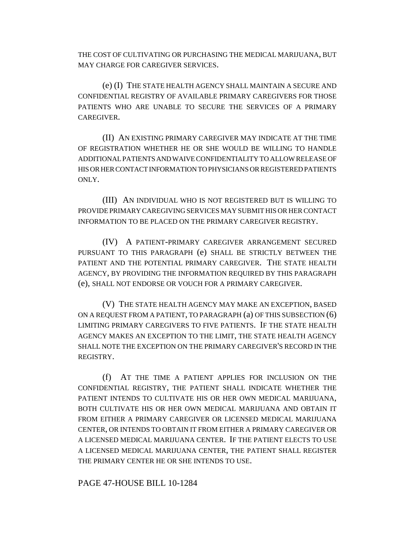THE COST OF CULTIVATING OR PURCHASING THE MEDICAL MARIJUANA, BUT MAY CHARGE FOR CAREGIVER SERVICES.

(e) (I) THE STATE HEALTH AGENCY SHALL MAINTAIN A SECURE AND CONFIDENTIAL REGISTRY OF AVAILABLE PRIMARY CAREGIVERS FOR THOSE PATIENTS WHO ARE UNABLE TO SECURE THE SERVICES OF A PRIMARY CAREGIVER.

(II) AN EXISTING PRIMARY CAREGIVER MAY INDICATE AT THE TIME OF REGISTRATION WHETHER HE OR SHE WOULD BE WILLING TO HANDLE ADDITIONAL PATIENTS AND WAIVE CONFIDENTIALITY TO ALLOW RELEASE OF HIS OR HER CONTACT INFORMATION TO PHYSICIANS OR REGISTERED PATIENTS ONLY.

(III) AN INDIVIDUAL WHO IS NOT REGISTERED BUT IS WILLING TO PROVIDE PRIMARY CAREGIVING SERVICES MAY SUBMIT HIS OR HER CONTACT INFORMATION TO BE PLACED ON THE PRIMARY CAREGIVER REGISTRY.

(IV) A PATIENT-PRIMARY CAREGIVER ARRANGEMENT SECURED PURSUANT TO THIS PARAGRAPH (e) SHALL BE STRICTLY BETWEEN THE PATIENT AND THE POTENTIAL PRIMARY CAREGIVER. THE STATE HEALTH AGENCY, BY PROVIDING THE INFORMATION REQUIRED BY THIS PARAGRAPH (e), SHALL NOT ENDORSE OR VOUCH FOR A PRIMARY CAREGIVER.

(V) THE STATE HEALTH AGENCY MAY MAKE AN EXCEPTION, BASED ON A REQUEST FROM A PATIENT, TO PARAGRAPH (a) OF THIS SUBSECTION (6) LIMITING PRIMARY CAREGIVERS TO FIVE PATIENTS. IF THE STATE HEALTH AGENCY MAKES AN EXCEPTION TO THE LIMIT, THE STATE HEALTH AGENCY SHALL NOTE THE EXCEPTION ON THE PRIMARY CAREGIVER'S RECORD IN THE REGISTRY.

(f) AT THE TIME A PATIENT APPLIES FOR INCLUSION ON THE CONFIDENTIAL REGISTRY, THE PATIENT SHALL INDICATE WHETHER THE PATIENT INTENDS TO CULTIVATE HIS OR HER OWN MEDICAL MARIJUANA, BOTH CULTIVATE HIS OR HER OWN MEDICAL MARIJUANA AND OBTAIN IT FROM EITHER A PRIMARY CAREGIVER OR LICENSED MEDICAL MARIJUANA CENTER, OR INTENDS TO OBTAIN IT FROM EITHER A PRIMARY CAREGIVER OR A LICENSED MEDICAL MARIJUANA CENTER. IF THE PATIENT ELECTS TO USE A LICENSED MEDICAL MARIJUANA CENTER, THE PATIENT SHALL REGISTER THE PRIMARY CENTER HE OR SHE INTENDS TO USE.

PAGE 47-HOUSE BILL 10-1284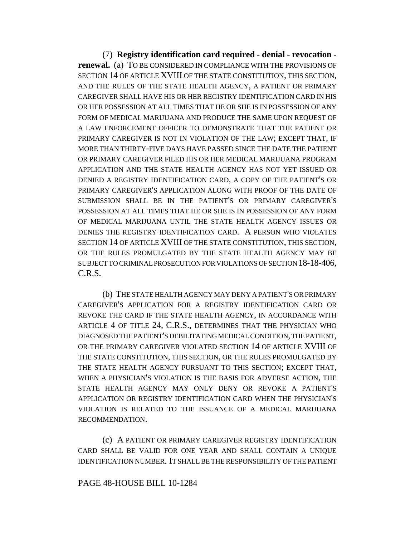(7) **Registry identification card required - denial - revocation renewal.** (a) TO BE CONSIDERED IN COMPLIANCE WITH THE PROVISIONS OF SECTION 14 OF ARTICLE XVIII OF THE STATE CONSTITUTION, THIS SECTION, AND THE RULES OF THE STATE HEALTH AGENCY, A PATIENT OR PRIMARY CAREGIVER SHALL HAVE HIS OR HER REGISTRY IDENTIFICATION CARD IN HIS OR HER POSSESSION AT ALL TIMES THAT HE OR SHE IS IN POSSESSION OF ANY FORM OF MEDICAL MARIJUANA AND PRODUCE THE SAME UPON REQUEST OF A LAW ENFORCEMENT OFFICER TO DEMONSTRATE THAT THE PATIENT OR PRIMARY CAREGIVER IS NOT IN VIOLATION OF THE LAW; EXCEPT THAT, IF MORE THAN THIRTY-FIVE DAYS HAVE PASSED SINCE THE DATE THE PATIENT OR PRIMARY CAREGIVER FILED HIS OR HER MEDICAL MARIJUANA PROGRAM APPLICATION AND THE STATE HEALTH AGENCY HAS NOT YET ISSUED OR DENIED A REGISTRY IDENTIFICATION CARD, A COPY OF THE PATIENT'S OR PRIMARY CAREGIVER'S APPLICATION ALONG WITH PROOF OF THE DATE OF SUBMISSION SHALL BE IN THE PATIENT'S OR PRIMARY CAREGIVER'S POSSESSION AT ALL TIMES THAT HE OR SHE IS IN POSSESSION OF ANY FORM OF MEDICAL MARIJUANA UNTIL THE STATE HEALTH AGENCY ISSUES OR DENIES THE REGISTRY IDENTIFICATION CARD. A PERSON WHO VIOLATES SECTION 14 OF ARTICLE XVIII OF THE STATE CONSTITUTION, THIS SECTION, OR THE RULES PROMULGATED BY THE STATE HEALTH AGENCY MAY BE SUBJECT TO CRIMINAL PROSECUTION FOR VIOLATIONS OF SECTION 18-18-406, C.R.S.

(b) THE STATE HEALTH AGENCY MAY DENY A PATIENT'S OR PRIMARY CAREGIVER'S APPLICATION FOR A REGISTRY IDENTIFICATION CARD OR REVOKE THE CARD IF THE STATE HEALTH AGENCY, IN ACCORDANCE WITH ARTICLE 4 OF TITLE 24, C.R.S., DETERMINES THAT THE PHYSICIAN WHO DIAGNOSED THE PATIENT'S DEBILITATING MEDICAL CONDITION, THE PATIENT, OR THE PRIMARY CAREGIVER VIOLATED SECTION 14 OF ARTICLE XVIII OF THE STATE CONSTITUTION, THIS SECTION, OR THE RULES PROMULGATED BY THE STATE HEALTH AGENCY PURSUANT TO THIS SECTION; EXCEPT THAT, WHEN A PHYSICIAN'S VIOLATION IS THE BASIS FOR ADVERSE ACTION, THE STATE HEALTH AGENCY MAY ONLY DENY OR REVOKE A PATIENT'S APPLICATION OR REGISTRY IDENTIFICATION CARD WHEN THE PHYSICIAN'S VIOLATION IS RELATED TO THE ISSUANCE OF A MEDICAL MARIJUANA RECOMMENDATION.

(c) A PATIENT OR PRIMARY CAREGIVER REGISTRY IDENTIFICATION CARD SHALL BE VALID FOR ONE YEAR AND SHALL CONTAIN A UNIQUE IDENTIFICATION NUMBER. IT SHALL BE THE RESPONSIBILITY OF THE PATIENT

### PAGE 48-HOUSE BILL 10-1284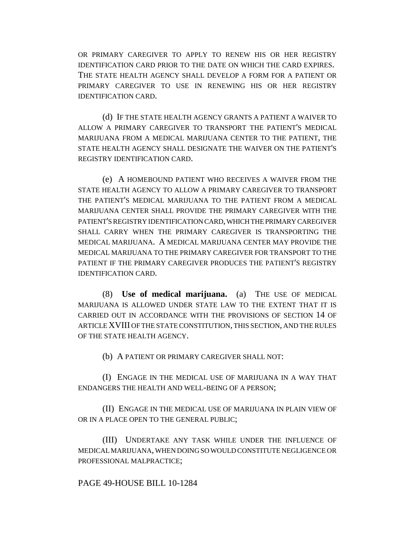OR PRIMARY CAREGIVER TO APPLY TO RENEW HIS OR HER REGISTRY IDENTIFICATION CARD PRIOR TO THE DATE ON WHICH THE CARD EXPIRES. THE STATE HEALTH AGENCY SHALL DEVELOP A FORM FOR A PATIENT OR PRIMARY CAREGIVER TO USE IN RENEWING HIS OR HER REGISTRY IDENTIFICATION CARD.

(d) IF THE STATE HEALTH AGENCY GRANTS A PATIENT A WAIVER TO ALLOW A PRIMARY CAREGIVER TO TRANSPORT THE PATIENT'S MEDICAL MARIJUANA FROM A MEDICAL MARIJUANA CENTER TO THE PATIENT, THE STATE HEALTH AGENCY SHALL DESIGNATE THE WAIVER ON THE PATIENT'S REGISTRY IDENTIFICATION CARD.

(e) A HOMEBOUND PATIENT WHO RECEIVES A WAIVER FROM THE STATE HEALTH AGENCY TO ALLOW A PRIMARY CAREGIVER TO TRANSPORT THE PATIENT'S MEDICAL MARIJUANA TO THE PATIENT FROM A MEDICAL MARIJUANA CENTER SHALL PROVIDE THE PRIMARY CAREGIVER WITH THE PATIENT'S REGISTRY IDENTIFICATION CARD, WHICH THE PRIMARY CAREGIVER SHALL CARRY WHEN THE PRIMARY CAREGIVER IS TRANSPORTING THE MEDICAL MARIJUANA. A MEDICAL MARIJUANA CENTER MAY PROVIDE THE MEDICAL MARIJUANA TO THE PRIMARY CAREGIVER FOR TRANSPORT TO THE PATIENT IF THE PRIMARY CAREGIVER PRODUCES THE PATIENT'S REGISTRY IDENTIFICATION CARD.

(8) **Use of medical marijuana.** (a) THE USE OF MEDICAL MARIJUANA IS ALLOWED UNDER STATE LAW TO THE EXTENT THAT IT IS CARRIED OUT IN ACCORDANCE WITH THE PROVISIONS OF SECTION 14 OF ARTICLE XVIII OF THE STATE CONSTITUTION, THIS SECTION, AND THE RULES OF THE STATE HEALTH AGENCY.

(b) A PATIENT OR PRIMARY CAREGIVER SHALL NOT:

(I) ENGAGE IN THE MEDICAL USE OF MARIJUANA IN A WAY THAT ENDANGERS THE HEALTH AND WELL-BEING OF A PERSON;

(II) ENGAGE IN THE MEDICAL USE OF MARIJUANA IN PLAIN VIEW OF OR IN A PLACE OPEN TO THE GENERAL PUBLIC;

(III) UNDERTAKE ANY TASK WHILE UNDER THE INFLUENCE OF MEDICAL MARIJUANA, WHEN DOING SO WOULD CONSTITUTE NEGLIGENCE OR PROFESSIONAL MALPRACTICE;

### PAGE 49-HOUSE BILL 10-1284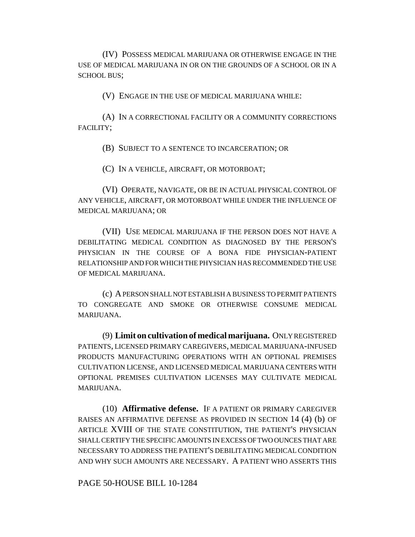(IV) POSSESS MEDICAL MARIJUANA OR OTHERWISE ENGAGE IN THE USE OF MEDICAL MARIJUANA IN OR ON THE GROUNDS OF A SCHOOL OR IN A SCHOOL BUS;

(V) ENGAGE IN THE USE OF MEDICAL MARIJUANA WHILE:

(A) IN A CORRECTIONAL FACILITY OR A COMMUNITY CORRECTIONS FACILITY;

(B) SUBJECT TO A SENTENCE TO INCARCERATION; OR

(C) IN A VEHICLE, AIRCRAFT, OR MOTORBOAT;

(VI) OPERATE, NAVIGATE, OR BE IN ACTUAL PHYSICAL CONTROL OF ANY VEHICLE, AIRCRAFT, OR MOTORBOAT WHILE UNDER THE INFLUENCE OF MEDICAL MARIJUANA; OR

(VII) USE MEDICAL MARIJUANA IF THE PERSON DOES NOT HAVE A DEBILITATING MEDICAL CONDITION AS DIAGNOSED BY THE PERSON'S PHYSICIAN IN THE COURSE OF A BONA FIDE PHYSICIAN-PATIENT RELATIONSHIP AND FOR WHICH THE PHYSICIAN HAS RECOMMENDED THE USE OF MEDICAL MARIJUANA.

(c) A PERSON SHALL NOT ESTABLISH A BUSINESS TO PERMIT PATIENTS TO CONGREGATE AND SMOKE OR OTHERWISE CONSUME MEDICAL MARIJUANA.

(9) **Limit on cultivation of medical marijuana.** ONLY REGISTERED PATIENTS, LICENSED PRIMARY CAREGIVERS, MEDICAL MARIJUANA-INFUSED PRODUCTS MANUFACTURING OPERATIONS WITH AN OPTIONAL PREMISES CULTIVATION LICENSE, AND LICENSED MEDICAL MARIJUANA CENTERS WITH OPTIONAL PREMISES CULTIVATION LICENSES MAY CULTIVATE MEDICAL MARIJUANA.

(10) **Affirmative defense.** IF A PATIENT OR PRIMARY CAREGIVER RAISES AN AFFIRMATIVE DEFENSE AS PROVIDED IN SECTION 14 (4) (b) OF ARTICLE XVIII OF THE STATE CONSTITUTION, THE PATIENT'S PHYSICIAN SHALL CERTIFY THE SPECIFIC AMOUNTS IN EXCESS OF TWO OUNCES THAT ARE NECESSARY TO ADDRESS THE PATIENT'S DEBILITATING MEDICAL CONDITION AND WHY SUCH AMOUNTS ARE NECESSARY. A PATIENT WHO ASSERTS THIS

PAGE 50-HOUSE BILL 10-1284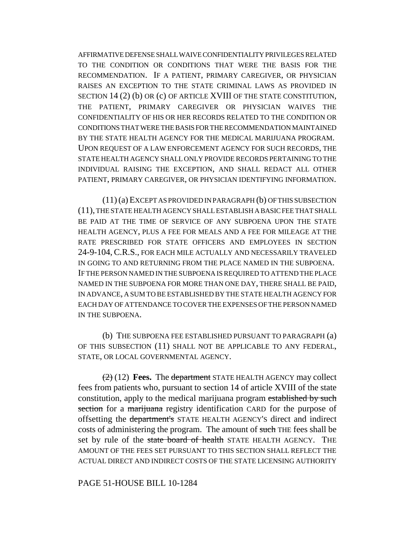AFFIRMATIVE DEFENSE SHALL WAIVE CONFIDENTIALITY PRIVILEGES RELATED TO THE CONDITION OR CONDITIONS THAT WERE THE BASIS FOR THE RECOMMENDATION. IF A PATIENT, PRIMARY CAREGIVER, OR PHYSICIAN RAISES AN EXCEPTION TO THE STATE CRIMINAL LAWS AS PROVIDED IN SECTION 14 (2) (b) OR (c) OF ARTICLE XVIII OF THE STATE CONSTITUTION, THE PATIENT, PRIMARY CAREGIVER OR PHYSICIAN WAIVES THE CONFIDENTIALITY OF HIS OR HER RECORDS RELATED TO THE CONDITION OR CONDITIONS THAT WERE THE BASIS FOR THE RECOMMENDATION MAINTAINED BY THE STATE HEALTH AGENCY FOR THE MEDICAL MARIJUANA PROGRAM. UPON REQUEST OF A LAW ENFORCEMENT AGENCY FOR SUCH RECORDS, THE STATE HEALTH AGENCY SHALL ONLY PROVIDE RECORDS PERTAINING TO THE INDIVIDUAL RAISING THE EXCEPTION, AND SHALL REDACT ALL OTHER PATIENT, PRIMARY CAREGIVER, OR PHYSICIAN IDENTIFYING INFORMATION.

(11) (a) EXCEPT AS PROVIDED IN PARAGRAPH (b) OF THIS SUBSECTION (11), THE STATE HEALTH AGENCY SHALL ESTABLISH A BASIC FEE THAT SHALL BE PAID AT THE TIME OF SERVICE OF ANY SUBPOENA UPON THE STATE HEALTH AGENCY, PLUS A FEE FOR MEALS AND A FEE FOR MILEAGE AT THE RATE PRESCRIBED FOR STATE OFFICERS AND EMPLOYEES IN SECTION 24-9-104, C.R.S., FOR EACH MILE ACTUALLY AND NECESSARILY TRAVELED IN GOING TO AND RETURNING FROM THE PLACE NAMED IN THE SUBPOENA. IF THE PERSON NAMED IN THE SUBPOENA IS REQUIRED TO ATTEND THE PLACE NAMED IN THE SUBPOENA FOR MORE THAN ONE DAY, THERE SHALL BE PAID, IN ADVANCE, A SUM TO BE ESTABLISHED BY THE STATE HEALTH AGENCY FOR EACH DAY OF ATTENDANCE TO COVER THE EXPENSES OF THE PERSON NAMED IN THE SUBPOENA.

(b) THE SUBPOENA FEE ESTABLISHED PURSUANT TO PARAGRAPH (a) OF THIS SUBSECTION (11) SHALL NOT BE APPLICABLE TO ANY FEDERAL, STATE, OR LOCAL GOVERNMENTAL AGENCY.

(2) (12) **Fees.** The department STATE HEALTH AGENCY may collect fees from patients who, pursuant to section 14 of article XVIII of the state constitution, apply to the medical marijuana program established by such section for a marijuana registry identification CARD for the purpose of offsetting the department's STATE HEALTH AGENCY'S direct and indirect costs of administering the program. The amount of such THE fees shall be set by rule of the state board of health STATE HEALTH AGENCY. THE AMOUNT OF THE FEES SET PURSUANT TO THIS SECTION SHALL REFLECT THE ACTUAL DIRECT AND INDIRECT COSTS OF THE STATE LICENSING AUTHORITY

PAGE 51-HOUSE BILL 10-1284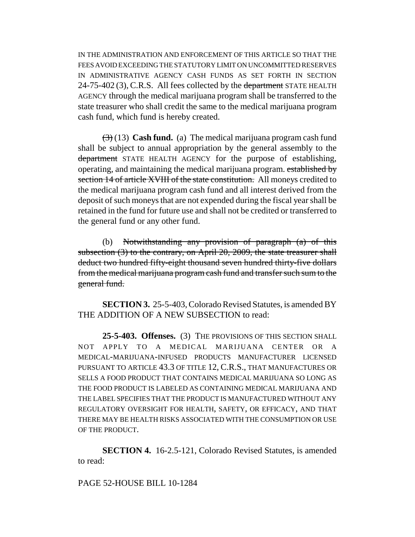IN THE ADMINISTRATION AND ENFORCEMENT OF THIS ARTICLE SO THAT THE FEES AVOID EXCEEDING THE STATUTORY LIMIT ON UNCOMMITTED RESERVES IN ADMINISTRATIVE AGENCY CASH FUNDS AS SET FORTH IN SECTION 24-75-402 (3), C.R.S. All fees collected by the department STATE HEALTH AGENCY through the medical marijuana program shall be transferred to the state treasurer who shall credit the same to the medical marijuana program cash fund, which fund is hereby created.

(3) (13) **Cash fund.** (a) The medical marijuana program cash fund shall be subject to annual appropriation by the general assembly to the department STATE HEALTH AGENCY for the purpose of establishing, operating, and maintaining the medical marijuana program. established by section 14 of article XVIII of the state constitution. All moneys credited to the medical marijuana program cash fund and all interest derived from the deposit of such moneys that are not expended during the fiscal year shall be retained in the fund for future use and shall not be credited or transferred to the general fund or any other fund.

(b) Notwithstanding any provision of paragraph (a) of this subsection  $(3)$  to the contrary, on April 20, 2009, the state treasurer shall deduct two hundred fifty-eight thousand seven hundred thirty-five dollars from the medical marijuana program cash fund and transfer such sum to the general fund.

**SECTION 3.** 25-5-403, Colorado Revised Statutes, is amended BY THE ADDITION OF A NEW SUBSECTION to read:

**25-5-403. Offenses.** (3) THE PROVISIONS OF THIS SECTION SHALL NOT APPLY TO A MEDICAL MARIJUANA CENTER OR A MEDICAL-MARIJUANA-INFUSED PRODUCTS MANUFACTURER LICENSED PURSUANT TO ARTICLE 43.3 OF TITLE 12, C.R.S., THAT MANUFACTURES OR SELLS A FOOD PRODUCT THAT CONTAINS MEDICAL MARIJUANA SO LONG AS THE FOOD PRODUCT IS LABELED AS CONTAINING MEDICAL MARIJUANA AND THE LABEL SPECIFIES THAT THE PRODUCT IS MANUFACTURED WITHOUT ANY REGULATORY OVERSIGHT FOR HEALTH, SAFETY, OR EFFICACY, AND THAT THERE MAY BE HEALTH RISKS ASSOCIATED WITH THE CONSUMPTION OR USE OF THE PRODUCT.

**SECTION 4.** 16-2.5-121, Colorado Revised Statutes, is amended to read:

### PAGE 52-HOUSE BILL 10-1284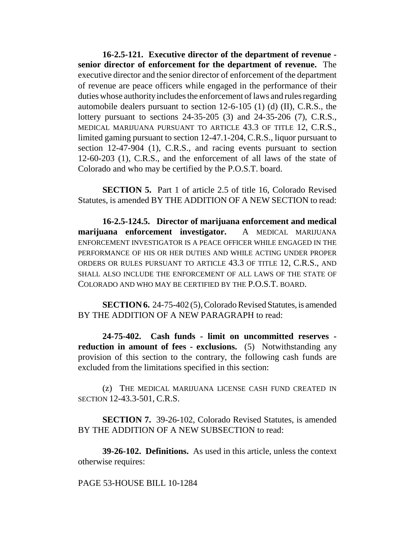**16-2.5-121. Executive director of the department of revenue senior director of enforcement for the department of revenue.** The executive director and the senior director of enforcement of the department of revenue are peace officers while engaged in the performance of their duties whose authority includes the enforcement of laws and rules regarding automobile dealers pursuant to section 12-6-105 (1) (d) (II), C.R.S., the lottery pursuant to sections 24-35-205 (3) and 24-35-206 (7), C.R.S., MEDICAL MARIJUANA PURSUANT TO ARTICLE 43.3 OF TITLE 12, C.R.S., limited gaming pursuant to section 12-47.1-204, C.R.S., liquor pursuant to section 12-47-904 (1), C.R.S., and racing events pursuant to section 12-60-203 (1), C.R.S., and the enforcement of all laws of the state of Colorado and who may be certified by the P.O.S.T. board.

**SECTION 5.** Part 1 of article 2.5 of title 16, Colorado Revised Statutes, is amended BY THE ADDITION OF A NEW SECTION to read:

**16-2.5-124.5. Director of marijuana enforcement and medical marijuana enforcement investigator.** A MEDICAL MARIJUANA ENFORCEMENT INVESTIGATOR IS A PEACE OFFICER WHILE ENGAGED IN THE PERFORMANCE OF HIS OR HER DUTIES AND WHILE ACTING UNDER PROPER ORDERS OR RULES PURSUANT TO ARTICLE 43.3 OF TITLE 12, C.R.S., AND SHALL ALSO INCLUDE THE ENFORCEMENT OF ALL LAWS OF THE STATE OF COLORADO AND WHO MAY BE CERTIFIED BY THE P.O.S.T. BOARD.

**SECTION 6.** 24-75-402 (5), Colorado Revised Statutes, is amended BY THE ADDITION OF A NEW PARAGRAPH to read:

**24-75-402. Cash funds - limit on uncommitted reserves reduction in amount of fees - exclusions.** (5) Notwithstanding any provision of this section to the contrary, the following cash funds are excluded from the limitations specified in this section:

(z) THE MEDICAL MARIJUANA LICENSE CASH FUND CREATED IN SECTION 12-43.3-501, C.R.S.

**SECTION 7.** 39-26-102, Colorado Revised Statutes, is amended BY THE ADDITION OF A NEW SUBSECTION to read:

**39-26-102. Definitions.** As used in this article, unless the context otherwise requires:

PAGE 53-HOUSE BILL 10-1284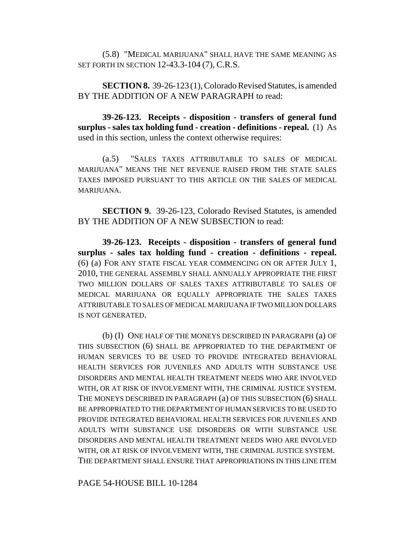(5.8) "MEDICAL MARIJUANA" SHALL HAVE THE SAME MEANING AS SET FORTH IN SECTION 12-43.3-104 (7), C.R.S.

**SECTION 8.** 39-26-123 (1), Colorado Revised Statutes, is amended BY THE ADDITION OF A NEW PARAGRAPH to read:

**39-26-123. Receipts - disposition - transfers of general fund surplus - sales tax holding fund - creation - definitions - repeal.** (1) As used in this section, unless the context otherwise requires:

(a.5) "SALES TAXES ATTRIBUTABLE TO SALES OF MEDICAL MARIJUANA" MEANS THE NET REVENUE RAISED FROM THE STATE SALES TAXES IMPOSED PURSUANT TO THIS ARTICLE ON THE SALES OF MEDICAL MARIJUANA.

**SECTION 9.** 39-26-123, Colorado Revised Statutes, is amended BY THE ADDITION OF A NEW SUBSECTION to read:

**39-26-123. Receipts - disposition - transfers of general fund surplus - sales tax holding fund - creation - definitions - repeal.** (6) (a) FOR ANY STATE FISCAL YEAR COMMENCING ON OR AFTER JULY 1, 2010, THE GENERAL ASSEMBLY SHALL ANNUALLY APPROPRIATE THE FIRST TWO MILLION DOLLARS OF SALES TAXES ATTRIBUTABLE TO SALES OF MEDICAL MARIJUANA OR EQUALLY APPROPRIATE THE SALES TAXES ATTRIBUTABLE TO SALES OF MEDICAL MARIJUANA IF TWO MILLION DOLLARS IS NOT GENERATED.

(b) (I) ONE HALF OF THE MONEYS DESCRIBED IN PARAGRAPH (a) OF THIS SUBSECTION (6) SHALL BE APPROPRIATED TO THE DEPARTMENT OF HUMAN SERVICES TO BE USED TO PROVIDE INTEGRATED BEHAVIORAL HEALTH SERVICES FOR JUVENILES AND ADULTS WITH SUBSTANCE USE DISORDERS AND MENTAL HEALTH TREATMENT NEEDS WHO ARE INVOLVED WITH, OR AT RISK OF INVOLVEMENT WITH, THE CRIMINAL JUSTICE SYSTEM. THE MONEYS DESCRIBED IN PARAGRAPH (a) OF THIS SUBSECTION (6) SHALL BE APPROPRIATED TO THE DEPARTMENT OF HUMAN SERVICES TO BE USED TO PROVIDE INTEGRATED BEHAVIORAL HEALTH SERVICES FOR JUVENILES AND ADULTS WITH SUBSTANCE USE DISORDERS OR WITH SUBSTANCE USE DISORDERS AND MENTAL HEALTH TREATMENT NEEDS WHO ARE INVOLVED WITH, OR AT RISK OF INVOLVEMENT WITH, THE CRIMINAL JUSTICE SYSTEM. THE DEPARTMENT SHALL ENSURE THAT APPROPRIATIONS IN THIS LINE ITEM

PAGE 54-HOUSE BILL 10-1284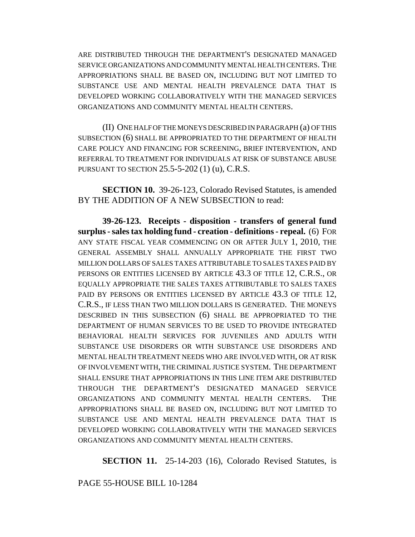ARE DISTRIBUTED THROUGH THE DEPARTMENT'S DESIGNATED MANAGED SERVICE ORGANIZATIONS AND COMMUNITY MENTAL HEALTH CENTERS. THE APPROPRIATIONS SHALL BE BASED ON, INCLUDING BUT NOT LIMITED TO SUBSTANCE USE AND MENTAL HEALTH PREVALENCE DATA THAT IS DEVELOPED WORKING COLLABORATIVELY WITH THE MANAGED SERVICES ORGANIZATIONS AND COMMUNITY MENTAL HEALTH CENTERS.

(II) ONE HALF OF THE MONEYS DESCRIBED IN PARAGRAPH (a) OF THIS SUBSECTION (6) SHALL BE APPROPRIATED TO THE DEPARTMENT OF HEALTH CARE POLICY AND FINANCING FOR SCREENING, BRIEF INTERVENTION, AND REFERRAL TO TREATMENT FOR INDIVIDUALS AT RISK OF SUBSTANCE ABUSE PURSUANT TO SECTION 25.5-5-202 (1) (u), C.R.S.

**SECTION 10.** 39-26-123, Colorado Revised Statutes, is amended BY THE ADDITION OF A NEW SUBSECTION to read:

**39-26-123. Receipts - disposition - transfers of general fund surplus - sales tax holding fund - creation - definitions - repeal.** (6) FOR ANY STATE FISCAL YEAR COMMENCING ON OR AFTER JULY 1, 2010, THE GENERAL ASSEMBLY SHALL ANNUALLY APPROPRIATE THE FIRST TWO MILLION DOLLARS OF SALES TAXES ATTRIBUTABLE TO SALES TAXES PAID BY PERSONS OR ENTITIES LICENSED BY ARTICLE 43.3 OF TITLE 12, C.R.S., OR EQUALLY APPROPRIATE THE SALES TAXES ATTRIBUTABLE TO SALES TAXES PAID BY PERSONS OR ENTITIES LICENSED BY ARTICLE 43.3 OF TITLE 12, C.R.S., IF LESS THAN TWO MILLION DOLLARS IS GENERATED. THE MONEYS DESCRIBED IN THIS SUBSECTION (6) SHALL BE APPROPRIATED TO THE DEPARTMENT OF HUMAN SERVICES TO BE USED TO PROVIDE INTEGRATED BEHAVIORAL HEALTH SERVICES FOR JUVENILES AND ADULTS WITH SUBSTANCE USE DISORDERS OR WITH SUBSTANCE USE DISORDERS AND MENTAL HEALTH TREATMENT NEEDS WHO ARE INVOLVED WITH, OR AT RISK OF INVOLVEMENT WITH, THE CRIMINAL JUSTICE SYSTEM. THE DEPARTMENT SHALL ENSURE THAT APPROPRIATIONS IN THIS LINE ITEM ARE DISTRIBUTED THROUGH THE DEPARTMENT'S DESIGNATED MANAGED SERVICE ORGANIZATIONS AND COMMUNITY MENTAL HEALTH CENTERS. THE APPROPRIATIONS SHALL BE BASED ON, INCLUDING BUT NOT LIMITED TO SUBSTANCE USE AND MENTAL HEALTH PREVALENCE DATA THAT IS DEVELOPED WORKING COLLABORATIVELY WITH THE MANAGED SERVICES ORGANIZATIONS AND COMMUNITY MENTAL HEALTH CENTERS.

**SECTION 11.** 25-14-203 (16), Colorado Revised Statutes, is

PAGE 55-HOUSE BILL 10-1284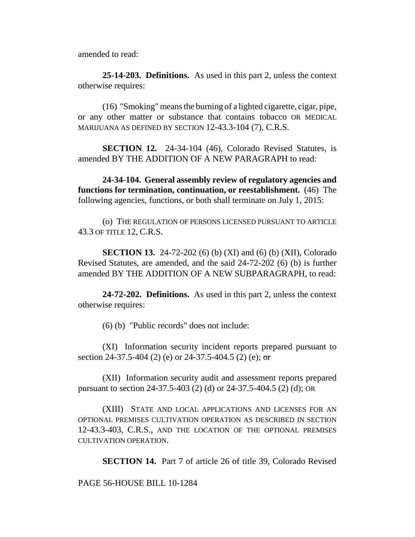amended to read:

**25-14-203. Definitions.** As used in this part 2, unless the context otherwise requires:

(16) "Smoking" means the burning of a lighted cigarette, cigar, pipe, or any other matter or substance that contains tobacco OR MEDICAL MARIJUANA AS DEFINED BY SECTION 12-43.3-104 (7), C.R.S.

**SECTION 12.** 24-34-104 (46), Colorado Revised Statutes, is amended BY THE ADDITION OF A NEW PARAGRAPH to read:

**24-34-104. General assembly review of regulatory agencies and functions for termination, continuation, or reestablishment.** (46) The following agencies, functions, or both shall terminate on July 1, 2015:

(o) THE REGULATION OF PERSONS LICENSED PURSUANT TO ARTICLE 43.3 OF TITLE 12, C.R.S.

**SECTION 13.** 24-72-202 (6) (b) (XI) and (6) (b) (XII), Colorado Revised Statutes, are amended, and the said 24-72-202 (6) (b) is further amended BY THE ADDITION OF A NEW SUBPARAGRAPH, to read:

**24-72-202. Definitions.** As used in this part 2, unless the context otherwise requires:

(6) (b) "Public records" does not include:

(XI) Information security incident reports prepared pursuant to section 24-37.5-404 (2) (e) or 24-37.5-404.5 (2) (e); or

(XII) Information security audit and assessment reports prepared pursuant to section 24-37.5-403 (2) (d) or 24-37.5-404.5 (2) (d); OR

(XIII) STATE AND LOCAL APPLICATIONS AND LICENSES FOR AN OPTIONAL PREMISES CULTIVATION OPERATION AS DESCRIBED IN SECTION 12-43.3-403, C.R.S., AND THE LOCATION OF THE OPTIONAL PREMISES CULTIVATION OPERATION.

**SECTION 14.** Part 7 of article 26 of title 39, Colorado Revised

PAGE 56-HOUSE BILL 10-1284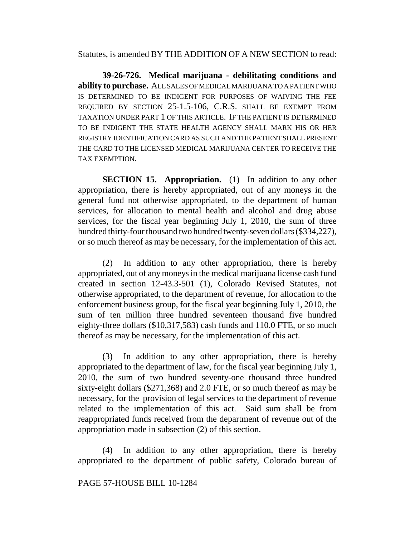Statutes, is amended BY THE ADDITION OF A NEW SECTION to read:

**39-26-726. Medical marijuana - debilitating conditions and ability to purchase.** ALL SALES OF MEDICAL MARIJUANA TO A PATIENT WHO IS DETERMINED TO BE INDIGENT FOR PURPOSES OF WAIVING THE FEE REQUIRED BY SECTION 25-1.5-106, C.R.S. SHALL BE EXEMPT FROM TAXATION UNDER PART 1 OF THIS ARTICLE. IF THE PATIENT IS DETERMINED TO BE INDIGENT THE STATE HEALTH AGENCY SHALL MARK HIS OR HER REGISTRY IDENTIFICATION CARD AS SUCH AND THE PATIENT SHALL PRESENT THE CARD TO THE LICENSED MEDICAL MARIJUANA CENTER TO RECEIVE THE TAX EXEMPTION.

**SECTION 15. Appropriation.** (1) In addition to any other appropriation, there is hereby appropriated, out of any moneys in the general fund not otherwise appropriated, to the department of human services, for allocation to mental health and alcohol and drug abuse services, for the fiscal year beginning July 1, 2010, the sum of three hundred thirty-four thousand two hundred twenty-seven dollars (\$334,227), or so much thereof as may be necessary, for the implementation of this act.

(2) In addition to any other appropriation, there is hereby appropriated, out of any moneys in the medical marijuana license cash fund created in section 12-43.3-501 (1), Colorado Revised Statutes, not otherwise appropriated, to the department of revenue, for allocation to the enforcement business group, for the fiscal year beginning July 1, 2010, the sum of ten million three hundred seventeen thousand five hundred eighty-three dollars (\$10,317,583) cash funds and 110.0 FTE, or so much thereof as may be necessary, for the implementation of this act.

(3) In addition to any other appropriation, there is hereby appropriated to the department of law, for the fiscal year beginning July 1, 2010, the sum of two hundred seventy-one thousand three hundred sixty-eight dollars (\$271,368) and 2.0 FTE, or so much thereof as may be necessary, for the provision of legal services to the department of revenue related to the implementation of this act. Said sum shall be from reappropriated funds received from the department of revenue out of the appropriation made in subsection (2) of this section.

(4) In addition to any other appropriation, there is hereby appropriated to the department of public safety, Colorado bureau of

### PAGE 57-HOUSE BILL 10-1284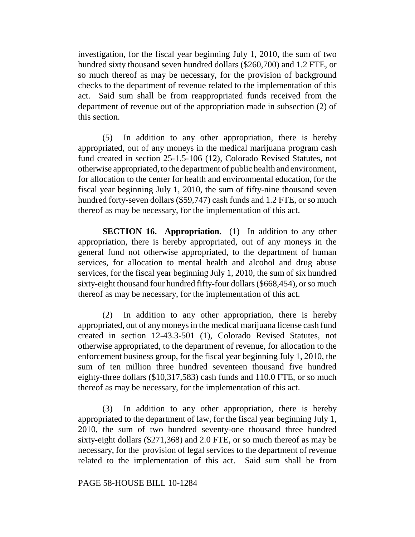investigation, for the fiscal year beginning July 1, 2010, the sum of two hundred sixty thousand seven hundred dollars (\$260,700) and 1.2 FTE, or so much thereof as may be necessary, for the provision of background checks to the department of revenue related to the implementation of this act. Said sum shall be from reappropriated funds received from the department of revenue out of the appropriation made in subsection (2) of this section.

(5) In addition to any other appropriation, there is hereby appropriated, out of any moneys in the medical marijuana program cash fund created in section 25-1.5-106 (12), Colorado Revised Statutes, not otherwise appropriated, to the department of public health and environment, for allocation to the center for health and environmental education, for the fiscal year beginning July 1, 2010, the sum of fifty-nine thousand seven hundred forty-seven dollars (\$59,747) cash funds and 1.2 FTE, or so much thereof as may be necessary, for the implementation of this act.

**SECTION 16. Appropriation.** (1) In addition to any other appropriation, there is hereby appropriated, out of any moneys in the general fund not otherwise appropriated, to the department of human services, for allocation to mental health and alcohol and drug abuse services, for the fiscal year beginning July 1, 2010, the sum of six hundred sixty-eight thousand four hundred fifty-four dollars (\$668,454), or so much thereof as may be necessary, for the implementation of this act.

(2) In addition to any other appropriation, there is hereby appropriated, out of any moneys in the medical marijuana license cash fund created in section 12-43.3-501 (1), Colorado Revised Statutes, not otherwise appropriated, to the department of revenue, for allocation to the enforcement business group, for the fiscal year beginning July 1, 2010, the sum of ten million three hundred seventeen thousand five hundred eighty-three dollars (\$10,317,583) cash funds and 110.0 FTE, or so much thereof as may be necessary, for the implementation of this act.

(3) In addition to any other appropriation, there is hereby appropriated to the department of law, for the fiscal year beginning July 1, 2010, the sum of two hundred seventy-one thousand three hundred sixty-eight dollars (\$271,368) and 2.0 FTE, or so much thereof as may be necessary, for the provision of legal services to the department of revenue related to the implementation of this act. Said sum shall be from

### PAGE 58-HOUSE BILL 10-1284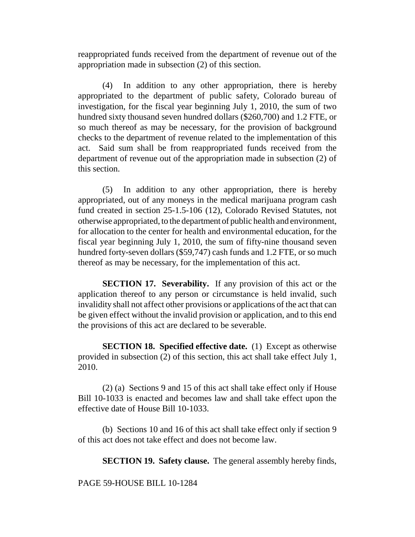reappropriated funds received from the department of revenue out of the appropriation made in subsection (2) of this section.

(4) In addition to any other appropriation, there is hereby appropriated to the department of public safety, Colorado bureau of investigation, for the fiscal year beginning July 1, 2010, the sum of two hundred sixty thousand seven hundred dollars (\$260,700) and 1.2 FTE, or so much thereof as may be necessary, for the provision of background checks to the department of revenue related to the implementation of this act. Said sum shall be from reappropriated funds received from the department of revenue out of the appropriation made in subsection (2) of this section.

(5) In addition to any other appropriation, there is hereby appropriated, out of any moneys in the medical marijuana program cash fund created in section 25-1.5-106 (12), Colorado Revised Statutes, not otherwise appropriated, to the department of public health and environment, for allocation to the center for health and environmental education, for the fiscal year beginning July 1, 2010, the sum of fifty-nine thousand seven hundred forty-seven dollars (\$59,747) cash funds and 1.2 FTE, or so much thereof as may be necessary, for the implementation of this act.

**SECTION 17. Severability.** If any provision of this act or the application thereof to any person or circumstance is held invalid, such invalidity shall not affect other provisions or applications of the act that can be given effect without the invalid provision or application, and to this end the provisions of this act are declared to be severable.

**SECTION 18. Specified effective date.** (1) Except as otherwise provided in subsection (2) of this section, this act shall take effect July 1, 2010.

(2) (a) Sections 9 and 15 of this act shall take effect only if House Bill 10-1033 is enacted and becomes law and shall take effect upon the effective date of House Bill 10-1033.

(b) Sections 10 and 16 of this act shall take effect only if section 9 of this act does not take effect and does not become law.

**SECTION 19. Safety clause.** The general assembly hereby finds,

PAGE 59-HOUSE BILL 10-1284